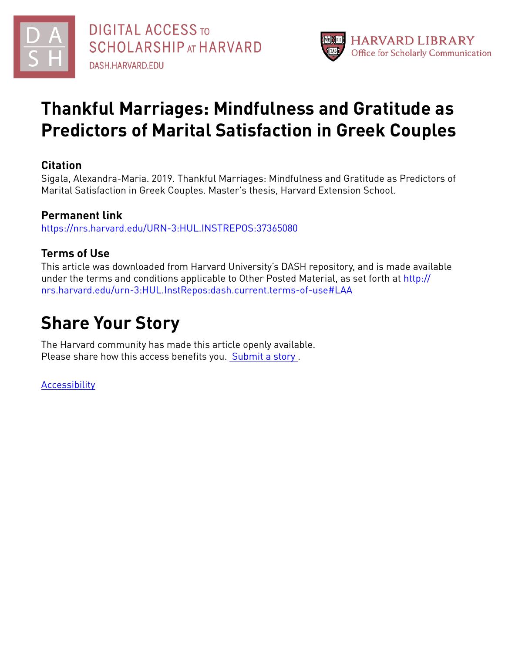



# **Thankful Marriages: Mindfulness and Gratitude as Predictors of Marital Satisfaction in Greek Couples**

# **Citation**

Sigala, Alexandra-Maria. 2019. Thankful Marriages: Mindfulness and Gratitude as Predictors of Marital Satisfaction in Greek Couples. Master's thesis, Harvard Extension School.

## **Permanent link**

<https://nrs.harvard.edu/URN-3:HUL.INSTREPOS:37365080>

## **Terms of Use**

This article was downloaded from Harvard University's DASH repository, and is made available under the terms and conditions applicable to Other Posted Material, as set forth at [http://](http://nrs.harvard.edu/urn-3:HUL.InstRepos:dash.current.terms-of-use#LAA) [nrs.harvard.edu/urn-3:HUL.InstRepos:dash.current.terms-of-use#LAA](http://nrs.harvard.edu/urn-3:HUL.InstRepos:dash.current.terms-of-use#LAA)

# **Share Your Story**

The Harvard community has made this article openly available. Please share how this access benefits you. [Submit](http://osc.hul.harvard.edu/dash/open-access-feedback?handle=&title=Thankful%20Marriages:%20Mindfulness%20and%20Gratitude%20%20as%20Predictors%20of%20Marital%20Satisfaction%20in%20Greek%20Couples&community=1/14557738&collection=1/14557739&owningCollection1/14557739&harvardAuthors=83603ef5f10aa86c6f9092e5e434a804&departmentPsychology) a story .

[Accessibility](https://dash.harvard.edu/pages/accessibility)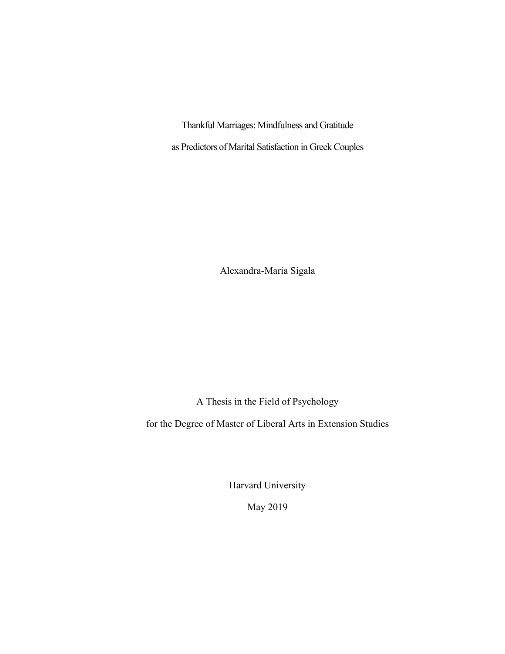Thankful Marriages: Mindfulness and Gratitude as Predictors of Marital Satisfaction in Greek Couples

Alexandra-Maria Sigala

A Thesis in the Field of Psychology

for the Degree of Master of Liberal Arts in Extension Studies

Harvard University

May 2019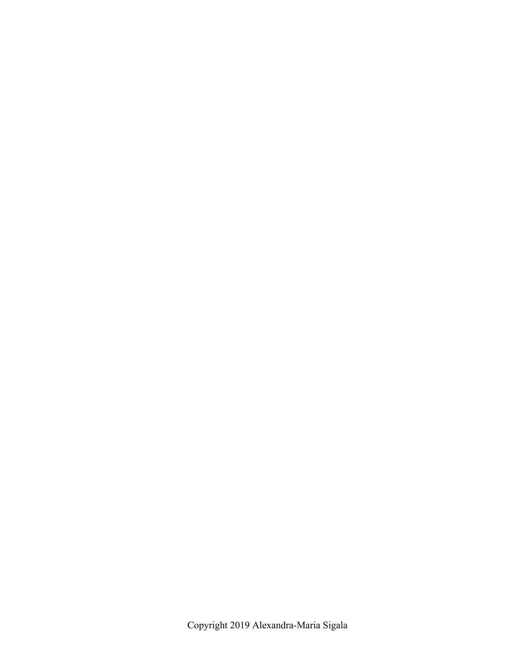Copyright 2019 Alexandra-Maria Sigala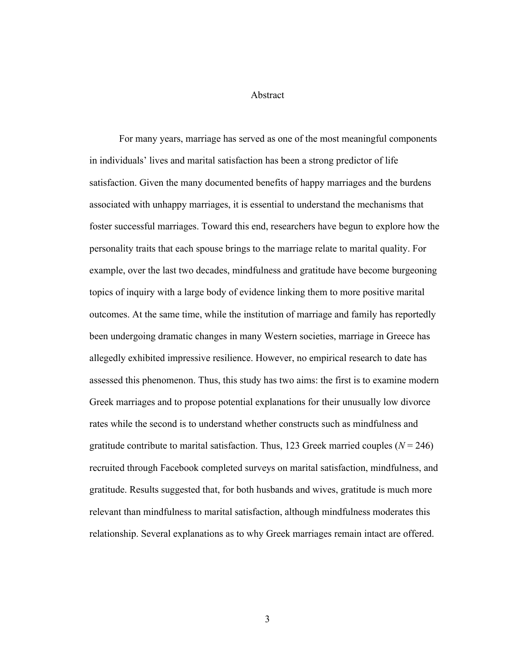Abstract

For many years, marriage has served as one of the most meaningful components in individuals' lives and marital satisfaction has been a strong predictor of life satisfaction. Given the many documented benefits of happy marriages and the burdens associated with unhappy marriages, it is essential to understand the mechanisms that foster successful marriages. Toward this end, researchers have begun to explore how the personality traits that each spouse brings to the marriage relate to marital quality. For example, over the last two decades, mindfulness and gratitude have become burgeoning topics of inquiry with a large body of evidence linking them to more positive marital outcomes. At the same time, while the institution of marriage and family has reportedly been undergoing dramatic changes in many Western societies, marriage in Greece has allegedly exhibited impressive resilience. However, no empirical research to date has assessed this phenomenon. Thus, this study has two aims: the first is to examine modern Greek marriages and to propose potential explanations for their unusually low divorce rates while the second is to understand whether constructs such as mindfulness and gratitude contribute to marital satisfaction. Thus, 123 Greek married couples  $(N = 246)$ recruited through Facebook completed surveys on marital satisfaction, mindfulness, and gratitude. Results suggested that, for both husbands and wives, gratitude is much more relevant than mindfulness to marital satisfaction, although mindfulness moderates this relationship. Several explanations as to why Greek marriages remain intact are offered.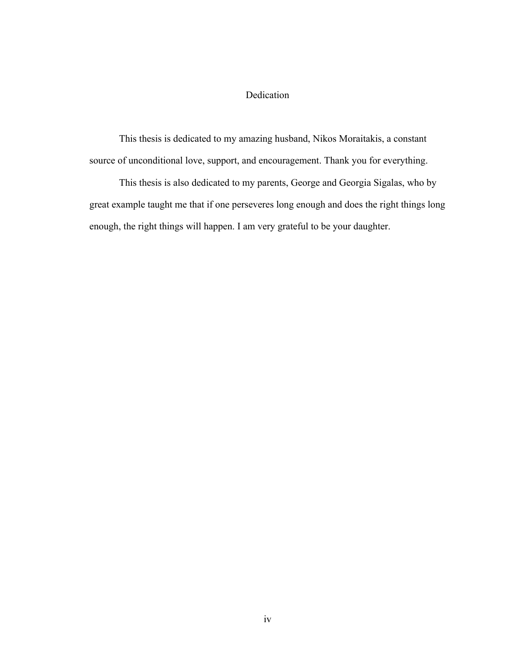## Dedication

This thesis is dedicated to my amazing husband, Nikos Moraitakis, a constant source of unconditional love, support, and encouragement. Thank you for everything.

This thesis is also dedicated to my parents, George and Georgia Sigalas, who by great example taught me that if one perseveres long enough and does the right things long enough, the right things will happen. I am very grateful to be your daughter.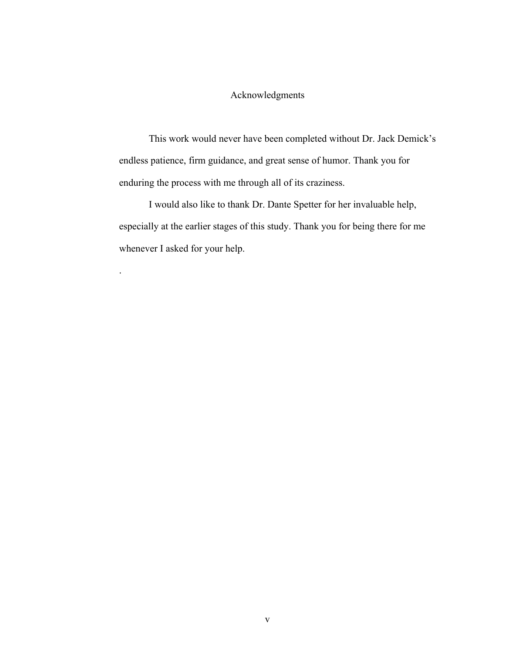## Acknowledgments

This work would never have been completed without Dr. Jack Demick's endless patience, firm guidance, and great sense of humor. Thank you for enduring the process with me through all of its craziness.

I would also like to thank Dr. Dante Spetter for her invaluable help, especially at the earlier stages of this study. Thank you for being there for me whenever I asked for your help.

.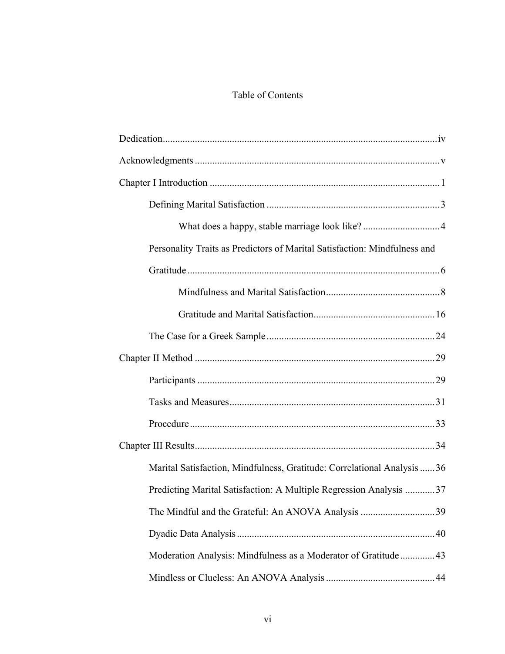## Table of Contents

| Personality Traits as Predictors of Marital Satisfaction: Mindfulness and |
|---------------------------------------------------------------------------|
|                                                                           |
|                                                                           |
|                                                                           |
|                                                                           |
|                                                                           |
|                                                                           |
|                                                                           |
|                                                                           |
|                                                                           |
| Marital Satisfaction, Mindfulness, Gratitude: Correlational Analysis 36   |
| Predicting Marital Satisfaction: A Multiple Regression Analysis 37        |
| The Mindful and the Grateful: An ANOVA Analysis 39                        |
|                                                                           |
| Moderation Analysis: Mindfulness as a Moderator of Gratitude  43          |
|                                                                           |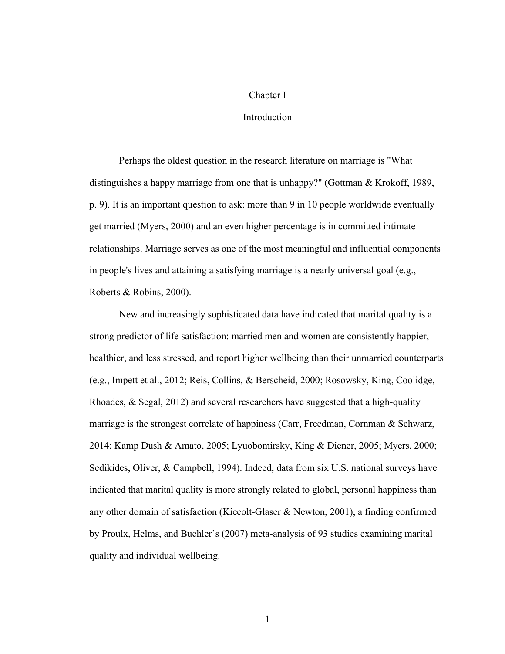#### Chapter I

### Introduction

Perhaps the oldest question in the research literature on marriage is "What distinguishes a happy marriage from one that is unhappy?" (Gottman & Krokoff, 1989, p. 9). It is an important question to ask: more than 9 in 10 people worldwide eventually get married (Myers, 2000) and an even higher percentage is in committed intimate relationships. Marriage serves as one of the most meaningful and influential components in people's lives and attaining a satisfying marriage is a nearly universal goal (e.g., Roberts & Robins, 2000).

New and increasingly sophisticated data have indicated that marital quality is a strong predictor of life satisfaction: married men and women are consistently happier, healthier, and less stressed, and report higher wellbeing than their unmarried counterparts (e.g., Impett et al., 2012; Reis, Collins, & Berscheid, 2000; Rosowsky, King, Coolidge, Rhoades, & Segal, 2012) and several researchers have suggested that a high-quality marriage is the strongest correlate of happiness (Carr, Freedman, Cornman & Schwarz, 2014; Kamp Dush & Amato, 2005; Lyuobomirsky, King & Diener, 2005; Myers, 2000; Sedikides, Oliver, & Campbell, 1994). Indeed, data from six U.S. national surveys have indicated that marital quality is more strongly related to global, personal happiness than any other domain of satisfaction (Kiecolt-Glaser & Newton, 2001), a finding confirmed by Proulx, Helms, and Buehler's (2007) meta-analysis of 93 studies examining marital quality and individual wellbeing.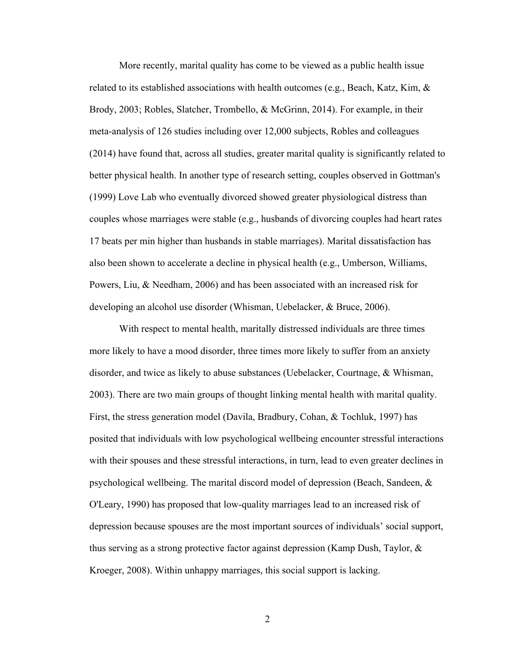More recently, marital quality has come to be viewed as a public health issue related to its established associations with health outcomes (e.g., Beach, Katz, Kim,  $\&$ Brody, 2003; Robles, Slatcher, Trombello, & McGrinn, 2014). For example, in their meta-analysis of 126 studies including over 12,000 subjects, Robles and colleagues (2014) have found that, across all studies, greater marital quality is significantly related to better physical health. In another type of research setting, couples observed in Gottman's (1999) Love Lab who eventually divorced showed greater physiological distress than couples whose marriages were stable (e.g., husbands of divorcing couples had heart rates 17 beats per min higher than husbands in stable marriages). Marital dissatisfaction has also been shown to accelerate a decline in physical health (e.g., Umberson, Williams, Powers, Liu, & Needham, 2006) and has been associated with an increased risk for developing an alcohol use disorder (Whisman, Uebelacker, & Bruce, 2006).

With respect to mental health, maritally distressed individuals are three times more likely to have a mood disorder, three times more likely to suffer from an anxiety disorder, and twice as likely to abuse substances (Uebelacker, Courtnage, & Whisman, 2003). There are two main groups of thought linking mental health with marital quality. First, the stress generation model (Davila, Bradbury, Cohan, & Tochluk, 1997) has posited that individuals with low psychological wellbeing encounter stressful interactions with their spouses and these stressful interactions, in turn, lead to even greater declines in psychological wellbeing. The marital discord model of depression (Beach, Sandeen, & O'Leary, 1990) has proposed that low-quality marriages lead to an increased risk of depression because spouses are the most important sources of individuals' social support, thus serving as a strong protective factor against depression (Kamp Dush, Taylor, & Kroeger, 2008). Within unhappy marriages, this social support is lacking.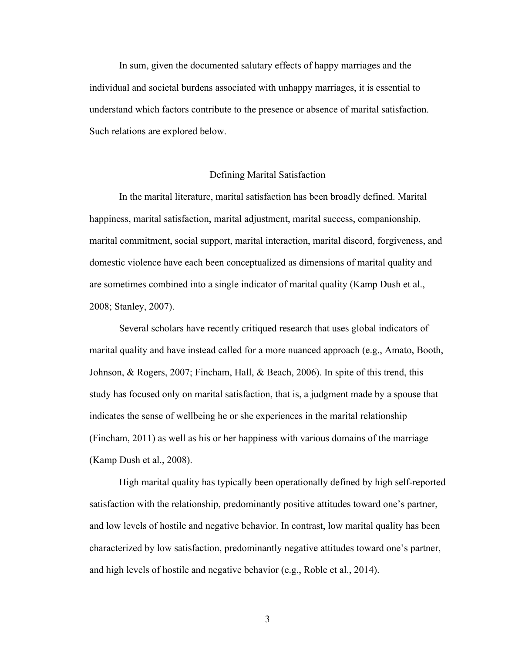In sum, given the documented salutary effects of happy marriages and the individual and societal burdens associated with unhappy marriages, it is essential to understand which factors contribute to the presence or absence of marital satisfaction. Such relations are explored below.

#### Defining Marital Satisfaction

In the marital literature, marital satisfaction has been broadly defined. Marital happiness, marital satisfaction, marital adjustment, marital success, companionship, marital commitment, social support, marital interaction, marital discord, forgiveness, and domestic violence have each been conceptualized as dimensions of marital quality and are sometimes combined into a single indicator of marital quality (Kamp Dush et al., 2008; Stanley, 2007).

Several scholars have recently critiqued research that uses global indicators of marital quality and have instead called for a more nuanced approach (e.g., Amato, Booth, Johnson, & Rogers, 2007; Fincham, Hall, & Beach, 2006). In spite of this trend, this study has focused only on marital satisfaction, that is, a judgment made by a spouse that indicates the sense of wellbeing he or she experiences in the marital relationship (Fincham, 2011) as well as his or her happiness with various domains of the marriage (Kamp Dush et al., 2008).

High marital quality has typically been operationally defined by high self-reported satisfaction with the relationship, predominantly positive attitudes toward one's partner, and low levels of hostile and negative behavior. In contrast, low marital quality has been characterized by low satisfaction, predominantly negative attitudes toward one's partner, and high levels of hostile and negative behavior (e.g., Roble et al., 2014).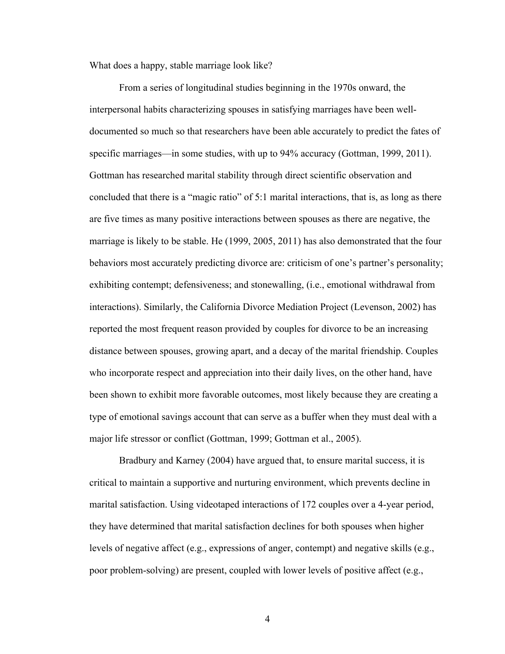What does a happy, stable marriage look like?

From a series of longitudinal studies beginning in the 1970s onward, the interpersonal habits characterizing spouses in satisfying marriages have been welldocumented so much so that researchers have been able accurately to predict the fates of specific marriages—in some studies, with up to 94% accuracy (Gottman, 1999, 2011). Gottman has researched marital stability through direct scientific observation and concluded that there is a "magic ratio" of 5:1 marital interactions, that is, as long as there are five times as many positive interactions between spouses as there are negative, the marriage is likely to be stable. He (1999, 2005, 2011) has also demonstrated that the four behaviors most accurately predicting divorce are: criticism of one's partner's personality; exhibiting contempt; defensiveness; and stonewalling, (i.e., emotional withdrawal from interactions). Similarly, the California Divorce Mediation Project (Levenson, 2002) has reported the most frequent reason provided by couples for divorce to be an increasing distance between spouses, growing apart, and a decay of the marital friendship. Couples who incorporate respect and appreciation into their daily lives, on the other hand, have been shown to exhibit more favorable outcomes, most likely because they are creating a type of emotional savings account that can serve as a buffer when they must deal with a major life stressor or conflict (Gottman, 1999; Gottman et al., 2005).

Bradbury and Karney (2004) have argued that, to ensure marital success, it is critical to maintain a supportive and nurturing environment, which prevents decline in marital satisfaction. Using videotaped interactions of 172 couples over a 4-year period, they have determined that marital satisfaction declines for both spouses when higher levels of negative affect (e.g., expressions of anger, contempt) and negative skills (e.g., poor problem-solving) are present, coupled with lower levels of positive affect (e.g.,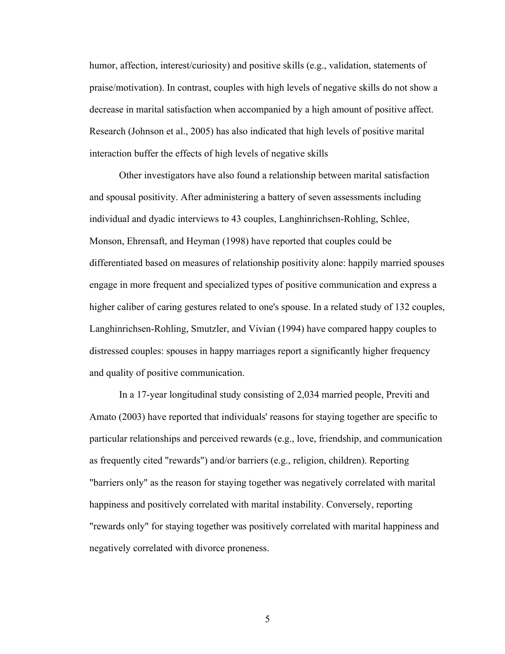humor, affection, interest/curiosity) and positive skills (e.g., validation, statements of praise/motivation). In contrast, couples with high levels of negative skills do not show a decrease in marital satisfaction when accompanied by a high amount of positive affect. Research (Johnson et al., 2005) has also indicated that high levels of positive marital interaction buffer the effects of high levels of negative skills

Other investigators have also found a relationship between marital satisfaction and spousal positivity. After administering a battery of seven assessments including individual and dyadic interviews to 43 couples, Langhinrichsen-Rohling, Schlee, Monson, Ehrensaft, and Heyman (1998) have reported that couples could be differentiated based on measures of relationship positivity alone: happily married spouses engage in more frequent and specialized types of positive communication and express a higher caliber of caring gestures related to one's spouse. In a related study of 132 couples, Langhinrichsen-Rohling, Smutzler, and Vivian (1994) have compared happy couples to distressed couples: spouses in happy marriages report a significantly higher frequency and quality of positive communication.

In a 17-year longitudinal study consisting of 2,034 married people, Previti and Amato (2003) have reported that individuals' reasons for staying together are specific to particular relationships and perceived rewards (e.g., love, friendship, and communication as frequently cited "rewards") and/or barriers (e.g., religion, children). Reporting "barriers only" as the reason for staying together was negatively correlated with marital happiness and positively correlated with marital instability. Conversely, reporting "rewards only" for staying together was positively correlated with marital happiness and negatively correlated with divorce proneness.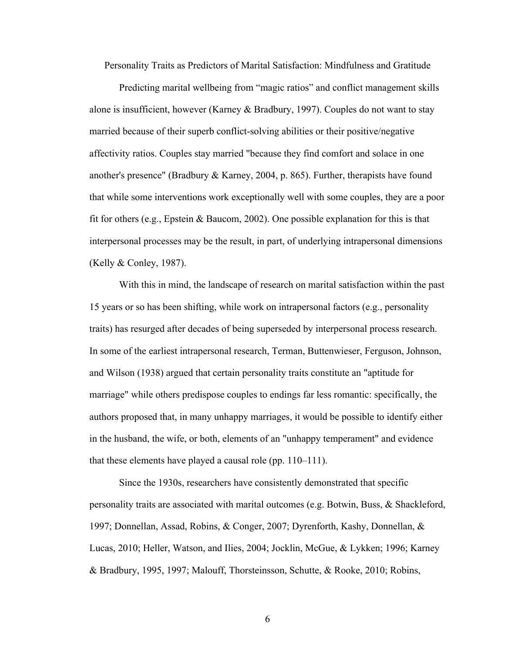Personality Traits as Predictors of Marital Satisfaction: Mindfulness and Gratitude

Predicting marital wellbeing from "magic ratios" and conflict management skills alone is insufficient, however (Karney  $&$  Bradbury, 1997). Couples do not want to stay married because of their superb conflict-solving abilities or their positive/negative affectivity ratios. Couples stay married "because they find comfort and solace in one another's presence" (Bradbury & Karney, 2004, p. 865). Further, therapists have found that while some interventions work exceptionally well with some couples, they are a poor fit for others (e.g., Epstein & Baucom, 2002). One possible explanation for this is that interpersonal processes may be the result, in part, of underlying intrapersonal dimensions (Kelly & Conley, 1987).

With this in mind, the landscape of research on marital satisfaction within the past 15 years or so has been shifting, while work on intrapersonal factors (e.g., personality traits) has resurged after decades of being superseded by interpersonal process research. In some of the earliest intrapersonal research, Terman, Buttenwieser, Ferguson, Johnson, and Wilson (1938) argued that certain personality traits constitute an "aptitude for marriage" while others predispose couples to endings far less romantic: specifically, the authors proposed that, in many unhappy marriages, it would be possible to identify either in the husband, the wife, or both, elements of an "unhappy temperament" and evidence that these elements have played a causal role (pp. 110–111).

Since the 1930s, researchers have consistently demonstrated that specific personality traits are associated with marital outcomes (e.g. Botwin, Buss, & Shackleford, 1997; Donnellan, Assad, Robins, & Conger, 2007; Dyrenforth, Kashy, Donnellan, & Lucas, 2010; Heller, Watson, and Ilies, 2004; Jocklin, McGue, & Lykken; 1996; Karney & Bradbury, 1995, 1997; Malouff, Thorsteinsson, Schutte, & Rooke, 2010; Robins,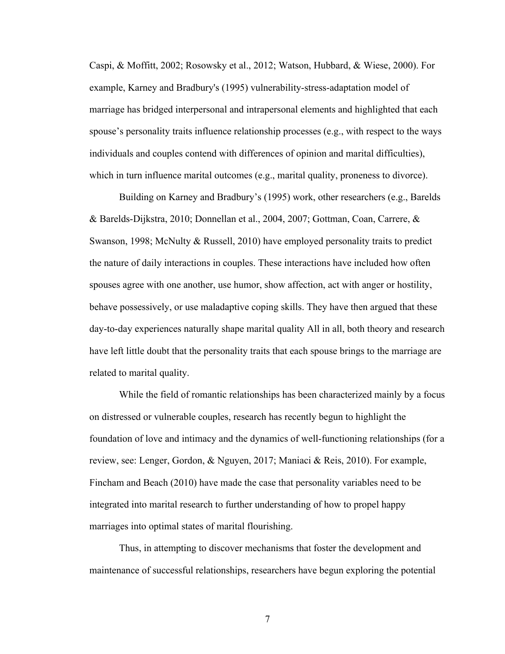Caspi, & Moffitt, 2002; Rosowsky et al., 2012; Watson, Hubbard, & Wiese, 2000). For example, Karney and Bradbury's (1995) vulnerability-stress-adaptation model of marriage has bridged interpersonal and intrapersonal elements and highlighted that each spouse's personality traits influence relationship processes (e.g., with respect to the ways individuals and couples contend with differences of opinion and marital difficulties), which in turn influence marital outcomes (e.g., marital quality, proneness to divorce).

Building on Karney and Bradbury's (1995) work, other researchers (e.g., Barelds & Barelds-Dijkstra, 2010; Donnellan et al., 2004, 2007; Gottman, Coan, Carrere, & Swanson, 1998; McNulty & Russell, 2010) have employed personality traits to predict the nature of daily interactions in couples. These interactions have included how often spouses agree with one another, use humor, show affection, act with anger or hostility, behave possessively, or use maladaptive coping skills. They have then argued that these day-to-day experiences naturally shape marital quality All in all, both theory and research have left little doubt that the personality traits that each spouse brings to the marriage are related to marital quality.

While the field of romantic relationships has been characterized mainly by a focus on distressed or vulnerable couples, research has recently begun to highlight the foundation of love and intimacy and the dynamics of well-functioning relationships (for a review, see: Lenger, Gordon, & Nguyen, 2017; Maniaci & Reis, 2010). For example, Fincham and Beach (2010) have made the case that personality variables need to be integrated into marital research to further understanding of how to propel happy marriages into optimal states of marital flourishing.

Thus, in attempting to discover mechanisms that foster the development and maintenance of successful relationships, researchers have begun exploring the potential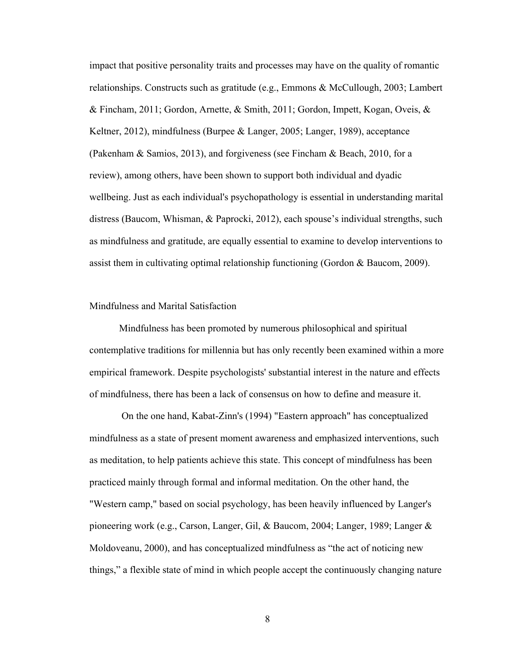impact that positive personality traits and processes may have on the quality of romantic relationships. Constructs such as gratitude (e.g., Emmons & McCullough, 2003; Lambert & Fincham, 2011; Gordon, Arnette, & Smith, 2011; Gordon, Impett, Kogan, Oveis, & Keltner, 2012), mindfulness (Burpee & Langer, 2005; Langer, 1989), acceptance (Pakenham & Samios, 2013), and forgiveness (see Fincham & Beach, 2010, for a review), among others, have been shown to support both individual and dyadic wellbeing. Just as each individual's psychopathology is essential in understanding marital distress (Baucom, Whisman, & Paprocki, 2012), each spouse's individual strengths, such as mindfulness and gratitude, are equally essential to examine to develop interventions to assist them in cultivating optimal relationship functioning (Gordon & Baucom, 2009).

## Mindfulness and Marital Satisfaction

Mindfulness has been promoted by numerous philosophical and spiritual contemplative traditions for millennia but has only recently been examined within a more empirical framework. Despite psychologists' substantial interest in the nature and effects of mindfulness, there has been a lack of consensus on how to define and measure it.

On the one hand, Kabat-Zinn's (1994) "Eastern approach" has conceptualized mindfulness as a state of present moment awareness and emphasized interventions, such as meditation, to help patients achieve this state. This concept of mindfulness has been practiced mainly through formal and informal meditation. On the other hand, the "Western camp," based on social psychology, has been heavily influenced by Langer's pioneering work (e.g., Carson, Langer, Gil, & Baucom, 2004; Langer, 1989; Langer & Moldoveanu, 2000), and has conceptualized mindfulness as "the act of noticing new things," a flexible state of mind in which people accept the continuously changing nature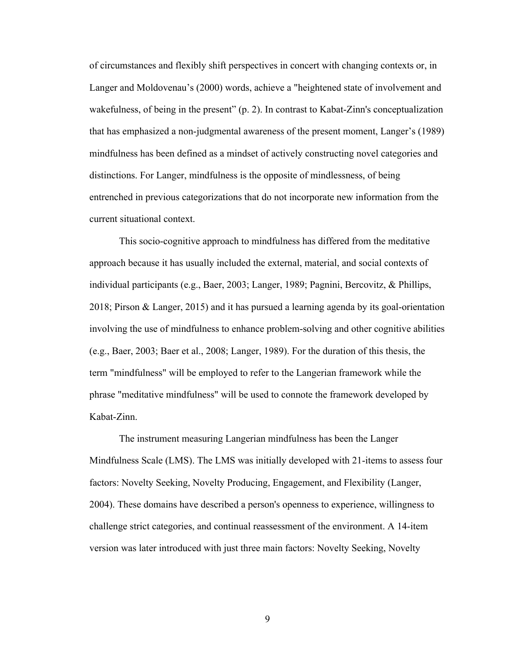of circumstances and flexibly shift perspectives in concert with changing contexts or, in Langer and Moldovenau's (2000) words, achieve a "heightened state of involvement and wakefulness, of being in the present" (p. 2). In contrast to Kabat-Zinn's conceptualization that has emphasized a non-judgmental awareness of the present moment, Langer's (1989) mindfulness has been defined as a mindset of actively constructing novel categories and distinctions. For Langer, mindfulness is the opposite of mindlessness, of being entrenched in previous categorizations that do not incorporate new information from the current situational context.

This socio-cognitive approach to mindfulness has differed from the meditative approach because it has usually included the external, material, and social contexts of individual participants (e.g., Baer, 2003; Langer, 1989; Pagnini, Bercovitz, & Phillips, 2018; Pirson & Langer, 2015) and it has pursued a learning agenda by its goal-orientation involving the use of mindfulness to enhance problem-solving and other cognitive abilities (e.g., Baer, 2003; Baer et al., 2008; Langer, 1989). For the duration of this thesis, the term "mindfulness" will be employed to refer to the Langerian framework while the phrase "meditative mindfulness" will be used to connote the framework developed by Kabat-Zinn.

The instrument measuring Langerian mindfulness has been the Langer Mindfulness Scale (LMS). The LMS was initially developed with 21-items to assess four factors: Novelty Seeking, Novelty Producing, Engagement, and Flexibility (Langer, 2004). These domains have described a person's openness to experience, willingness to challenge strict categories, and continual reassessment of the environment. A 14-item version was later introduced with just three main factors: Novelty Seeking, Novelty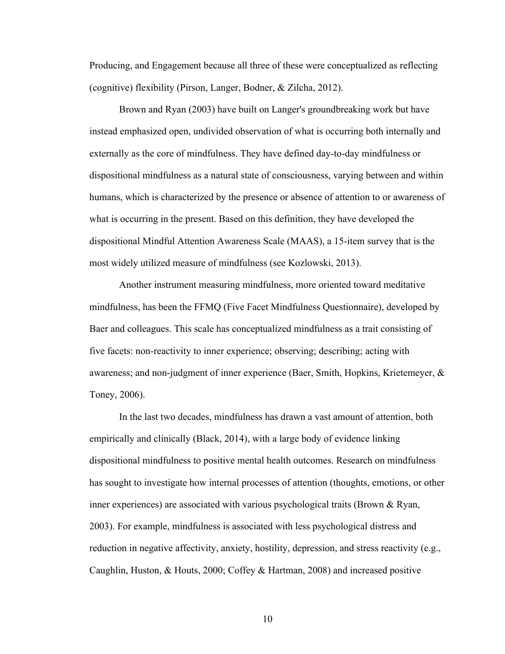Producing, and Engagement because all three of these were conceptualized as reflecting (cognitive) flexibility (Pirson, Langer, Bodner, & Zilcha, 2012).

Brown and Ryan (2003) have built on Langer's groundbreaking work but have instead emphasized open, undivided observation of what is occurring both internally and externally as the core of mindfulness. They have defined day-to-day mindfulness or dispositional mindfulness as a natural state of consciousness, varying between and within humans, which is characterized by the presence or absence of attention to or awareness of what is occurring in the present. Based on this definition, they have developed the dispositional Mindful Attention Awareness Scale (MAAS), a 15-item survey that is the most widely utilized measure of mindfulness (see Kozlowski, 2013).

Another instrument measuring mindfulness, more oriented toward meditative mindfulness, has been the FFMQ (Five Facet Mindfulness Questionnaire), developed by Baer and colleagues. This scale has conceptualized mindfulness as a trait consisting of five facets: non-reactivity to inner experience; observing; describing; acting with awareness; and non-judgment of inner experience (Baer, Smith, Hopkins, Krietemeyer, & Toney, 2006).

In the last two decades, mindfulness has drawn a vast amount of attention, both empirically and clinically (Black, 2014), with a large body of evidence linking dispositional mindfulness to positive mental health outcomes. Research on mindfulness has sought to investigate how internal processes of attention (thoughts, emotions, or other inner experiences) are associated with various psychological traits (Brown & Ryan, 2003). For example, mindfulness is associated with less psychological distress and reduction in negative affectivity, anxiety, hostility, depression, and stress reactivity (e.g., Caughlin, Huston, & Houts, 2000; Coffey & Hartman, 2008) and increased positive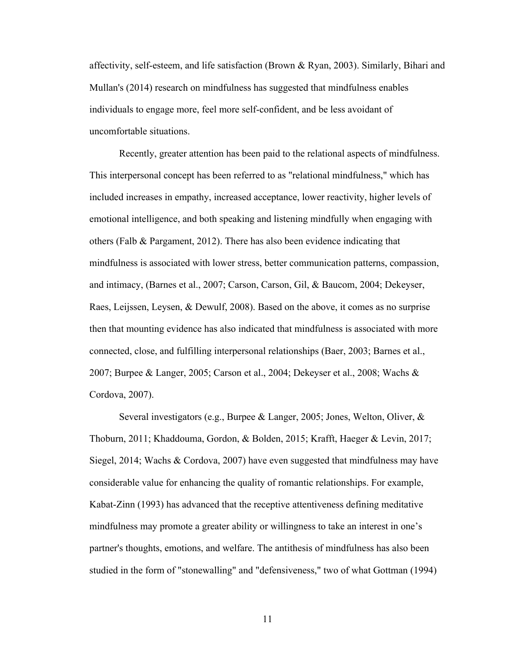affectivity, self-esteem, and life satisfaction (Brown & Ryan, 2003). Similarly, Bihari and Mullan's (2014) research on mindfulness has suggested that mindfulness enables individuals to engage more, feel more self-confident, and be less avoidant of uncomfortable situations.

Recently, greater attention has been paid to the relational aspects of mindfulness. This interpersonal concept has been referred to as "relational mindfulness," which has included increases in empathy, increased acceptance, lower reactivity, higher levels of emotional intelligence, and both speaking and listening mindfully when engaging with others (Falb & Pargament, 2012). There has also been evidence indicating that mindfulness is associated with lower stress, better communication patterns, compassion, and intimacy, (Barnes et al., 2007; Carson, Carson, Gil, & Baucom, 2004; Dekeyser, Raes, Leijssen, Leysen, & Dewulf, 2008). Based on the above, it comes as no surprise then that mounting evidence has also indicated that mindfulness is associated with more connected, close, and fulfilling interpersonal relationships (Baer, 2003; Barnes et al., 2007; Burpee & Langer, 2005; Carson et al., 2004; Dekeyser et al., 2008; Wachs & Cordova, 2007).

Several investigators (e.g., Burpee & Langer, 2005; Jones, Welton, Oliver, & Thoburn, 2011; Khaddouma, Gordon, & Bolden, 2015; Krafft, Haeger & Levin, 2017; Siegel, 2014; Wachs & Cordova, 2007) have even suggested that mindfulness may have considerable value for enhancing the quality of romantic relationships. For example, Kabat-Zinn (1993) has advanced that the receptive attentiveness defining meditative mindfulness may promote a greater ability or willingness to take an interest in one's partner's thoughts, emotions, and welfare. The antithesis of mindfulness has also been studied in the form of "stonewalling" and "defensiveness," two of what Gottman (1994)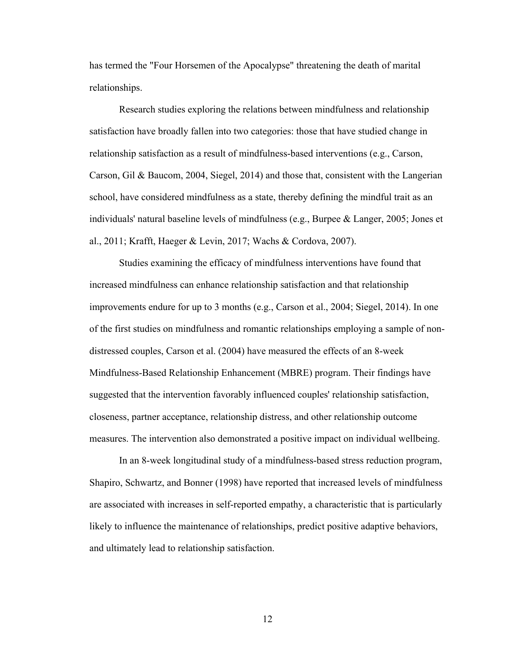has termed the "Four Horsemen of the Apocalypse" threatening the death of marital relationships.

Research studies exploring the relations between mindfulness and relationship satisfaction have broadly fallen into two categories: those that have studied change in relationship satisfaction as a result of mindfulness-based interventions (e.g., Carson, Carson, Gil & Baucom, 2004, Siegel, 2014) and those that, consistent with the Langerian school, have considered mindfulness as a state, thereby defining the mindful trait as an individuals' natural baseline levels of mindfulness (e.g., Burpee & Langer, 2005; Jones et al., 2011; Krafft, Haeger & Levin, 2017; Wachs & Cordova, 2007).

Studies examining the efficacy of mindfulness interventions have found that increased mindfulness can enhance relationship satisfaction and that relationship improvements endure for up to 3 months (e.g., Carson et al., 2004; Siegel, 2014). In one of the first studies on mindfulness and romantic relationships employing a sample of nondistressed couples, Carson et al. (2004) have measured the effects of an 8-week Mindfulness-Based Relationship Enhancement (MBRE) program. Their findings have suggested that the intervention favorably influenced couples' relationship satisfaction, closeness, partner acceptance, relationship distress, and other relationship outcome measures. The intervention also demonstrated a positive impact on individual wellbeing.

In an 8-week longitudinal study of a mindfulness-based stress reduction program, Shapiro, Schwartz, and Bonner (1998) have reported that increased levels of mindfulness are associated with increases in self-reported empathy, a characteristic that is particularly likely to influence the maintenance of relationships, predict positive adaptive behaviors, and ultimately lead to relationship satisfaction.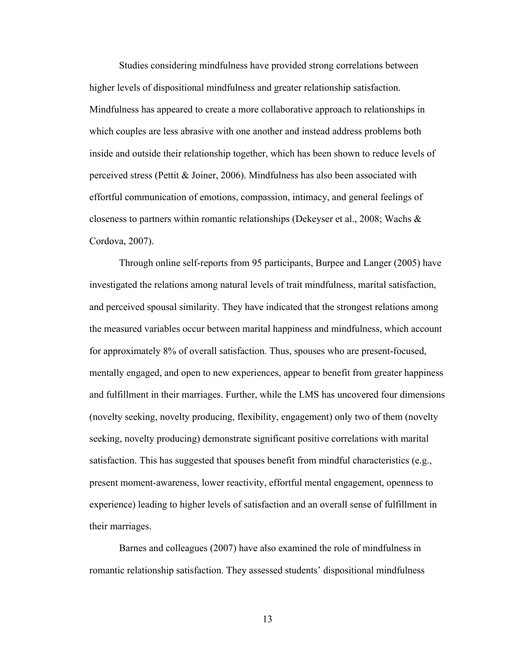Studies considering mindfulness have provided strong correlations between higher levels of dispositional mindfulness and greater relationship satisfaction. Mindfulness has appeared to create a more collaborative approach to relationships in which couples are less abrasive with one another and instead address problems both inside and outside their relationship together, which has been shown to reduce levels of perceived stress (Pettit & Joiner, 2006). Mindfulness has also been associated with effortful communication of emotions, compassion, intimacy, and general feelings of closeness to partners within romantic relationships (Dekeyser et al., 2008; Wachs & Cordova, 2007).

Through online self-reports from 95 participants, Burpee and Langer (2005) have investigated the relations among natural levels of trait mindfulness, marital satisfaction, and perceived spousal similarity. They have indicated that the strongest relations among the measured variables occur between marital happiness and mindfulness, which account for approximately 8% of overall satisfaction. Thus, spouses who are present-focused, mentally engaged, and open to new experiences, appear to benefit from greater happiness and fulfillment in their marriages. Further, while the LMS has uncovered four dimensions (novelty seeking, novelty producing, flexibility, engagement) only two of them (novelty seeking, novelty producing) demonstrate significant positive correlations with marital satisfaction. This has suggested that spouses benefit from mindful characteristics (e.g., present moment-awareness, lower reactivity, effortful mental engagement, openness to experience) leading to higher levels of satisfaction and an overall sense of fulfillment in their marriages.

Barnes and colleagues (2007) have also examined the role of mindfulness in romantic relationship satisfaction. They assessed students' dispositional mindfulness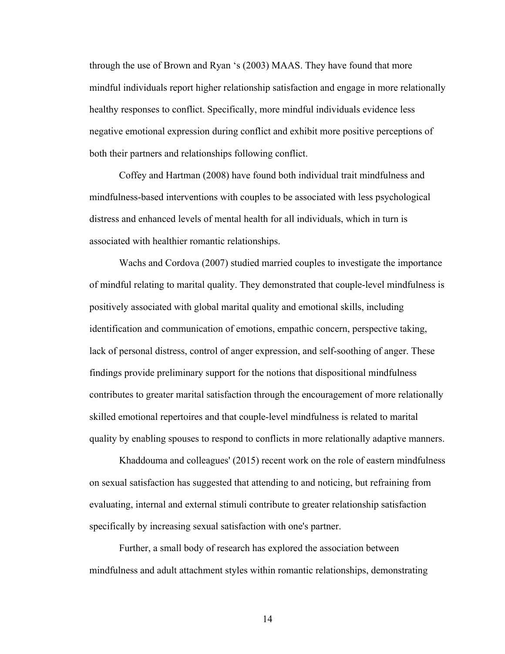through the use of Brown and Ryan 's (2003) MAAS. They have found that more mindful individuals report higher relationship satisfaction and engage in more relationally healthy responses to conflict. Specifically, more mindful individuals evidence less negative emotional expression during conflict and exhibit more positive perceptions of both their partners and relationships following conflict.

Coffey and Hartman (2008) have found both individual trait mindfulness and mindfulness-based interventions with couples to be associated with less psychological distress and enhanced levels of mental health for all individuals, which in turn is associated with healthier romantic relationships.

Wachs and Cordova (2007) studied married couples to investigate the importance of mindful relating to marital quality. They demonstrated that couple-level mindfulness is positively associated with global marital quality and emotional skills, including identification and communication of emotions, empathic concern, perspective taking, lack of personal distress, control of anger expression, and self-soothing of anger. These findings provide preliminary support for the notions that dispositional mindfulness contributes to greater marital satisfaction through the encouragement of more relationally skilled emotional repertoires and that couple-level mindfulness is related to marital quality by enabling spouses to respond to conflicts in more relationally adaptive manners.

Khaddouma and colleagues' (2015) recent work on the role of eastern mindfulness on sexual satisfaction has suggested that attending to and noticing, but refraining from evaluating, internal and external stimuli contribute to greater relationship satisfaction specifically by increasing sexual satisfaction with one's partner.

Further, a small body of research has explored the association between mindfulness and adult attachment styles within romantic relationships, demonstrating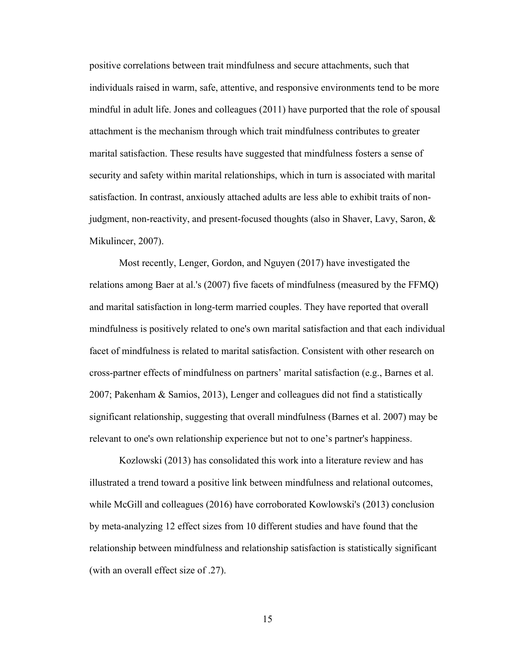positive correlations between trait mindfulness and secure attachments, such that individuals raised in warm, safe, attentive, and responsive environments tend to be more mindful in adult life. Jones and colleagues (2011) have purported that the role of spousal attachment is the mechanism through which trait mindfulness contributes to greater marital satisfaction. These results have suggested that mindfulness fosters a sense of security and safety within marital relationships, which in turn is associated with marital satisfaction. In contrast, anxiously attached adults are less able to exhibit traits of nonjudgment, non-reactivity, and present-focused thoughts (also in Shaver, Lavy, Saron, & Mikulincer, 2007).

Most recently, Lenger, Gordon, and Nguyen (2017) have investigated the relations among Baer at al.'s (2007) five facets of mindfulness (measured by the FFMQ) and marital satisfaction in long-term married couples. They have reported that overall mindfulness is positively related to one's own marital satisfaction and that each individual facet of mindfulness is related to marital satisfaction. Consistent with other research on cross-partner effects of mindfulness on partners' marital satisfaction (e.g., Barnes et al. 2007; Pakenham & Samios, 2013), Lenger and colleagues did not find a statistically significant relationship, suggesting that overall mindfulness (Barnes et al. 2007) may be relevant to one's own relationship experience but not to one's partner's happiness.

Kozlowski (2013) has consolidated this work into a literature review and has illustrated a trend toward a positive link between mindfulness and relational outcomes, while McGill and colleagues (2016) have corroborated Kowlowski's (2013) conclusion by meta-analyzing 12 effect sizes from 10 different studies and have found that the relationship between mindfulness and relationship satisfaction is statistically significant (with an overall effect size of .27).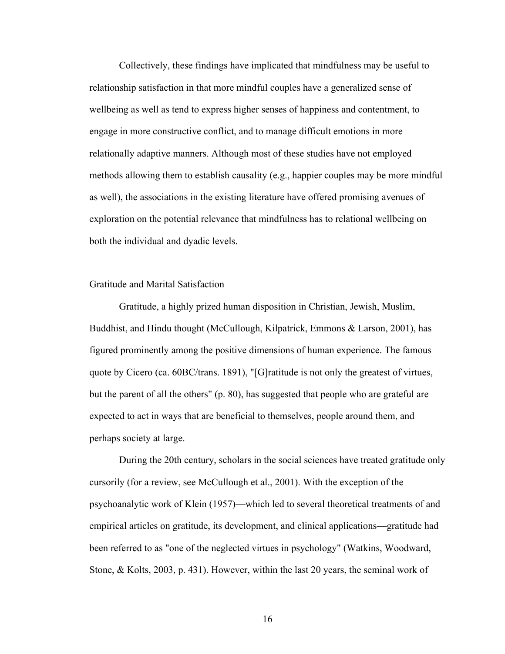Collectively, these findings have implicated that mindfulness may be useful to relationship satisfaction in that more mindful couples have a generalized sense of wellbeing as well as tend to express higher senses of happiness and contentment, to engage in more constructive conflict, and to manage difficult emotions in more relationally adaptive manners. Although most of these studies have not employed methods allowing them to establish causality (e.g., happier couples may be more mindful as well), the associations in the existing literature have offered promising avenues of exploration on the potential relevance that mindfulness has to relational wellbeing on both the individual and dyadic levels.

### Gratitude and Marital Satisfaction

Gratitude, a highly prized human disposition in Christian, Jewish, Muslim, Buddhist, and Hindu thought (McCullough, Kilpatrick, Emmons & Larson, 2001), has figured prominently among the positive dimensions of human experience. The famous quote by Cicero (ca. 60BC/trans. 1891), "[G]ratitude is not only the greatest of virtues, but the parent of all the others" (p. 80), has suggested that people who are grateful are expected to act in ways that are beneficial to themselves, people around them, and perhaps society at large.

During the 20th century, scholars in the social sciences have treated gratitude only cursorily (for a review, see McCullough et al., 2001). With the exception of the psychoanalytic work of Klein (1957)—which led to several theoretical treatments of and empirical articles on gratitude, its development, and clinical applications—gratitude had been referred to as "one of the neglected virtues in psychology" (Watkins, Woodward, Stone, & Kolts, 2003, p. 431). However, within the last 20 years, the seminal work of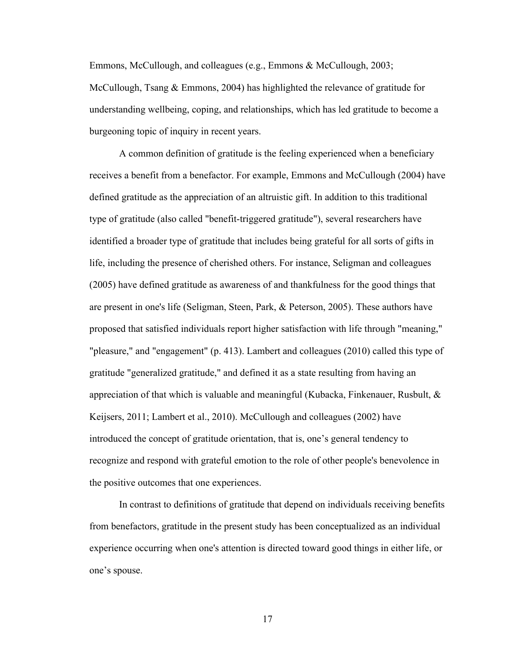Emmons, McCullough, and colleagues (e.g., Emmons & McCullough, 2003; McCullough, Tsang & Emmons, 2004) has highlighted the relevance of gratitude for understanding wellbeing, coping, and relationships, which has led gratitude to become a burgeoning topic of inquiry in recent years.

A common definition of gratitude is the feeling experienced when a beneficiary receives a benefit from a benefactor. For example, Emmons and McCullough (2004) have defined gratitude as the appreciation of an altruistic gift. In addition to this traditional type of gratitude (also called "benefit-triggered gratitude"), several researchers have identified a broader type of gratitude that includes being grateful for all sorts of gifts in life, including the presence of cherished others. For instance, Seligman and colleagues (2005) have defined gratitude as awareness of and thankfulness for the good things that are present in one's life (Seligman, Steen, Park, & Peterson, 2005). These authors have proposed that satisfied individuals report higher satisfaction with life through "meaning," "pleasure," and "engagement" (p. 413). Lambert and colleagues (2010) called this type of gratitude "generalized gratitude," and defined it as a state resulting from having an appreciation of that which is valuable and meaningful (Kubacka, Finkenauer, Rusbult, & Keijsers, 2011; Lambert et al., 2010). McCullough and colleagues (2002) have introduced the concept of gratitude orientation, that is, one's general tendency to recognize and respond with grateful emotion to the role of other people's benevolence in the positive outcomes that one experiences.

In contrast to definitions of gratitude that depend on individuals receiving benefits from benefactors, gratitude in the present study has been conceptualized as an individual experience occurring when one's attention is directed toward good things in either life, or one's spouse.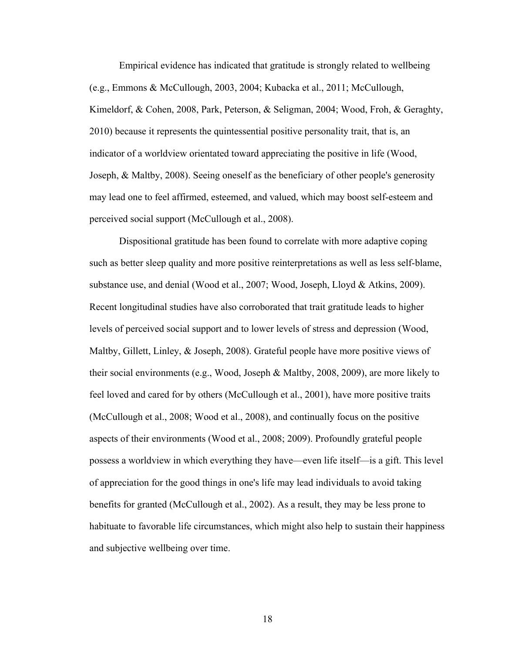Empirical evidence has indicated that gratitude is strongly related to wellbeing (e.g., Emmons & McCullough, 2003, 2004; Kubacka et al., 2011; McCullough, Kimeldorf, & Cohen, 2008, Park, Peterson, & Seligman, 2004; Wood, Froh, & Geraghty, 2010) because it represents the quintessential positive personality trait, that is, an indicator of a worldview orientated toward appreciating the positive in life (Wood, Joseph, & Maltby, 2008). Seeing oneself as the beneficiary of other people's generosity may lead one to feel affirmed, esteemed, and valued, which may boost self-esteem and perceived social support (McCullough et al., 2008).

Dispositional gratitude has been found to correlate with more adaptive coping such as better sleep quality and more positive reinterpretations as well as less self-blame, substance use, and denial (Wood et al., 2007; Wood, Joseph, Lloyd & Atkins, 2009). Recent longitudinal studies have also corroborated that trait gratitude leads to higher levels of perceived social support and to lower levels of stress and depression (Wood, Maltby, Gillett, Linley, & Joseph, 2008). Grateful people have more positive views of their social environments (e.g., Wood, Joseph & Maltby, 2008, 2009), are more likely to feel loved and cared for by others (McCullough et al., 2001), have more positive traits (McCullough et al., 2008; Wood et al., 2008), and continually focus on the positive aspects of their environments (Wood et al., 2008; 2009). Profoundly grateful people possess a worldview in which everything they have—even life itself—is a gift. This level of appreciation for the good things in one's life may lead individuals to avoid taking benefits for granted (McCullough et al., 2002). As a result, they may be less prone to habituate to favorable life circumstances, which might also help to sustain their happiness and subjective wellbeing over time.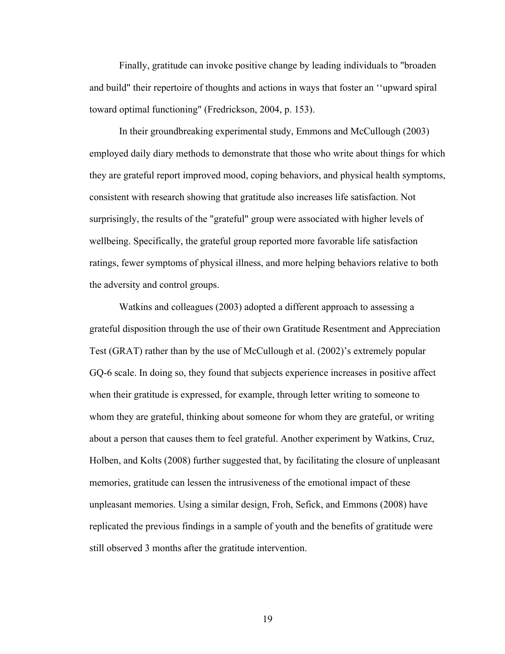Finally, gratitude can invoke positive change by leading individuals to "broaden and build" their repertoire of thoughts and actions in ways that foster an ''upward spiral toward optimal functioning" (Fredrickson, 2004, p. 153).

In their groundbreaking experimental study, Emmons and McCullough (2003) employed daily diary methods to demonstrate that those who write about things for which they are grateful report improved mood, coping behaviors, and physical health symptoms, consistent with research showing that gratitude also increases life satisfaction. Not surprisingly, the results of the "grateful" group were associated with higher levels of wellbeing. Specifically, the grateful group reported more favorable life satisfaction ratings, fewer symptoms of physical illness, and more helping behaviors relative to both the adversity and control groups.

Watkins and colleagues (2003) adopted a different approach to assessing a grateful disposition through the use of their own Gratitude Resentment and Appreciation Test (GRAT) rather than by the use of McCullough et al. (2002)'s extremely popular GQ-6 scale. In doing so, they found that subjects experience increases in positive affect when their gratitude is expressed, for example, through letter writing to someone to whom they are grateful, thinking about someone for whom they are grateful, or writing about a person that causes them to feel grateful. Another experiment by Watkins, Cruz, Holben, and Kolts (2008) further suggested that, by facilitating the closure of unpleasant memories, gratitude can lessen the intrusiveness of the emotional impact of these unpleasant memories. Using a similar design, Froh, Sefick, and Emmons (2008) have replicated the previous findings in a sample of youth and the benefits of gratitude were still observed 3 months after the gratitude intervention.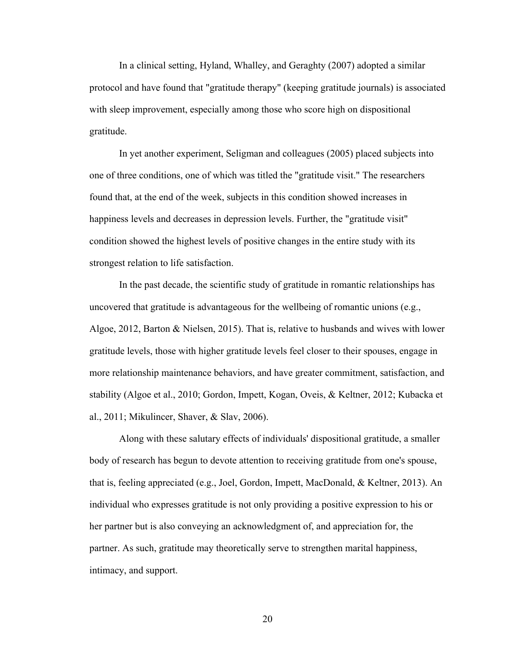In a clinical setting, Hyland, Whalley, and Geraghty (2007) adopted a similar protocol and have found that "gratitude therapy" (keeping gratitude journals) is associated with sleep improvement, especially among those who score high on dispositional gratitude.

In yet another experiment, Seligman and colleagues (2005) placed subjects into one of three conditions, one of which was titled the "gratitude visit." The researchers found that, at the end of the week, subjects in this condition showed increases in happiness levels and decreases in depression levels. Further, the "gratitude visit" condition showed the highest levels of positive changes in the entire study with its strongest relation to life satisfaction.

In the past decade, the scientific study of gratitude in romantic relationships has uncovered that gratitude is advantageous for the wellbeing of romantic unions (e.g., Algoe, 2012, Barton & Nielsen, 2015). That is, relative to husbands and wives with lower gratitude levels, those with higher gratitude levels feel closer to their spouses, engage in more relationship maintenance behaviors, and have greater commitment, satisfaction, and stability (Algoe et al., 2010; Gordon, Impett, Kogan, Oveis, & Keltner, 2012; Kubacka et al., 2011; Mikulincer, Shaver, & Slav, 2006).

Along with these salutary effects of individuals' dispositional gratitude, a smaller body of research has begun to devote attention to receiving gratitude from one's spouse, that is, feeling appreciated (e.g., Joel, Gordon, Impett, MacDonald, & Keltner, 2013). An individual who expresses gratitude is not only providing a positive expression to his or her partner but is also conveying an acknowledgment of, and appreciation for, the partner. As such, gratitude may theoretically serve to strengthen marital happiness, intimacy, and support.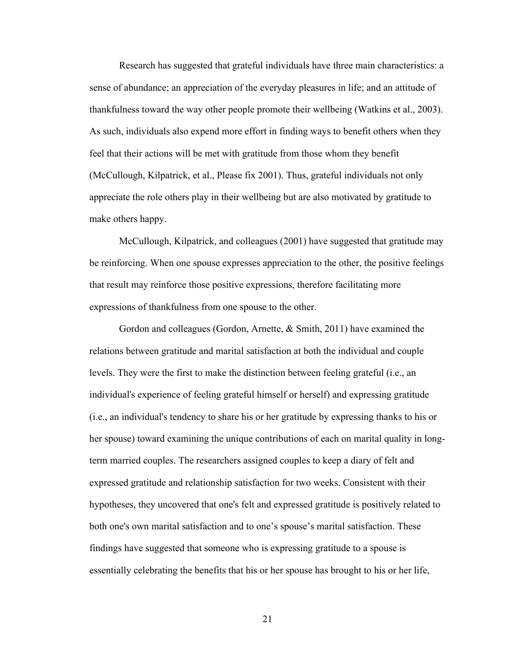Research has suggested that grateful individuals have three main characteristics: a sense of abundance; an appreciation of the everyday pleasures in life; and an attitude of thankfulness toward the way other people promote their wellbeing (Watkins et al., 2003). As such, individuals also expend more effort in finding ways to benefit others when they feel that their actions will be met with gratitude from those whom they benefit (McCullough, Kilpatrick, et al., Please fix 2001). Thus, grateful individuals not only appreciate the role others play in their wellbeing but are also motivated by gratitude to make others happy.

McCullough, Kilpatrick, and colleagues (2001) have suggested that gratitude may be reinforcing. When one spouse expresses appreciation to the other, the positive feelings that result may reinforce those positive expressions, therefore facilitating more expressions of thankfulness from one spouse to the other.

Gordon and colleagues (Gordon, Arnette, & Smith, 2011) have examined the relations between gratitude and marital satisfaction at both the individual and couple levels. They were the first to make the distinction between feeling grateful (i.e., an individual's experience of feeling grateful himself or herself) and expressing gratitude (i.e., an individual's tendency to share his or her gratitude by expressing thanks to his or her spouse) toward examining the unique contributions of each on marital quality in longterm married couples. The researchers assigned couples to keep a diary of felt and expressed gratitude and relationship satisfaction for two weeks. Consistent with their hypotheses, they uncovered that one's felt and expressed gratitude is positively related to both one's own marital satisfaction and to one's spouse's marital satisfaction. These findings have suggested that someone who is expressing gratitude to a spouse is essentially celebrating the benefits that his or her spouse has brought to his or her life,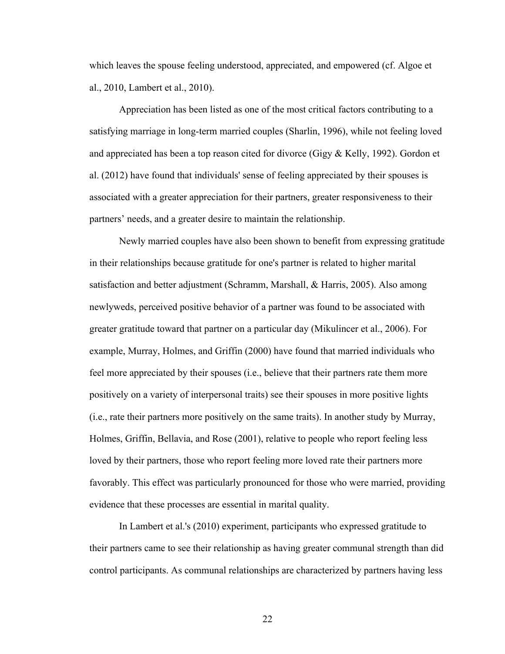which leaves the spouse feeling understood, appreciated, and empowered (cf. Algoe et al., 2010, Lambert et al., 2010).

Appreciation has been listed as one of the most critical factors contributing to a satisfying marriage in long-term married couples (Sharlin, 1996), while not feeling loved and appreciated has been a top reason cited for divorce (Gigy & Kelly, 1992). Gordon et al. (2012) have found that individuals' sense of feeling appreciated by their spouses is associated with a greater appreciation for their partners, greater responsiveness to their partners' needs, and a greater desire to maintain the relationship.

Newly married couples have also been shown to benefit from expressing gratitude in their relationships because gratitude for one's partner is related to higher marital satisfaction and better adjustment (Schramm, Marshall, & Harris, 2005). Also among newlyweds, perceived positive behavior of a partner was found to be associated with greater gratitude toward that partner on a particular day (Mikulincer et al., 2006). For example, Murray, Holmes, and Griffin (2000) have found that married individuals who feel more appreciated by their spouses (i.e., believe that their partners rate them more positively on a variety of interpersonal traits) see their spouses in more positive lights (i.e., rate their partners more positively on the same traits). In another study by Murray, Holmes, Griffin, Bellavia, and Rose (2001), relative to people who report feeling less loved by their partners, those who report feeling more loved rate their partners more favorably. This effect was particularly pronounced for those who were married, providing evidence that these processes are essential in marital quality.

In Lambert et al.'s (2010) experiment, participants who expressed gratitude to their partners came to see their relationship as having greater communal strength than did control participants. As communal relationships are characterized by partners having less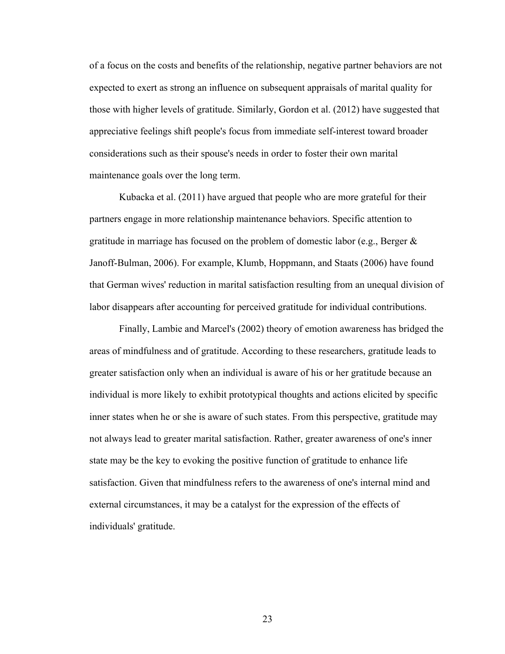of a focus on the costs and benefits of the relationship, negative partner behaviors are not expected to exert as strong an influence on subsequent appraisals of marital quality for those with higher levels of gratitude. Similarly, Gordon et al. (2012) have suggested that appreciative feelings shift people's focus from immediate self-interest toward broader considerations such as their spouse's needs in order to foster their own marital maintenance goals over the long term.

Kubacka et al. (2011) have argued that people who are more grateful for their partners engage in more relationship maintenance behaviors. Specific attention to gratitude in marriage has focused on the problem of domestic labor (e.g., Berger  $\&$ Janoff-Bulman, 2006). For example, Klumb, Hoppmann, and Staats (2006) have found that German wives' reduction in marital satisfaction resulting from an unequal division of labor disappears after accounting for perceived gratitude for individual contributions.

Finally, Lambie and Marcel's (2002) theory of emotion awareness has bridged the areas of mindfulness and of gratitude. According to these researchers, gratitude leads to greater satisfaction only when an individual is aware of his or her gratitude because an individual is more likely to exhibit prototypical thoughts and actions elicited by specific inner states when he or she is aware of such states. From this perspective, gratitude may not always lead to greater marital satisfaction. Rather, greater awareness of one's inner state may be the key to evoking the positive function of gratitude to enhance life satisfaction. Given that mindfulness refers to the awareness of one's internal mind and external circumstances, it may be a catalyst for the expression of the effects of individuals' gratitude.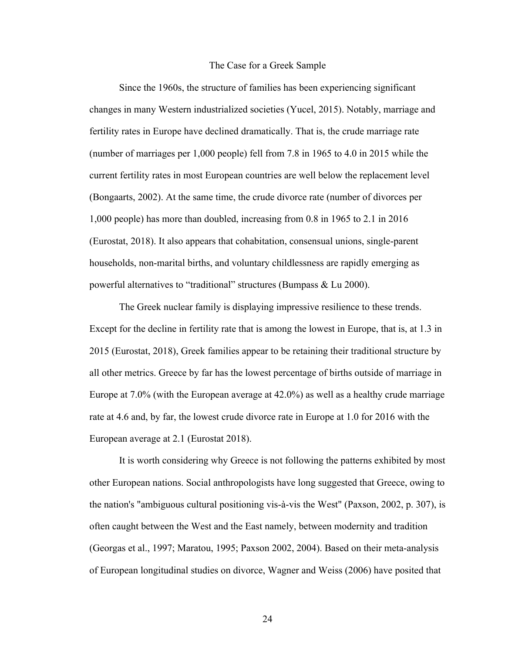#### The Case for a Greek Sample

Since the 1960s, the structure of families has been experiencing significant changes in many Western industrialized societies (Yucel, 2015). Notably, marriage and fertility rates in Europe have declined dramatically. That is, the crude marriage rate (number of marriages per 1,000 people) fell from 7.8 in 1965 to 4.0 in 2015 while the current fertility rates in most European countries are well below the replacement level (Bongaarts, 2002). At the same time, the crude divorce rate (number of divorces per 1,000 people) has more than doubled, increasing from 0.8 in 1965 to 2.1 in 2016 (Eurostat, 2018). It also appears that cohabitation, consensual unions, single-parent households, non-marital births, and voluntary childlessness are rapidly emerging as powerful alternatives to "traditional" structures (Bumpass & Lu 2000).

The Greek nuclear family is displaying impressive resilience to these trends. Except for the decline in fertility rate that is among the lowest in Europe, that is, at 1.3 in 2015 (Eurostat, 2018), Greek families appear to be retaining their traditional structure by all other metrics. Greece by far has the lowest percentage of births outside of marriage in Europe at 7.0% (with the European average at 42.0%) as well as a healthy crude marriage rate at 4.6 and, by far, the lowest crude divorce rate in Europe at 1.0 for 2016 with the European average at 2.1 (Eurostat 2018).

It is worth considering why Greece is not following the patterns exhibited by most other European nations. Social anthropologists have long suggested that Greece, owing to the nation's "ambiguous cultural positioning vis-à-vis the West" (Paxson, 2002, p. 307), is often caught between the West and the East namely, between modernity and tradition (Georgas et al., 1997; Maratou, 1995; Paxson 2002, 2004). Based on their meta-analysis of European longitudinal studies on divorce, Wagner and Weiss (2006) have posited that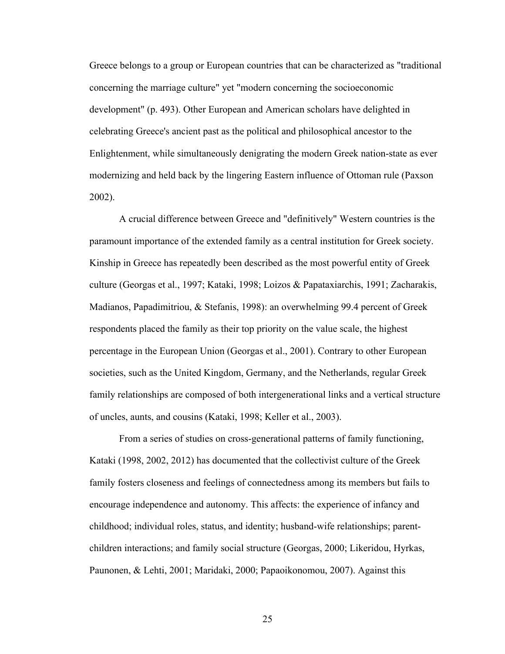Greece belongs to a group or European countries that can be characterized as "traditional concerning the marriage culture" yet "modern concerning the socioeconomic development" (p. 493). Other European and American scholars have delighted in celebrating Greece's ancient past as the political and philosophical ancestor to the Enlightenment, while simultaneously denigrating the modern Greek nation-state as ever modernizing and held back by the lingering Eastern influence of Ottoman rule (Paxson 2002).

A crucial difference between Greece and "definitively" Western countries is the paramount importance of the extended family as a central institution for Greek society. Kinship in Greece has repeatedly been described as the most powerful entity of Greek culture (Georgas et al., 1997; Kataki, 1998; Loizos & Papataxiarchis, 1991; Zacharakis, Madianos, Papadimitriou, & Stefanis, 1998): an overwhelming 99.4 percent of Greek respondents placed the family as their top priority on the value scale, the highest percentage in the European Union (Georgas et al., 2001). Contrary to other European societies, such as the United Kingdom, Germany, and the Netherlands, regular Greek family relationships are composed of both intergenerational links and a vertical structure of uncles, aunts, and cousins (Kataki, 1998; Keller et al., 2003).

From a series of studies on cross-generational patterns of family functioning, Kataki (1998, 2002, 2012) has documented that the collectivist culture of the Greek family fosters closeness and feelings of connectedness among its members but fails to encourage independence and autonomy. This affects: the experience of infancy and childhood; individual roles, status, and identity; husband-wife relationships; parentchildren interactions; and family social structure (Georgas, 2000; Likeridou, Hyrkas, Paunonen, & Lehti, 2001; Maridaki, 2000; Papaoikonomou, 2007). Against this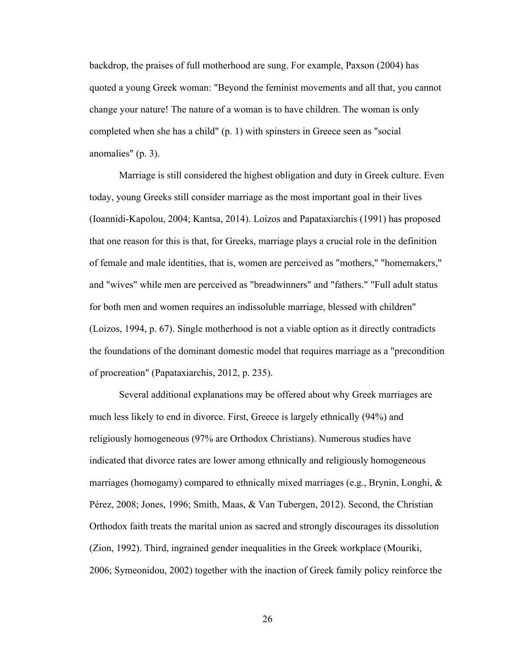backdrop, the praises of full motherhood are sung. For example, Paxson (2004) has quoted a young Greek woman: "Beyond the feminist movements and all that, you cannot change your nature! The nature of a woman is to have children. The woman is only completed when she has a child" (p. 1) with spinsters in Greece seen as "social anomalies" (p. 3).

Marriage is still considered the highest obligation and duty in Greek culture. Even today, young Greeks still consider marriage as the most important goal in their lives (Ioannidi-Kapolou, 2004; Kantsa, 2014). Loizos and Papataxiarchis (1991) has proposed that one reason for this is that, for Greeks, marriage plays a crucial role in the definition of female and male identities, that is, women are perceived as "mothers," "homemakers," and "wives" while men are perceived as "breadwinners" and "fathers." "Full adult status for both men and women requires an indissoluble marriage, blessed with children" (Loizos, 1994, p. 67). Single motherhood is not a viable option as it directly contradicts the foundations of the dominant domestic model that requires marriage as a "precondition of procreation" (Papataxiarchis, 2012, p. 235).

Several additional explanations may be offered about why Greek marriages are much less likely to end in divorce. First, Greece is largely ethnically (94%) and religiously homogeneous (97% are Orthodox Christians). Numerous studies have indicated that divorce rates are lower among ethnically and religiously homogeneous marriages (homogamy) compared to ethnically mixed marriages (e.g., Brynin, Longhi, & Pérez, 2008; Jones, 1996; Smith, Maas, & Van Tubergen, 2012). Second, the Christian Orthodox faith treats the marital union as sacred and strongly discourages its dissolution (Zion, 1992). Third, ingrained gender inequalities in the Greek workplace (Mouriki, 2006; Symeonidou, 2002) together with the inaction of Greek family policy reinforce the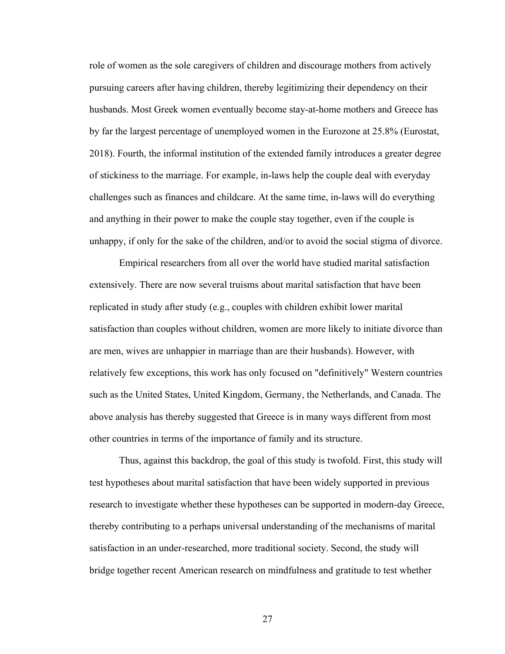role of women as the sole caregivers of children and discourage mothers from actively pursuing careers after having children, thereby legitimizing their dependency on their husbands. Most Greek women eventually become stay-at-home mothers and Greece has by far the largest percentage of unemployed women in the Eurozone at 25.8% (Eurostat, 2018). Fourth, the informal institution of the extended family introduces a greater degree of stickiness to the marriage. For example, in-laws help the couple deal with everyday challenges such as finances and childcare. At the same time, in-laws will do everything and anything in their power to make the couple stay together, even if the couple is unhappy, if only for the sake of the children, and/or to avoid the social stigma of divorce.

Empirical researchers from all over the world have studied marital satisfaction extensively. There are now several truisms about marital satisfaction that have been replicated in study after study (e.g., couples with children exhibit lower marital satisfaction than couples without children, women are more likely to initiate divorce than are men, wives are unhappier in marriage than are their husbands). However, with relatively few exceptions, this work has only focused on "definitively" Western countries such as the United States, United Kingdom, Germany, the Netherlands, and Canada. The above analysis has thereby suggested that Greece is in many ways different from most other countries in terms of the importance of family and its structure.

Thus, against this backdrop, the goal of this study is twofold. First, this study will test hypotheses about marital satisfaction that have been widely supported in previous research to investigate whether these hypotheses can be supported in modern-day Greece, thereby contributing to a perhaps universal understanding of the mechanisms of marital satisfaction in an under-researched, more traditional society. Second, the study will bridge together recent American research on mindfulness and gratitude to test whether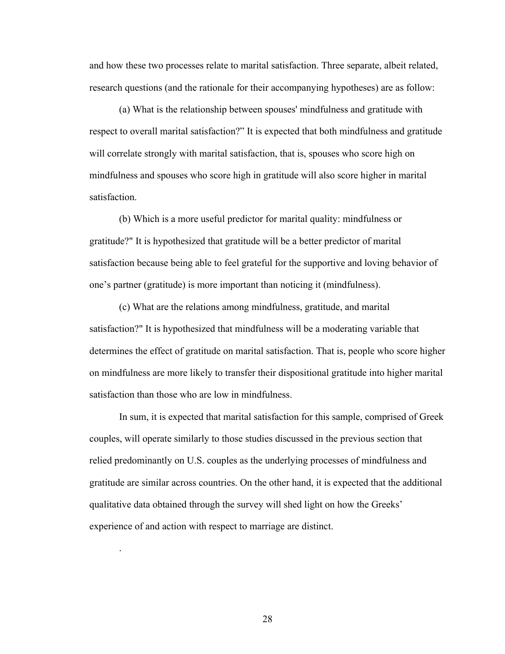and how these two processes relate to marital satisfaction. Three separate, albeit related, research questions (and the rationale for their accompanying hypotheses) are as follow:

(a) What is the relationship between spouses' mindfulness and gratitude with respect to overall marital satisfaction?" It is expected that both mindfulness and gratitude will correlate strongly with marital satisfaction, that is, spouses who score high on mindfulness and spouses who score high in gratitude will also score higher in marital satisfaction.

(b) Which is a more useful predictor for marital quality: mindfulness or gratitude?" It is hypothesized that gratitude will be a better predictor of marital satisfaction because being able to feel grateful for the supportive and loving behavior of one's partner (gratitude) is more important than noticing it (mindfulness).

(c) What are the relations among mindfulness, gratitude, and marital satisfaction?" It is hypothesized that mindfulness will be a moderating variable that determines the effect of gratitude on marital satisfaction. That is, people who score higher on mindfulness are more likely to transfer their dispositional gratitude into higher marital satisfaction than those who are low in mindfulness.

In sum, it is expected that marital satisfaction for this sample, comprised of Greek couples, will operate similarly to those studies discussed in the previous section that relied predominantly on U.S. couples as the underlying processes of mindfulness and gratitude are similar across countries. On the other hand, it is expected that the additional qualitative data obtained through the survey will shed light on how the Greeks' experience of and action with respect to marriage are distinct.

28

.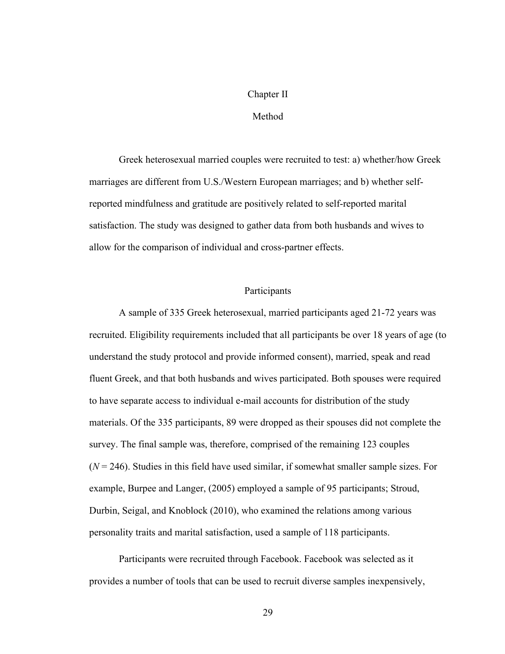### Chapter II

# Method

Greek heterosexual married couples were recruited to test: a) whether/how Greek marriages are different from U.S./Western European marriages; and b) whether selfreported mindfulness and gratitude are positively related to self-reported marital satisfaction. The study was designed to gather data from both husbands and wives to allow for the comparison of individual and cross-partner effects.

# Participants

A sample of 335 Greek heterosexual, married participants aged 21-72 years was recruited. Eligibility requirements included that all participants be over 18 years of age (to understand the study protocol and provide informed consent), married, speak and read fluent Greek, and that both husbands and wives participated. Both spouses were required to have separate access to individual e-mail accounts for distribution of the study materials. Of the 335 participants, 89 were dropped as their spouses did not complete the survey. The final sample was, therefore, comprised of the remaining 123 couples  $(N = 246)$ . Studies in this field have used similar, if somewhat smaller sample sizes. For example, Burpee and Langer, (2005) employed a sample of 95 participants; Stroud, Durbin, Seigal, and Knoblock (2010), who examined the relations among various personality traits and marital satisfaction, used a sample of 118 participants.

Participants were recruited through Facebook. Facebook was selected as it provides a number of tools that can be used to recruit diverse samples inexpensively,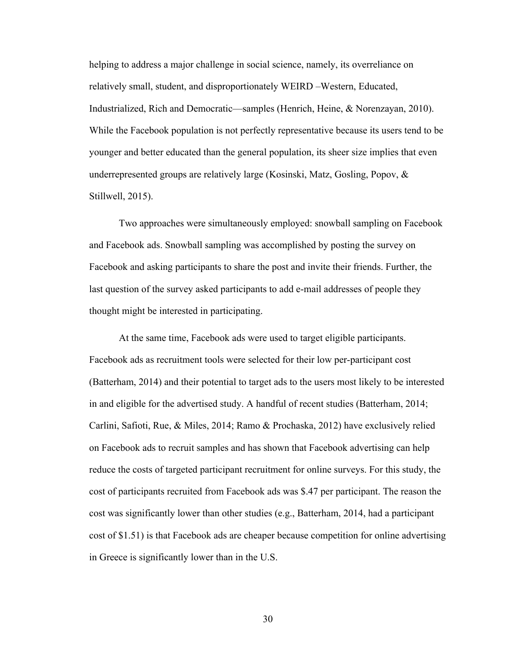helping to address a major challenge in social science, namely, its overreliance on relatively small, student, and disproportionately WEIRD –Western, Educated, Industrialized, Rich and Democratic—samples (Henrich, Heine, & Norenzayan, 2010). While the Facebook population is not perfectly representative because its users tend to be younger and better educated than the general population, its sheer size implies that even underrepresented groups are relatively large (Kosinski, Matz, Gosling, Popov, & Stillwell, 2015).

Two approaches were simultaneously employed: snowball sampling on Facebook and Facebook ads. Snowball sampling was accomplished by posting the survey on Facebook and asking participants to share the post and invite their friends. Further, the last question of the survey asked participants to add e-mail addresses of people they thought might be interested in participating.

At the same time, Facebook ads were used to target eligible participants. Facebook ads as recruitment tools were selected for their low per-participant cost (Batterham, 2014) and their potential to target ads to the users most likely to be interested in and eligible for the advertised study. A handful of recent studies (Batterham, 2014; Carlini, Safioti, Rue, & Miles, 2014; Ramo & Prochaska, 2012) have exclusively relied on Facebook ads to recruit samples and has shown that Facebook advertising can help reduce the costs of targeted participant recruitment for online surveys. For this study, the cost of participants recruited from Facebook ads was \$.47 per participant. The reason the cost was significantly lower than other studies (e.g., Batterham, 2014, had a participant cost of \$1.51) is that Facebook ads are cheaper because competition for online advertising in Greece is significantly lower than in the U.S.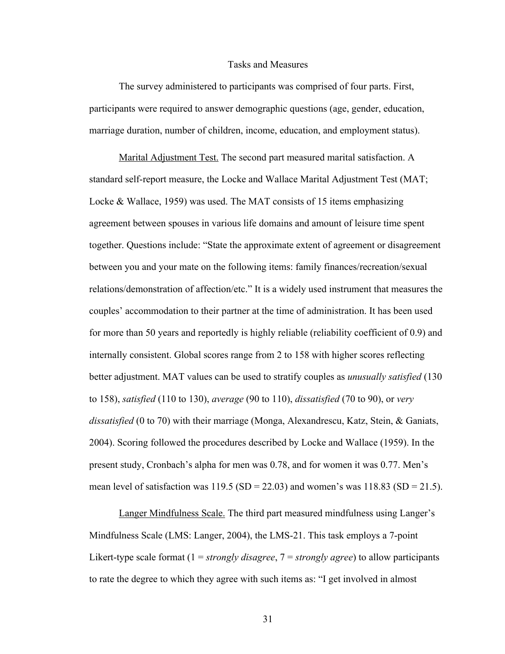#### Tasks and Measures

The survey administered to participants was comprised of four parts. First, participants were required to answer demographic questions (age, gender, education, marriage duration, number of children, income, education, and employment status).

Marital Adjustment Test. The second part measured marital satisfaction. A standard self-report measure, the Locke and Wallace Marital Adjustment Test (MAT; Locke & Wallace, 1959) was used. The MAT consists of 15 items emphasizing agreement between spouses in various life domains and amount of leisure time spent together. Questions include: "State the approximate extent of agreement or disagreement between you and your mate on the following items: family finances/recreation/sexual relations/demonstration of affection/etc." It is a widely used instrument that measures the couples' accommodation to their partner at the time of administration. It has been used for more than 50 years and reportedly is highly reliable (reliability coefficient of 0.9) and internally consistent. Global scores range from 2 to 158 with higher scores reflecting better adjustment. MAT values can be used to stratify couples as *unusually satisfied* (130 to 158), *satisfied* (110 to 130), *average* (90 to 110), *dissatisfied* (70 to 90), or *very dissatisfied* (0 to 70) with their marriage (Monga, Alexandrescu, Katz, Stein, & Ganiats, 2004). Scoring followed the procedures described by Locke and Wallace (1959). In the present study, Cronbach's alpha for men was 0.78, and for women it was 0.77. Men's mean level of satisfaction was  $119.5$  (SD = 22.03) and women's was  $118.83$  (SD = 21.5).

Langer Mindfulness Scale. The third part measured mindfulness using Langer's Mindfulness Scale (LMS: Langer, 2004), the LMS-21. This task employs a 7-point Likert-type scale format (1 = *strongly disagree*, 7 = *strongly agree*) to allow participants to rate the degree to which they agree with such items as: "I get involved in almost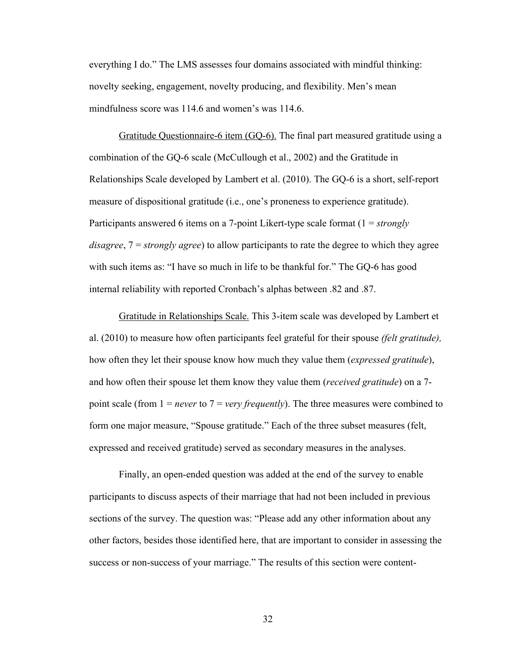everything I do." The LMS assesses four domains associated with mindful thinking: novelty seeking, engagement, novelty producing, and flexibility. Men's mean mindfulness score was 114.6 and women's was 114.6.

Gratitude Questionnaire-6 item (GQ-6). The final part measured gratitude using a combination of the GQ-6 scale (McCullough et al., 2002) and the Gratitude in Relationships Scale developed by Lambert et al. (2010). The GQ-6 is a short, self-report measure of dispositional gratitude (i.e., one's proneness to experience gratitude). Participants answered 6 items on a 7-point Likert-type scale format (1 = *strongly disagree*, 7 = *strongly agree*) to allow participants to rate the degree to which they agree with such items as: "I have so much in life to be thankful for." The GQ-6 has good internal reliability with reported Cronbach's alphas between .82 and .87.

Gratitude in Relationships Scale. This 3-item scale was developed by Lambert et al. (2010) to measure how often participants feel grateful for their spouse *(felt gratitude),* how often they let their spouse know how much they value them (*expressed gratitude*), and how often their spouse let them know they value them (*received gratitude*) on a 7 point scale (from 1 = *never* to 7 = *very frequently*). The three measures were combined to form one major measure, "Spouse gratitude." Each of the three subset measures (felt, expressed and received gratitude) served as secondary measures in the analyses.

Finally, an open-ended question was added at the end of the survey to enable participants to discuss aspects of their marriage that had not been included in previous sections of the survey. The question was: "Please add any other information about any other factors, besides those identified here, that are important to consider in assessing the success or non-success of your marriage." The results of this section were content-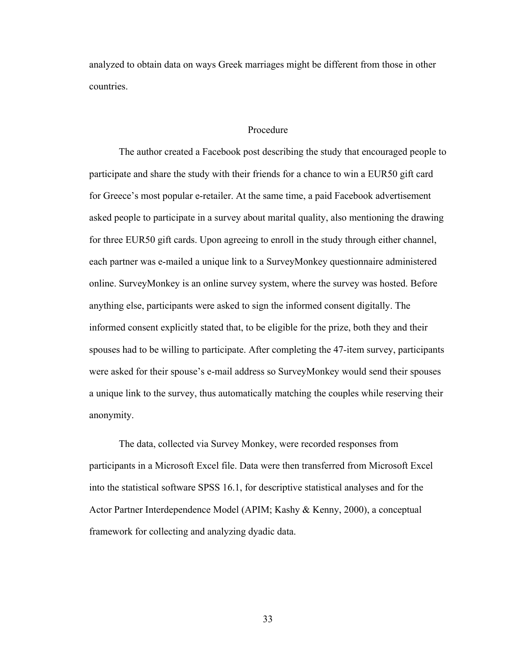analyzed to obtain data on ways Greek marriages might be different from those in other countries.

### Procedure

The author created a Facebook post describing the study that encouraged people to participate and share the study with their friends for a chance to win a EUR50 gift card for Greece's most popular e-retailer. At the same time, a paid Facebook advertisement asked people to participate in a survey about marital quality, also mentioning the drawing for three EUR50 gift cards. Upon agreeing to enroll in the study through either channel, each partner was e-mailed a unique link to a SurveyMonkey questionnaire administered online. SurveyMonkey is an online survey system, where the survey was hosted. Before anything else, participants were asked to sign the informed consent digitally. The informed consent explicitly stated that, to be eligible for the prize, both they and their spouses had to be willing to participate. After completing the 47-item survey, participants were asked for their spouse's e-mail address so SurveyMonkey would send their spouses a unique link to the survey, thus automatically matching the couples while reserving their anonymity.

The data, collected via Survey Monkey, were recorded responses from participants in a Microsoft Excel file. Data were then transferred from Microsoft Excel into the statistical software SPSS 16.1, for descriptive statistical analyses and for the Actor Partner Interdependence Model (APIM; Kashy & Kenny, 2000), a conceptual framework for collecting and analyzing dyadic data.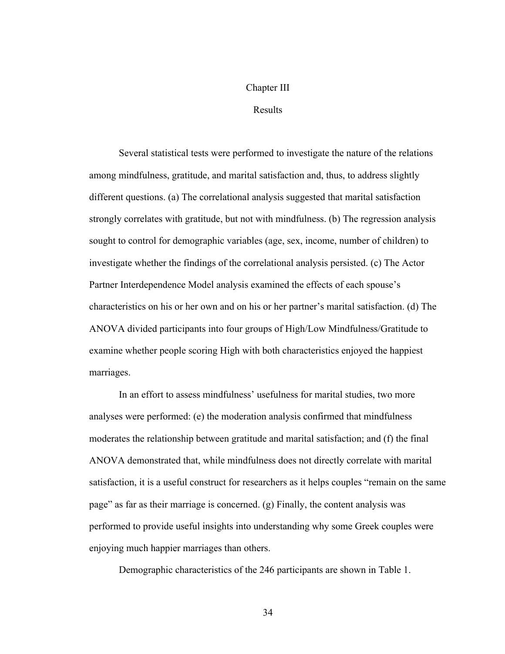# Chapter III

# Results

Several statistical tests were performed to investigate the nature of the relations among mindfulness, gratitude, and marital satisfaction and, thus, to address slightly different questions. (a) The correlational analysis suggested that marital satisfaction strongly correlates with gratitude, but not with mindfulness. (b) The regression analysis sought to control for demographic variables (age, sex, income, number of children) to investigate whether the findings of the correlational analysis persisted. (c) The Actor Partner Interdependence Model analysis examined the effects of each spouse's characteristics on his or her own and on his or her partner's marital satisfaction. (d) The ANOVA divided participants into four groups of High/Low Mindfulness/Gratitude to examine whether people scoring High with both characteristics enjoyed the happiest marriages.

In an effort to assess mindfulness' usefulness for marital studies, two more analyses were performed: (e) the moderation analysis confirmed that mindfulness moderates the relationship between gratitude and marital satisfaction; and (f) the final ANOVA demonstrated that, while mindfulness does not directly correlate with marital satisfaction, it is a useful construct for researchers as it helps couples "remain on the same page" as far as their marriage is concerned. (g) Finally, the content analysis was performed to provide useful insights into understanding why some Greek couples were enjoying much happier marriages than others.

Demographic characteristics of the 246 participants are shown in Table 1.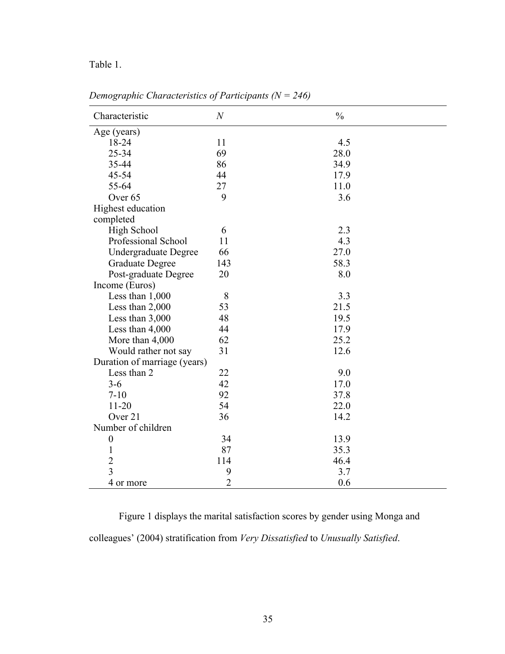# Table 1.

| Characteristic               | $\boldsymbol{N}$ | $\frac{0}{0}$ |
|------------------------------|------------------|---------------|
| Age (years)                  |                  |               |
| 18-24                        | 11               | 4.5           |
| 25-34                        | 69               | 28.0          |
| 35-44                        | 86               | 34.9          |
| 45-54                        | 44               | 17.9          |
| 55-64                        | 27               | 11.0          |
| Over <sub>65</sub>           | 9                | 3.6           |
| Highest education            |                  |               |
| completed                    |                  |               |
| High School                  | 6                | 2.3           |
| Professional School          | 11               | 4.3           |
| <b>Undergraduate Degree</b>  | 66               | 27.0          |
| <b>Graduate Degree</b>       | 143              | 58.3          |
| Post-graduate Degree         | 20               | 8.0           |
| Income (Euros)               |                  |               |
| Less than 1,000              | 8                | 3.3           |
| Less than 2,000              | 53               | 21.5          |
| Less than 3,000              | 48               | 19.5          |
| Less than 4,000              | 44               | 17.9          |
| More than 4,000              | 62               | 25.2          |
| Would rather not say         | 31               | 12.6          |
| Duration of marriage (years) |                  |               |
| Less than 2                  | 22               | 9.0           |
| $3 - 6$                      | 42               | 17.0          |
| $7 - 10$                     | 92               | 37.8          |
| $11 - 20$                    | 54               | 22.0          |
| Over 21                      | 36               | 14.2          |
| Number of children           |                  |               |
| $\boldsymbol{0}$             | 34               | 13.9          |
| $\mathbf{1}$                 | 87               | 35.3          |
| $\overline{2}$               | 114              | 46.4          |
| $\overline{3}$               | 9                | 3.7           |
| 4 or more                    | $\overline{2}$   | 0.6           |

*Demographic Characteristics of Participants (N = 246)*

Figure 1 displays the marital satisfaction scores by gender using Monga and colleagues' (2004) stratification from *Very Dissatisfied* to *Unusually Satisfied*.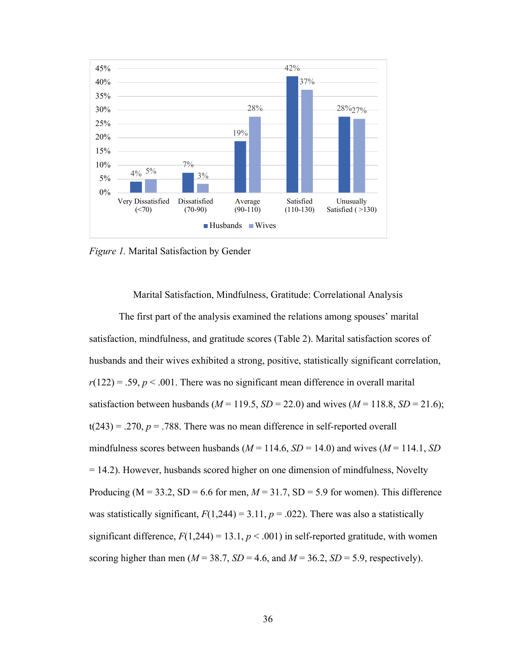

*Figure 1.* Marital Satisfaction by Gender

Marital Satisfaction, Mindfulness, Gratitude: Correlational Analysis

The first part of the analysis examined the relations among spouses' marital satisfaction, mindfulness, and gratitude scores (Table 2). Marital satisfaction scores of husbands and their wives exhibited a strong, positive, statistically significant correlation,  $r(122) = .59, p < .001$ . There was no significant mean difference in overall marital satisfaction between husbands ( $M = 119.5$ ,  $SD = 22.0$ ) and wives ( $M = 118.8$ ,  $SD = 21.6$ );  $t(243) = .270$ ,  $p = .788$ . There was no mean difference in self-reported overall mindfulness scores between husbands ( $M = 114.6$ ,  $SD = 14.0$ ) and wives ( $M = 114.1$ ,  $SD$ = 14.2). However, husbands scored higher on one dimension of mindfulness, Novelty Producing ( $M = 33.2$ ,  $SD = 6.6$  for men,  $M = 31.7$ ,  $SD = 5.9$  for women). This difference was statistically significant,  $F(1,244) = 3.11$ ,  $p = .022$ ). There was also a statistically significant difference,  $F(1,244) = 13.1, p < .001$  in self-reported gratitude, with women scoring higher than men ( $M = 38.7$ ,  $SD = 4.6$ , and  $M = 36.2$ ,  $SD = 5.9$ , respectively).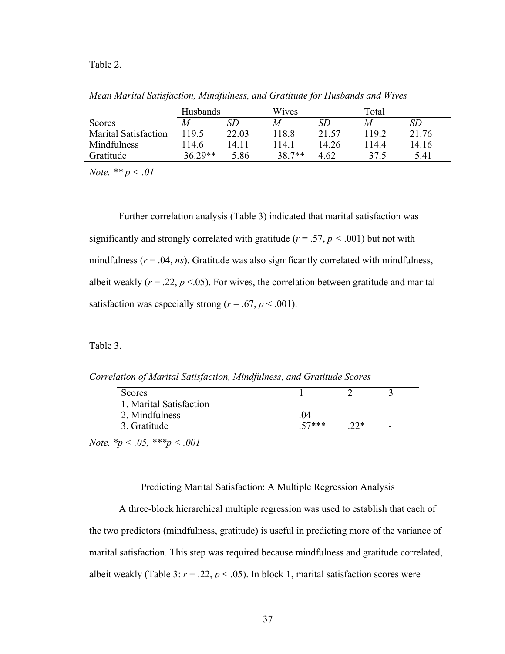#### Table 2.

| Mean Marital Satisfaction, Mindfulness, and Gratitude for Husbands and Wives |          |       |       |
|------------------------------------------------------------------------------|----------|-------|-------|
|                                                                              | Husbands | Wives | Total |

|                             | <b>Husbands</b> |       | W <sub>1</sub> ves |       | l otal |       |
|-----------------------------|-----------------|-------|--------------------|-------|--------|-------|
| Scores                      | M               | SD    | M                  | SD    | M      | SD    |
| <b>Marital Satisfaction</b> | 1195            | 22.03 | 118.8              | 21.57 | 1192   | 21.76 |
| Mindfulness                 | 114.6           | 14 11 | 14.1               | 14 26 | 1144   | 14.16 |
| Gratitude                   | $36.29**$       | 5.86  | $38.7**$           | 4.62  | 37.5   | 5.41  |
|                             |                 |       |                    |       |        |       |

*Note. \*\* p < .01*

Further correlation analysis (Table 3) indicated that marital satisfaction was significantly and strongly correlated with gratitude ( $r = .57$ ,  $p < .001$ ) but not with mindfulness  $(r = .04, ns)$ . Gratitude was also significantly correlated with mindfulness, albeit weakly  $(r = .22, p < .05)$ . For wives, the correlation between gratitude and marital satisfaction was especially strong ( $r = .67$ ,  $p < .001$ ).

Table 3.

*Correlation of Marital Satisfaction, Mindfulness, and Gratitude Scores*

| Scores                  |         |                          |   |
|-------------------------|---------|--------------------------|---|
| 1. Marital Satisfaction | -       |                          |   |
| 2. Mindfulness          | .04     | $\overline{\phantom{0}}$ |   |
| 3. Gratitude            | $57***$ | າາ∗                      | - |

*Note. \*p < .05, \*\*\*p < .001*

### Predicting Marital Satisfaction: A Multiple Regression Analysis

A three-block hierarchical multiple regression was used to establish that each of the two predictors (mindfulness, gratitude) is useful in predicting more of the variance of marital satisfaction. This step was required because mindfulness and gratitude correlated, albeit weakly (Table 3:  $r = .22$ ,  $p < .05$ ). In block 1, marital satisfaction scores were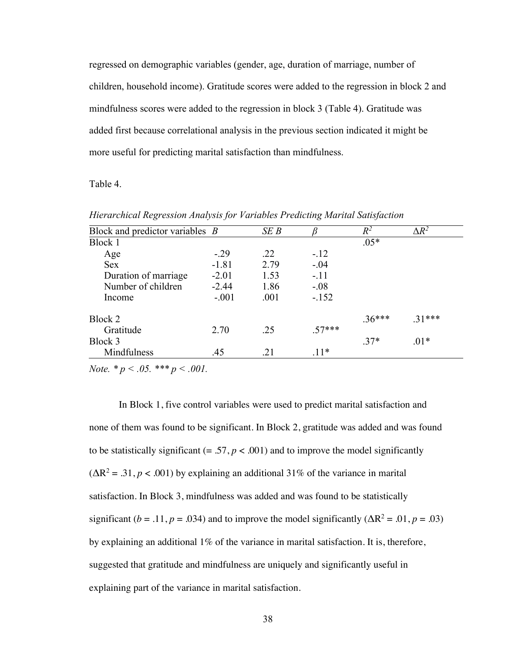regressed on demographic variables (gender, age, duration of marriage, number of children, household income). Gratitude scores were added to the regression in block 2 and mindfulness scores were added to the regression in block 3 (Table 4). Gratitude was added first because correlational analysis in the previous section indicated it might be more useful for predicting marital satisfaction than mindfulness.

Table 4.

| Block and predictor variables $B$ |         | SEB  |          | $\,R^2$  | $\Delta R^2$ |  |
|-----------------------------------|---------|------|----------|----------|--------------|--|
| Block 1                           |         |      |          | $.05*$   |              |  |
| Age                               | $-.29$  | .22  | $-.12$   |          |              |  |
| <b>Sex</b>                        | $-1.81$ | 2.79 | $-.04$   |          |              |  |
| Duration of marriage              | $-2.01$ | 1.53 | $-.11$   |          |              |  |
| Number of children                | $-2.44$ | 1.86 | $-.08$   |          |              |  |
| Income                            | $-.001$ | .001 | $-.152$  |          |              |  |
| Block 2                           |         |      |          | $.36***$ | $.31***$     |  |
| Gratitude                         | 2.70    | .25  | $.57***$ |          |              |  |
| Block 3                           |         |      |          | $.37*$   | $.01*$       |  |
| Mindfulness                       | .45     | .21  | $.11*$   |          |              |  |

*Hierarchical Regression Analysis for Variables Predicting Marital Satisfaction*

*Note. \* p < .05. \*\*\* p < .001.*

In Block 1, five control variables were used to predict marital satisfaction and none of them was found to be significant. In Block 2, gratitude was added and was found to be statistically significant  $(= .57, p < .001)$  and to improve the model significantly  $(\Delta R^2 = .31, p < .001)$  by explaining an additional 31% of the variance in marital satisfaction. In Block 3, mindfulness was added and was found to be statistically significant ( $b = .11$ ,  $p = .034$ ) and to improve the model significantly ( $\Delta R^2 = .01$ ,  $p = .03$ ) by explaining an additional 1% of the variance in marital satisfaction. It is, therefore, suggested that gratitude and mindfulness are uniquely and significantly useful in explaining part of the variance in marital satisfaction.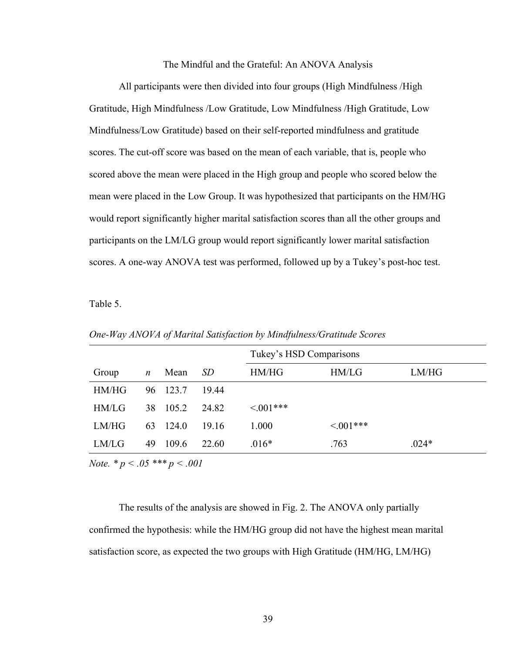### The Mindful and the Grateful: An ANOVA Analysis

All participants were then divided into four groups (High Mindfulness /High Gratitude, High Mindfulness /Low Gratitude, Low Mindfulness /High Gratitude, Low Mindfulness/Low Gratitude) based on their self-reported mindfulness and gratitude scores. The cut-off score was based on the mean of each variable, that is, people who scored above the mean were placed in the High group and people who scored below the mean were placed in the Low Group. It was hypothesized that participants on the HM/HG would report significantly higher marital satisfaction scores than all the other groups and participants on the LM/LG group would report significantly lower marital satisfaction scores. A one-way ANOVA test was performed, followed up by a Tukey's post-hoc test.

Table 5.

|       |                  |       |       | Tukey's HSD Comparisons |                |         |  |  |
|-------|------------------|-------|-------|-------------------------|----------------|---------|--|--|
| Group | $\boldsymbol{n}$ | Mean  | SD    | HM/HG                   | HM/LG          | LM/HG   |  |  |
| HM/HG | 96               | 123.7 | 19.44 |                         |                |         |  |  |
| HM/LG | 38               | 105.2 | 24.82 | $\leq 0.01***$          |                |         |  |  |
| LM/HG | 63               | 124.0 | 19.16 | 1.000                   | $\leq 0.01***$ |         |  |  |
| LM/LG | 49               | 109.6 | 22.60 | $.016*$                 | .763           | $.024*$ |  |  |

*One-Way ANOVA of Marital Satisfaction by Mindfulness/Gratitude Scores*

*Note. \* p < .05 \*\*\* p < .001*

The results of the analysis are showed in Fig. 2. The ANOVA only partially confirmed the hypothesis: while the HM/HG group did not have the highest mean marital satisfaction score, as expected the two groups with High Gratitude (HM/HG, LM/HG)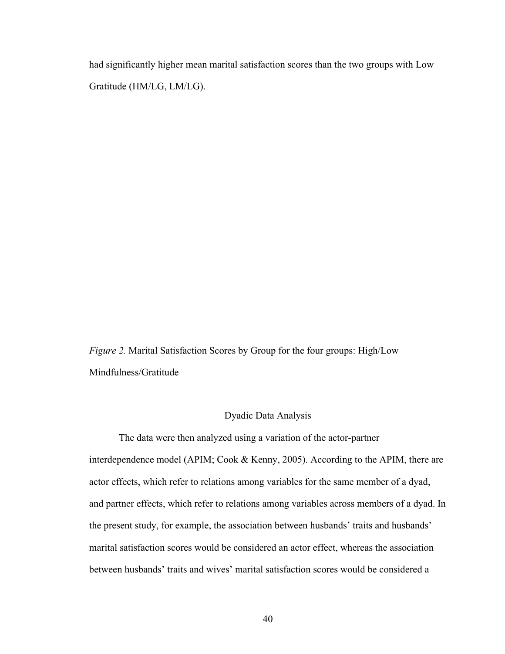had significantly higher mean marital satisfaction scores than the two groups with Low Gratitude (HM/LG, LM/LG).

*Figure 2.* Marital Satisfaction Scores by Group for the four groups: High/Low Mindfulness/Gratitude

# Dyadic Data Analysis

The data were then analyzed using a variation of the actor-partner interdependence model (APIM; Cook & Kenny, 2005). According to the APIM, there are actor effects, which refer to relations among variables for the same member of a dyad, and partner effects, which refer to relations among variables across members of a dyad. In the present study, for example, the association between husbands' traits and husbands' marital satisfaction scores would be considered an actor effect, whereas the association between husbands' traits and wives' marital satisfaction scores would be considered a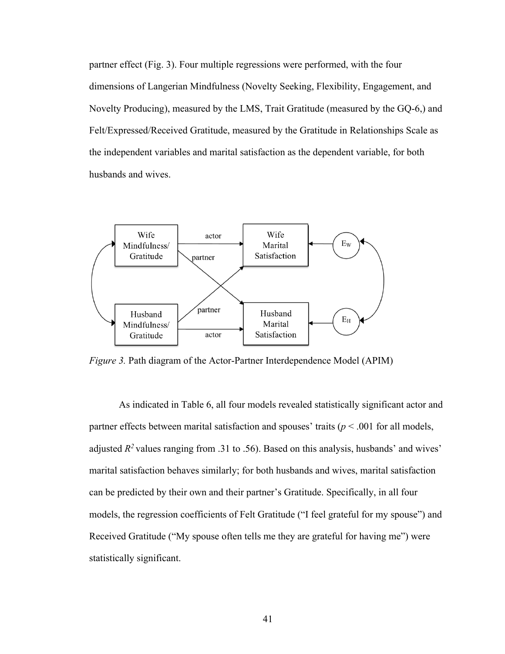partner effect (Fig. 3). Four multiple regressions were performed, with the four dimensions of Langerian Mindfulness (Novelty Seeking, Flexibility, Engagement, and Novelty Producing), measured by the LMS, Trait Gratitude (measured by the GQ-6,) and Felt/Expressed/Received Gratitude, measured by the Gratitude in Relationships Scale as the independent variables and marital satisfaction as the dependent variable, for both husbands and wives.



*Figure 3.* Path diagram of the Actor-Partner Interdependence Model (APIM)

As indicated in Table 6, all four models revealed statistically significant actor and partner effects between marital satisfaction and spouses' traits (*p* < .001 for all models, adjusted  $R^2$  values ranging from .31 to .56). Based on this analysis, husbands' and wives' marital satisfaction behaves similarly; for both husbands and wives, marital satisfaction can be predicted by their own and their partner's Gratitude. Specifically, in all four models, the regression coefficients of Felt Gratitude ("I feel grateful for my spouse") and Received Gratitude ("My spouse often tells me they are grateful for having me") were statistically significant.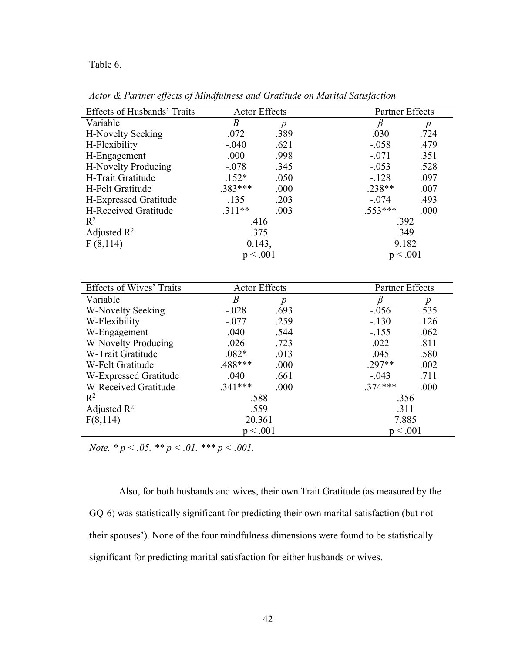Table 6.

|  |  |  | Actor & Partner effects of Mindfulness and Gratitude on Marital Satisfaction |
|--|--|--|------------------------------------------------------------------------------|
|  |  |  |                                                                              |

| <b>Effects of Husbands' Traits</b> | <b>Actor Effects</b> |                  | Partner Effects        |                  |
|------------------------------------|----------------------|------------------|------------------------|------------------|
| Variable                           | $\boldsymbol{B}$     | $\boldsymbol{p}$ | $\beta$                | $\boldsymbol{p}$ |
| H-Novelty Seeking                  | .072                 | .389             | .030                   | .724             |
| H-Flexibility                      | $-.040$              | .621             | $-.058$                | .479             |
| H-Engagement                       | .000                 | .998             | $-.071$                | .351             |
| H-Novelty Producing                | $-.078$              | .345             | $-.053$                | .528             |
| H-Trait Gratitude                  | $.152*$              | .050             | $-.128$                | .097             |
| H-Felt Gratitude                   | $.383***$            | .000             | $.238**$               | .007             |
| H-Expressed Gratitude              | .135                 | .203             | $-.074$                | .493             |
| H-Received Gratitude               | $.311**$             | .003             | $.553***$              | .000             |
| $R^2$                              | .416                 |                  | .392                   |                  |
| Adjusted $R^2$                     | .375                 |                  | .349                   |                  |
| F(8,114)                           | 0.143,               |                  | 9.182                  |                  |
|                                    | p < .001             |                  | p < .001               |                  |
|                                    |                      |                  |                        |                  |
| <b>Effects of Wives' Traits</b>    | <b>Actor Effects</b> |                  | <b>Partner Effects</b> |                  |
| Variable                           | $\boldsymbol{B}$     | $\boldsymbol{p}$ | $\beta$                | $\boldsymbol{p}$ |
| W-Novelty Seeking                  | $-.028$              | .693             | $-.056$                | .535             |
| W-Flexibility                      | $-.077$              | .259             | $-.130$                | .126             |
| W-Engagement                       | .040                 | .544             | $-155$                 | .062             |

W-Novelty Producing .026 .023 .022 .811 W-Trait Gratitude .082\* .013 .045 .580 W-Felt Gratitude .488\*\*\* .000 .297\*\* .002 W-Expressed Gratitude .040 .661 -.043 .711<br>W-Received Gratitude .341\*\*\* .000 .374\*\*\* .000 W-Received Gratitude .341\*\*\* .000 .374\*\*\* .000

> .559 20.361  $p < .001$

.356 .311 7.885  $p < .001$ 

*Note.*  $* p \lt .05$ .  $* p \lt .01$ .  $* * p \lt .001$ .

Adjusted  $R^2$ F(8,114)

 $R^2$  .588

Also, for both husbands and wives, their own Trait Gratitude (as measured by the GQ-6) was statistically significant for predicting their own marital satisfaction (but not their spouses'). None of the four mindfulness dimensions were found to be statistically significant for predicting marital satisfaction for either husbands or wives.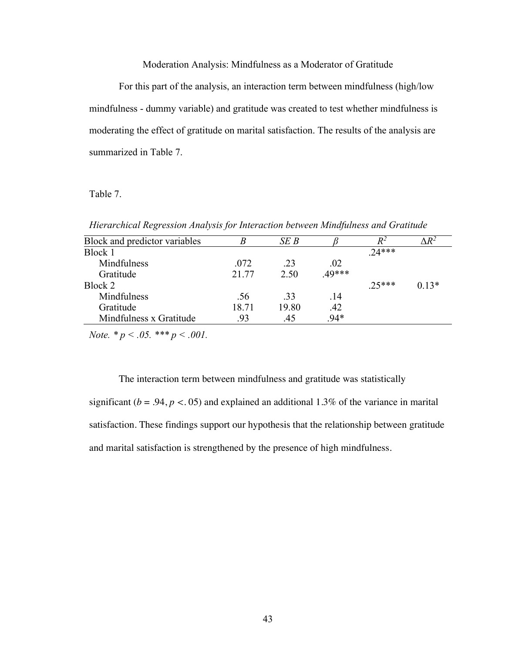# Moderation Analysis: Mindfulness as a Moderator of Gratitude

For this part of the analysis, an interaction term between mindfulness (high/low mindfulness - dummy variable) and gratitude was created to test whether mindfulness is moderating the effect of gratitude on marital satisfaction. The results of the analysis are summarized in Table 7.

### Table 7.

*Hierarchical Regression Analysis for Interaction between Mindfulness and Gratitude* 

| Block and predictor variables | B     | SE B  |       | $R^2$   | $\Delta R^2$ |
|-------------------------------|-------|-------|-------|---------|--------------|
| Block 1                       |       |       |       | $74***$ |              |
| Mindfulness                   | .072  | .23   | .02   |         |              |
| Gratitude                     | 21.77 | 2.50  | 49*** |         |              |
| Block 2                       |       |       |       | $25***$ | $0.13*$      |
| Mindfulness                   | .56   | .33   | .14   |         |              |
| Gratitude                     | 18.71 | 19.80 | .42   |         |              |
| Mindfulness x Gratitude       | .93   | .45   | .94*  |         |              |

*Note. \* p < .05. \*\*\* p < .001.*

The interaction term between mindfulness and gratitude was statistically significant ( $b = .94$ ,  $p < .05$ ) and explained an additional 1.3% of the variance in marital satisfaction. These findings support our hypothesis that the relationship between gratitude and marital satisfaction is strengthened by the presence of high mindfulness.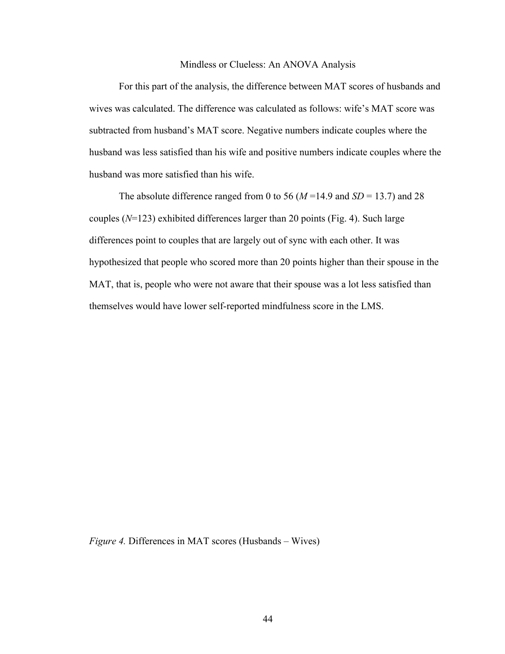#### Mindless or Clueless: An ANOVA Analysis

For this part of the analysis, the difference between MAT scores of husbands and wives was calculated. The difference was calculated as follows: wife's MAT score was subtracted from husband's MAT score. Negative numbers indicate couples where the husband was less satisfied than his wife and positive numbers indicate couples where the husband was more satisfied than his wife.

The absolute difference ranged from 0 to 56 ( $M = 14.9$  and  $SD = 13.7$ ) and 28 couples (*N*=123) exhibited differences larger than 20 points (Fig. 4). Such large differences point to couples that are largely out of sync with each other. It was hypothesized that people who scored more than 20 points higher than their spouse in the MAT, that is, people who were not aware that their spouse was a lot less satisfied than themselves would have lower self-reported mindfulness score in the LMS.

*Figure 4.* Differences in MAT scores (Husbands – Wives)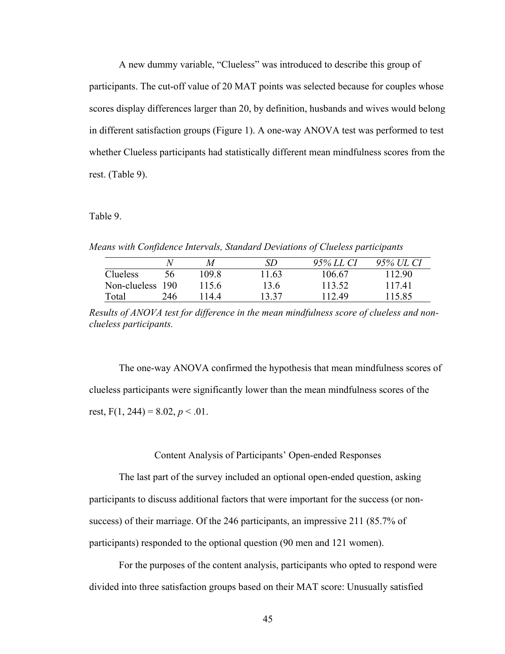A new dummy variable, "Clueless" was introduced to describe this group of participants. The cut-off value of 20 MAT points was selected because for couples whose scores display differences larger than 20, by definition, husbands and wives would belong in different satisfaction groups (Figure 1). A one-way ANOVA test was performed to test whether Clueless participants had statistically different mean mindfulness scores from the rest. (Table 9).

Table 9.

*Means with Confidence Intervals, Standard Deviations of Clueless participants* 

|                  |     | M     | SD    | 95% LL CI | 95% UL CI |
|------------------|-----|-------|-------|-----------|-----------|
| Clueless         | 56  | 109.8 | 11.63 | 106.67    | 112.90    |
| Non-clueless 190 |     | 1156  | 13.6  | 113.52    | 11741     |
| Total            | 246 | l 144 | 13.37 | 112.49    | 115.85    |

*Results of ANOVA test for difference in the mean mindfulness score of clueless and nonclueless participants.*

The one-way ANOVA confirmed the hypothesis that mean mindfulness scores of clueless participants were significantly lower than the mean mindfulness scores of the rest,  $F(1, 244) = 8.02, p < .01$ .

### Content Analysis of Participants' Open-ended Responses

The last part of the survey included an optional open-ended question, asking participants to discuss additional factors that were important for the success (or nonsuccess) of their marriage. Of the 246 participants, an impressive 211 (85.7% of participants) responded to the optional question (90 men and 121 women).

For the purposes of the content analysis, participants who opted to respond were divided into three satisfaction groups based on their MAT score: Unusually satisfied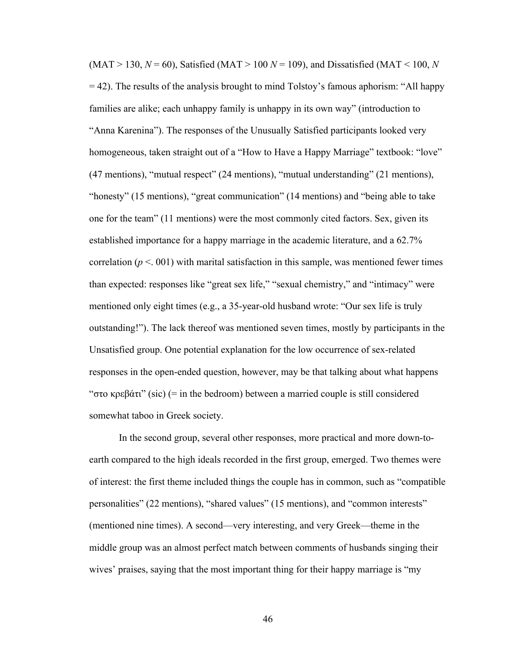$(MAT > 130, N = 60)$ , Satisfied  $(MAT > 100 N = 109)$ , and Dissatisfied  $(MAT < 100, N$ = 42). The results of the analysis brought to mind Tolstoy's famous aphorism: "All happy families are alike; each unhappy family is unhappy in its own way" (introduction to "Anna Karenina"). The responses of the Unusually Satisfied participants looked very homogeneous, taken straight out of a "How to Have a Happy Marriage" textbook: "love" (47 mentions), "mutual respect" (24 mentions), "mutual understanding" (21 mentions), "honesty" (15 mentions), "great communication" (14 mentions) and "being able to take one for the team" (11 mentions) were the most commonly cited factors. Sex, given its established importance for a happy marriage in the academic literature, and a 62.7% correlation ( $p < 0.01$ ) with marital satisfaction in this sample, was mentioned fewer times than expected: responses like "great sex life," "sexual chemistry," and "intimacy" were mentioned only eight times (e.g., a 35-year-old husband wrote: "Our sex life is truly outstanding!"). The lack thereof was mentioned seven times, mostly by participants in the Unsatisfied group. One potential explanation for the low occurrence of sex-related responses in the open-ended question, however, may be that talking about what happens "στο κρεβάτι" (sic) (= in the bedroom) between a married couple is still considered somewhat taboo in Greek society.

In the second group, several other responses, more practical and more down-toearth compared to the high ideals recorded in the first group, emerged. Two themes were of interest: the first theme included things the couple has in common, such as "compatible personalities" (22 mentions), "shared values" (15 mentions), and "common interests" (mentioned nine times). A second—very interesting, and very Greek—theme in the middle group was an almost perfect match between comments of husbands singing their wives' praises, saying that the most important thing for their happy marriage is "my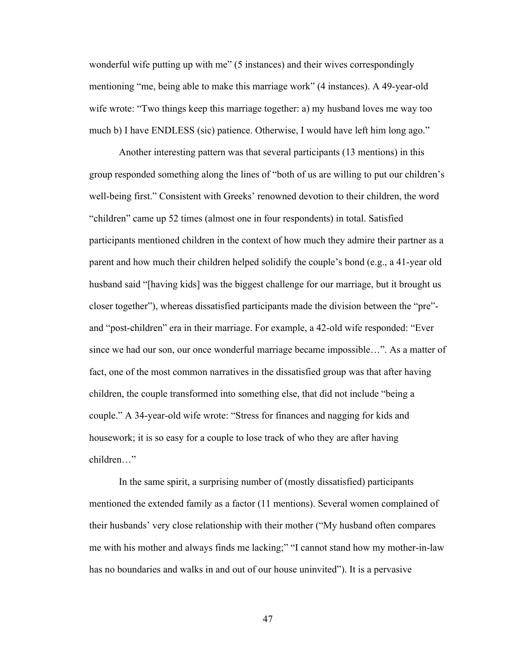wonderful wife putting up with me" (5 instances) and their wives correspondingly mentioning "me, being able to make this marriage work" (4 instances). A 49-year-old wife wrote: "Two things keep this marriage together: a) my husband loves me way too much b) I have ENDLESS (sic) patience. Otherwise, I would have left him long ago."

Another interesting pattern was that several participants (13 mentions) in this group responded something along the lines of "both of us are willing to put our children's well-being first." Consistent with Greeks' renowned devotion to their children, the word "children" came up 52 times (almost one in four respondents) in total. Satisfied participants mentioned children in the context of how much they admire their partner as a parent and how much their children helped solidify the couple's bond (e.g., a 41-year old husband said "[having kids] was the biggest challenge for our marriage, but it brought us closer together"), whereas dissatisfied participants made the division between the "pre" and "post-children" era in their marriage. For example, a 42-old wife responded: "Ever since we had our son, our once wonderful marriage became impossible…". As a matter of fact, one of the most common narratives in the dissatisfied group was that after having children, the couple transformed into something else, that did not include "being a couple." A 34-year-old wife wrote: "Stress for finances and nagging for kids and housework; it is so easy for a couple to lose track of who they are after having children…"

In the same spirit, a surprising number of (mostly dissatisfied) participants mentioned the extended family as a factor (11 mentions). Several women complained of their husbands' very close relationship with their mother ("My husband often compares me with his mother and always finds me lacking;" "I cannot stand how my mother-in-law has no boundaries and walks in and out of our house uninvited"). It is a pervasive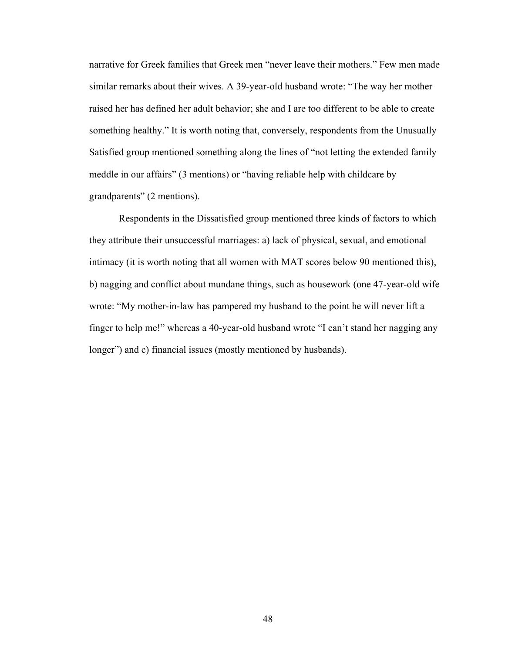narrative for Greek families that Greek men "never leave their mothers." Few men made similar remarks about their wives. A 39-year-old husband wrote: "The way her mother raised her has defined her adult behavior; she and I are too different to be able to create something healthy." It is worth noting that, conversely, respondents from the Unusually Satisfied group mentioned something along the lines of "not letting the extended family meddle in our affairs" (3 mentions) or "having reliable help with childcare by grandparents" (2 mentions).

Respondents in the Dissatisfied group mentioned three kinds of factors to which they attribute their unsuccessful marriages: a) lack of physical, sexual, and emotional intimacy (it is worth noting that all women with MAT scores below 90 mentioned this), b) nagging and conflict about mundane things, such as housework (one 47-year-old wife wrote: "My mother-in-law has pampered my husband to the point he will never lift a finger to help me!" whereas a 40-year-old husband wrote "I can't stand her nagging any longer") and c) financial issues (mostly mentioned by husbands).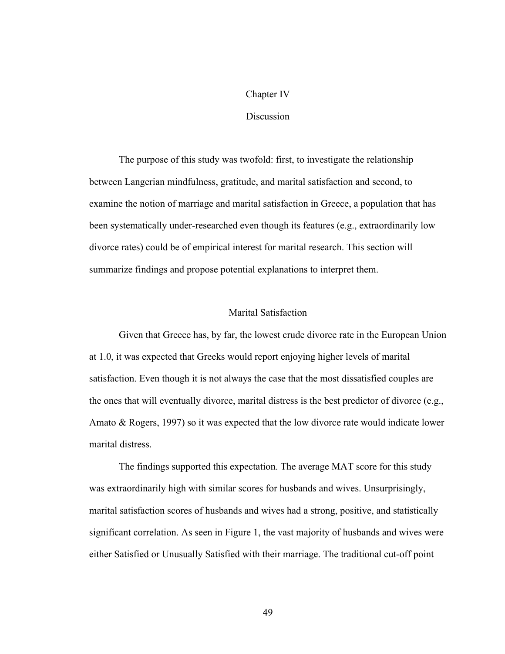#### Chapter IV

# **Discussion**

The purpose of this study was twofold: first, to investigate the relationship between Langerian mindfulness, gratitude, and marital satisfaction and second, to examine the notion of marriage and marital satisfaction in Greece, a population that has been systematically under-researched even though its features (e.g., extraordinarily low divorce rates) could be of empirical interest for marital research. This section will summarize findings and propose potential explanations to interpret them.

### Marital Satisfaction

Given that Greece has, by far, the lowest crude divorce rate in the European Union at 1.0, it was expected that Greeks would report enjoying higher levels of marital satisfaction. Even though it is not always the case that the most dissatisfied couples are the ones that will eventually divorce, marital distress is the best predictor of divorce (e.g., Amato & Rogers, 1997) so it was expected that the low divorce rate would indicate lower marital distress.

The findings supported this expectation. The average MAT score for this study was extraordinarily high with similar scores for husbands and wives. Unsurprisingly, marital satisfaction scores of husbands and wives had a strong, positive, and statistically significant correlation. As seen in Figure 1, the vast majority of husbands and wives were either Satisfied or Unusually Satisfied with their marriage. The traditional cut-off point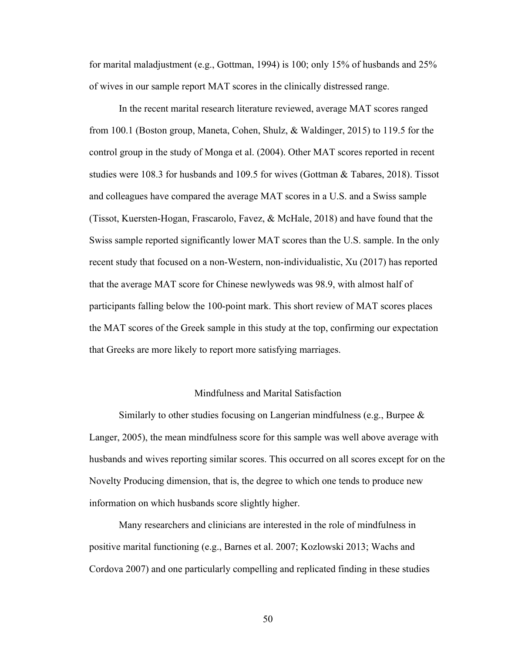for marital maladjustment (e.g., Gottman, 1994) is 100; only 15% of husbands and 25% of wives in our sample report MAT scores in the clinically distressed range.

In the recent marital research literature reviewed, average MAT scores ranged from 100.1 (Boston group, Maneta, Cohen, Shulz, & Waldinger, 2015) to 119.5 for the control group in the study of Monga et al. (2004). Other MAT scores reported in recent studies were 108.3 for husbands and 109.5 for wives (Gottman & Tabares, 2018). Tissot and colleagues have compared the average MAT scores in a U.S. and a Swiss sample (Tissot, Kuersten-Hogan, Frascarolo, Favez, & McHale, 2018) and have found that the Swiss sample reported significantly lower MAT scores than the U.S. sample. In the only recent study that focused on a non-Western, non-individualistic, Xu (2017) has reported that the average MAT score for Chinese newlyweds was 98.9, with almost half of participants falling below the 100-point mark. This short review of MAT scores places the MAT scores of the Greek sample in this study at the top, confirming our expectation that Greeks are more likely to report more satisfying marriages.

# Mindfulness and Marital Satisfaction

Similarly to other studies focusing on Langerian mindfulness (e.g., Burpee  $\&$ Langer, 2005), the mean mindfulness score for this sample was well above average with husbands and wives reporting similar scores. This occurred on all scores except for on the Novelty Producing dimension, that is, the degree to which one tends to produce new information on which husbands score slightly higher.

Many researchers and clinicians are interested in the role of mindfulness in positive marital functioning (e.g., Barnes et al. 2007; Kozlowski 2013; Wachs and Cordova 2007) and one particularly compelling and replicated finding in these studies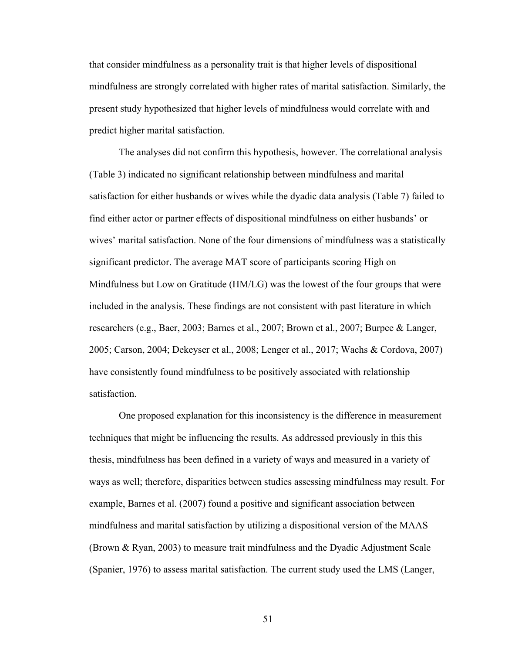that consider mindfulness as a personality trait is that higher levels of dispositional mindfulness are strongly correlated with higher rates of marital satisfaction. Similarly, the present study hypothesized that higher levels of mindfulness would correlate with and predict higher marital satisfaction.

The analyses did not confirm this hypothesis, however. The correlational analysis (Table 3) indicated no significant relationship between mindfulness and marital satisfaction for either husbands or wives while the dyadic data analysis (Table 7) failed to find either actor or partner effects of dispositional mindfulness on either husbands' or wives' marital satisfaction. None of the four dimensions of mindfulness was a statistically significant predictor. The average MAT score of participants scoring High on Mindfulness but Low on Gratitude (HM/LG) was the lowest of the four groups that were included in the analysis. These findings are not consistent with past literature in which researchers (e.g., Baer, 2003; Barnes et al., 2007; Brown et al., 2007; Burpee & Langer, 2005; Carson, 2004; Dekeyser et al., 2008; Lenger et al., 2017; Wachs & Cordova, 2007) have consistently found mindfulness to be positively associated with relationship satisfaction.

One proposed explanation for this inconsistency is the difference in measurement techniques that might be influencing the results. As addressed previously in this this thesis, mindfulness has been defined in a variety of ways and measured in a variety of ways as well; therefore, disparities between studies assessing mindfulness may result. For example, Barnes et al. (2007) found a positive and significant association between mindfulness and marital satisfaction by utilizing a dispositional version of the MAAS (Brown & Ryan, 2003) to measure trait mindfulness and the Dyadic Adjustment Scale (Spanier, 1976) to assess marital satisfaction. The current study used the LMS (Langer,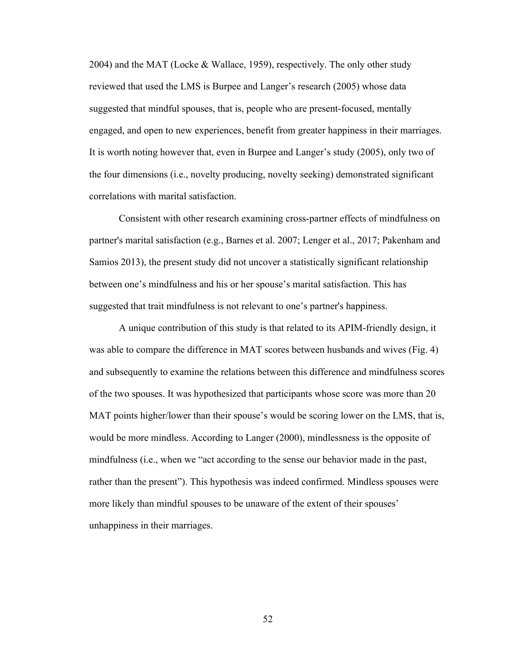2004) and the MAT (Locke & Wallace, 1959), respectively. The only other study reviewed that used the LMS is Burpee and Langer's research (2005) whose data suggested that mindful spouses, that is, people who are present-focused, mentally engaged, and open to new experiences, benefit from greater happiness in their marriages. It is worth noting however that, even in Burpee and Langer's study (2005), only two of the four dimensions (i.e., novelty producing, novelty seeking) demonstrated significant correlations with marital satisfaction.

Consistent with other research examining cross-partner effects of mindfulness on partner's marital satisfaction (e.g., Barnes et al. 2007; Lenger et al., 2017; Pakenham and Samios 2013), the present study did not uncover a statistically significant relationship between one's mindfulness and his or her spouse's marital satisfaction. This has suggested that trait mindfulness is not relevant to one's partner's happiness.

A unique contribution of this study is that related to its APIM-friendly design, it was able to compare the difference in MAT scores between husbands and wives (Fig. 4) and subsequently to examine the relations between this difference and mindfulness scores of the two spouses. It was hypothesized that participants whose score was more than 20 MAT points higher/lower than their spouse's would be scoring lower on the LMS, that is, would be more mindless. According to Langer (2000), mindlessness is the opposite of mindfulness (i.e., when we "act according to the sense our behavior made in the past, rather than the present"). This hypothesis was indeed confirmed. Mindless spouses were more likely than mindful spouses to be unaware of the extent of their spouses' unhappiness in their marriages.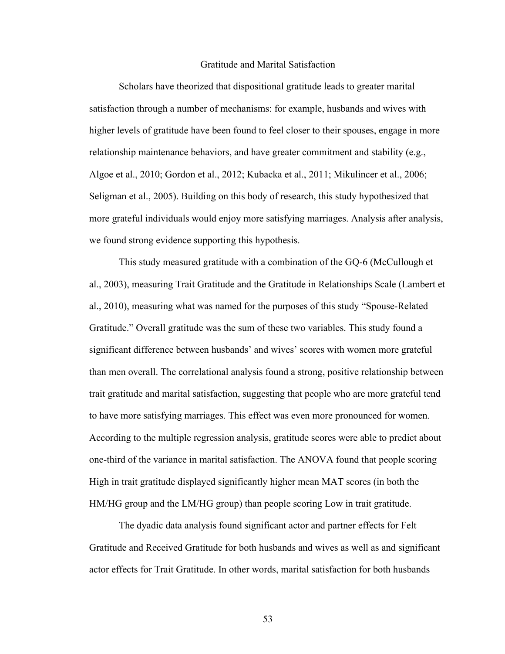### Gratitude and Marital Satisfaction

Scholars have theorized that dispositional gratitude leads to greater marital satisfaction through a number of mechanisms: for example, husbands and wives with higher levels of gratitude have been found to feel closer to their spouses, engage in more relationship maintenance behaviors, and have greater commitment and stability (e.g., Algoe et al., 2010; Gordon et al., 2012; Kubacka et al., 2011; Mikulincer et al., 2006; Seligman et al., 2005). Building on this body of research, this study hypothesized that more grateful individuals would enjoy more satisfying marriages. Analysis after analysis, we found strong evidence supporting this hypothesis.

This study measured gratitude with a combination of the GQ-6 (McCullough et al., 2003), measuring Trait Gratitude and the Gratitude in Relationships Scale (Lambert et al., 2010), measuring what was named for the purposes of this study "Spouse-Related Gratitude." Overall gratitude was the sum of these two variables. This study found a significant difference between husbands' and wives' scores with women more grateful than men overall. The correlational analysis found a strong, positive relationship between trait gratitude and marital satisfaction, suggesting that people who are more grateful tend to have more satisfying marriages. This effect was even more pronounced for women. According to the multiple regression analysis, gratitude scores were able to predict about one-third of the variance in marital satisfaction. The ANOVA found that people scoring High in trait gratitude displayed significantly higher mean MAT scores (in both the HM/HG group and the LM/HG group) than people scoring Low in trait gratitude.

The dyadic data analysis found significant actor and partner effects for Felt Gratitude and Received Gratitude for both husbands and wives as well as and significant actor effects for Trait Gratitude. In other words, marital satisfaction for both husbands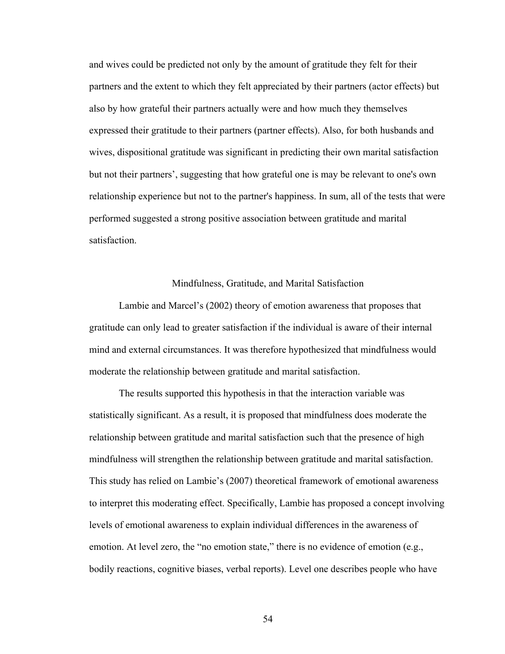and wives could be predicted not only by the amount of gratitude they felt for their partners and the extent to which they felt appreciated by their partners (actor effects) but also by how grateful their partners actually were and how much they themselves expressed their gratitude to their partners (partner effects). Also, for both husbands and wives, dispositional gratitude was significant in predicting their own marital satisfaction but not their partners', suggesting that how grateful one is may be relevant to one's own relationship experience but not to the partner's happiness. In sum, all of the tests that were performed suggested a strong positive association between gratitude and marital satisfaction.

### Mindfulness, Gratitude, and Marital Satisfaction

Lambie and Marcel's (2002) theory of emotion awareness that proposes that gratitude can only lead to greater satisfaction if the individual is aware of their internal mind and external circumstances. It was therefore hypothesized that mindfulness would moderate the relationship between gratitude and marital satisfaction.

The results supported this hypothesis in that the interaction variable was statistically significant. As a result, it is proposed that mindfulness does moderate the relationship between gratitude and marital satisfaction such that the presence of high mindfulness will strengthen the relationship between gratitude and marital satisfaction. This study has relied on Lambie's (2007) theoretical framework of emotional awareness to interpret this moderating effect. Specifically, Lambie has proposed a concept involving levels of emotional awareness to explain individual differences in the awareness of emotion. At level zero, the "no emotion state," there is no evidence of emotion (e.g., bodily reactions, cognitive biases, verbal reports). Level one describes people who have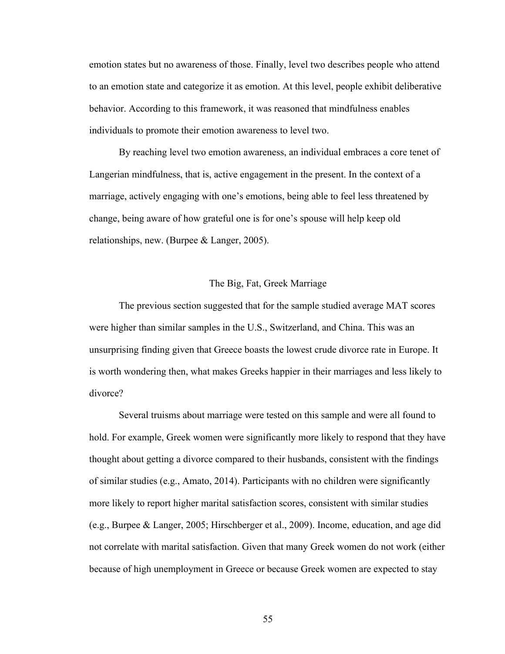emotion states but no awareness of those. Finally, level two describes people who attend to an emotion state and categorize it as emotion. At this level, people exhibit deliberative behavior. According to this framework, it was reasoned that mindfulness enables individuals to promote their emotion awareness to level two.

By reaching level two emotion awareness, an individual embraces a core tenet of Langerian mindfulness, that is, active engagement in the present. In the context of a marriage, actively engaging with one's emotions, being able to feel less threatened by change, being aware of how grateful one is for one's spouse will help keep old relationships, new. (Burpee & Langer, 2005).

### The Big, Fat, Greek Marriage

The previous section suggested that for the sample studied average MAT scores were higher than similar samples in the U.S., Switzerland, and China. This was an unsurprising finding given that Greece boasts the lowest crude divorce rate in Europe. It is worth wondering then, what makes Greeks happier in their marriages and less likely to divorce?

Several truisms about marriage were tested on this sample and were all found to hold. For example, Greek women were significantly more likely to respond that they have thought about getting a divorce compared to their husbands, consistent with the findings of similar studies (e.g., Amato, 2014). Participants with no children were significantly more likely to report higher marital satisfaction scores, consistent with similar studies (e.g., Burpee & Langer, 2005; Hirschberger et al., 2009). Income, education, and age did not correlate with marital satisfaction. Given that many Greek women do not work (either because of high unemployment in Greece or because Greek women are expected to stay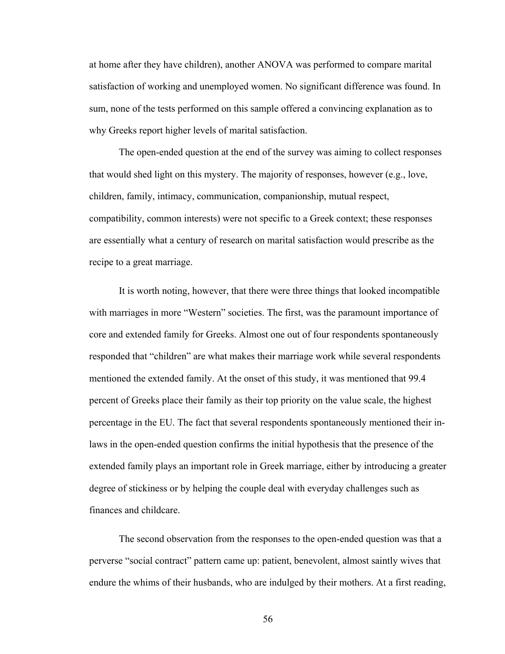at home after they have children), another ANOVA was performed to compare marital satisfaction of working and unemployed women. No significant difference was found. In sum, none of the tests performed on this sample offered a convincing explanation as to why Greeks report higher levels of marital satisfaction.

The open-ended question at the end of the survey was aiming to collect responses that would shed light on this mystery. The majority of responses, however (e.g., love, children, family, intimacy, communication, companionship, mutual respect, compatibility, common interests) were not specific to a Greek context; these responses are essentially what a century of research on marital satisfaction would prescribe as the recipe to a great marriage.

It is worth noting, however, that there were three things that looked incompatible with marriages in more "Western" societies. The first, was the paramount importance of core and extended family for Greeks. Almost one out of four respondents spontaneously responded that "children" are what makes their marriage work while several respondents mentioned the extended family. At the onset of this study, it was mentioned that 99.4 percent of Greeks place their family as their top priority on the value scale, the highest percentage in the EU. The fact that several respondents spontaneously mentioned their inlaws in the open-ended question confirms the initial hypothesis that the presence of the extended family plays an important role in Greek marriage, either by introducing a greater degree of stickiness or by helping the couple deal with everyday challenges such as finances and childcare.

The second observation from the responses to the open-ended question was that a perverse "social contract" pattern came up: patient, benevolent, almost saintly wives that endure the whims of their husbands, who are indulged by their mothers. At a first reading,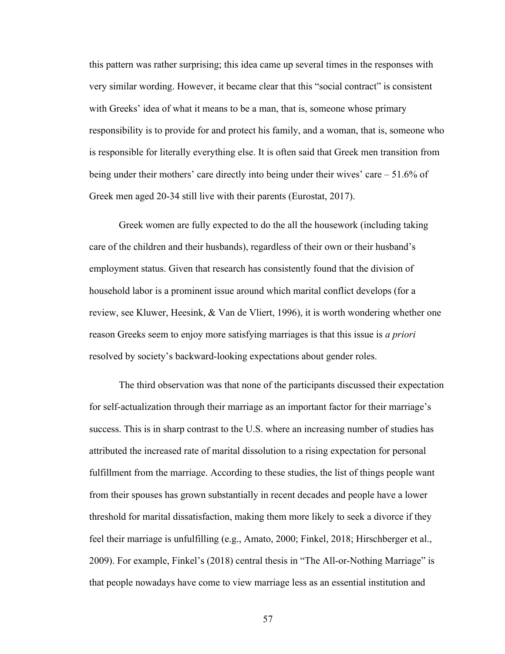this pattern was rather surprising; this idea came up several times in the responses with very similar wording. However, it became clear that this "social contract" is consistent with Greeks' idea of what it means to be a man, that is, someone whose primary responsibility is to provide for and protect his family, and a woman, that is, someone who is responsible for literally everything else. It is often said that Greek men transition from being under their mothers' care directly into being under their wives' care – 51.6% of Greek men aged 20-34 still live with their parents (Eurostat, 2017).

Greek women are fully expected to do the all the housework (including taking care of the children and their husbands), regardless of their own or their husband's employment status. Given that research has consistently found that the division of household labor is a prominent issue around which marital conflict develops (for a review, see Kluwer, Heesink, & Van de Vliert, 1996), it is worth wondering whether one reason Greeks seem to enjoy more satisfying marriages is that this issue is *a priori* resolved by society's backward-looking expectations about gender roles.

The third observation was that none of the participants discussed their expectation for self-actualization through their marriage as an important factor for their marriage's success. This is in sharp contrast to the U.S. where an increasing number of studies has attributed the increased rate of marital dissolution to a rising expectation for personal fulfillment from the marriage. According to these studies, the list of things people want from their spouses has grown substantially in recent decades and people have a lower threshold for marital dissatisfaction, making them more likely to seek a divorce if they feel their marriage is unfulfilling (e.g., Amato, 2000; Finkel, 2018; Hirschberger et al., 2009). For example, Finkel's (2018) central thesis in "The All-or-Nothing Marriage" is that people nowadays have come to view marriage less as an essential institution and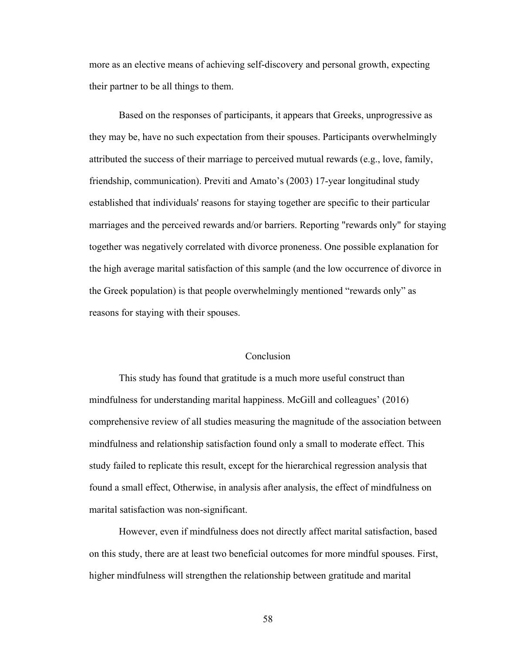more as an elective means of achieving self-discovery and personal growth, expecting their partner to be all things to them.

Based on the responses of participants, it appears that Greeks, unprogressive as they may be, have no such expectation from their spouses. Participants overwhelmingly attributed the success of their marriage to perceived mutual rewards (e.g., love, family, friendship, communication). Previti and Amato's (2003) 17-year longitudinal study established that individuals' reasons for staying together are specific to their particular marriages and the perceived rewards and/or barriers. Reporting "rewards only" for staying together was negatively correlated with divorce proneness. One possible explanation for the high average marital satisfaction of this sample (and the low occurrence of divorce in the Greek population) is that people overwhelmingly mentioned "rewards only" as reasons for staying with their spouses.

# Conclusion

This study has found that gratitude is a much more useful construct than mindfulness for understanding marital happiness. McGill and colleagues' (2016) comprehensive review of all studies measuring the magnitude of the association between mindfulness and relationship satisfaction found only a small to moderate effect. This study failed to replicate this result, except for the hierarchical regression analysis that found a small effect, Otherwise, in analysis after analysis, the effect of mindfulness on marital satisfaction was non-significant.

However, even if mindfulness does not directly affect marital satisfaction, based on this study, there are at least two beneficial outcomes for more mindful spouses. First, higher mindfulness will strengthen the relationship between gratitude and marital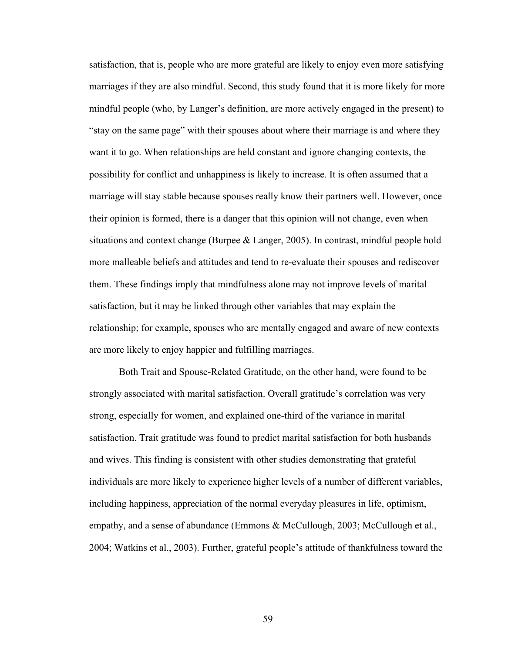satisfaction, that is, people who are more grateful are likely to enjoy even more satisfying marriages if they are also mindful. Second, this study found that it is more likely for more mindful people (who, by Langer's definition, are more actively engaged in the present) to "stay on the same page" with their spouses about where their marriage is and where they want it to go. When relationships are held constant and ignore changing contexts, the possibility for conflict and unhappiness is likely to increase. It is often assumed that a marriage will stay stable because spouses really know their partners well. However, once their opinion is formed, there is a danger that this opinion will not change, even when situations and context change (Burpee & Langer, 2005). In contrast, mindful people hold more malleable beliefs and attitudes and tend to re-evaluate their spouses and rediscover them. These findings imply that mindfulness alone may not improve levels of marital satisfaction, but it may be linked through other variables that may explain the relationship; for example, spouses who are mentally engaged and aware of new contexts are more likely to enjoy happier and fulfilling marriages.

Both Trait and Spouse-Related Gratitude, on the other hand, were found to be strongly associated with marital satisfaction. Overall gratitude's correlation was very strong, especially for women, and explained one-third of the variance in marital satisfaction. Trait gratitude was found to predict marital satisfaction for both husbands and wives. This finding is consistent with other studies demonstrating that grateful individuals are more likely to experience higher levels of a number of different variables, including happiness, appreciation of the normal everyday pleasures in life, optimism, empathy, and a sense of abundance (Emmons & McCullough, 2003; McCullough et al., 2004; Watkins et al., 2003). Further, grateful people's attitude of thankfulness toward the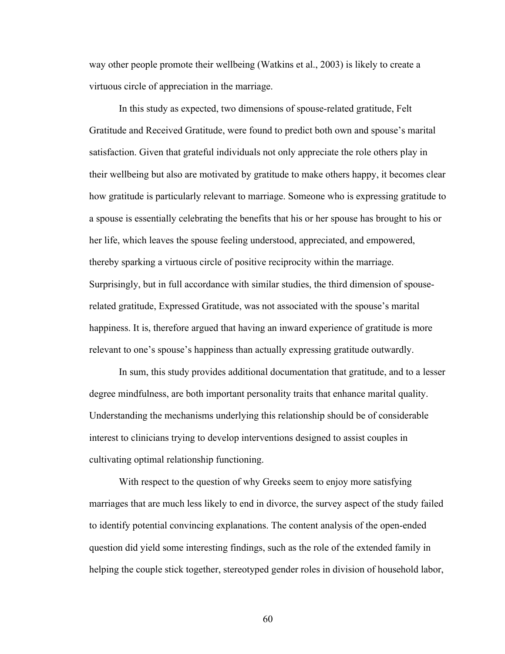way other people promote their wellbeing (Watkins et al., 2003) is likely to create a virtuous circle of appreciation in the marriage.

In this study as expected, two dimensions of spouse-related gratitude, Felt Gratitude and Received Gratitude, were found to predict both own and spouse's marital satisfaction. Given that grateful individuals not only appreciate the role others play in their wellbeing but also are motivated by gratitude to make others happy, it becomes clear how gratitude is particularly relevant to marriage. Someone who is expressing gratitude to a spouse is essentially celebrating the benefits that his or her spouse has brought to his or her life, which leaves the spouse feeling understood, appreciated, and empowered, thereby sparking a virtuous circle of positive reciprocity within the marriage. Surprisingly, but in full accordance with similar studies, the third dimension of spouserelated gratitude, Expressed Gratitude, was not associated with the spouse's marital happiness. It is, therefore argued that having an inward experience of gratitude is more relevant to one's spouse's happiness than actually expressing gratitude outwardly.

In sum, this study provides additional documentation that gratitude, and to a lesser degree mindfulness, are both important personality traits that enhance marital quality. Understanding the mechanisms underlying this relationship should be of considerable interest to clinicians trying to develop interventions designed to assist couples in cultivating optimal relationship functioning.

With respect to the question of why Greeks seem to enjoy more satisfying marriages that are much less likely to end in divorce, the survey aspect of the study failed to identify potential convincing explanations. The content analysis of the open-ended question did yield some interesting findings, such as the role of the extended family in helping the couple stick together, stereotyped gender roles in division of household labor,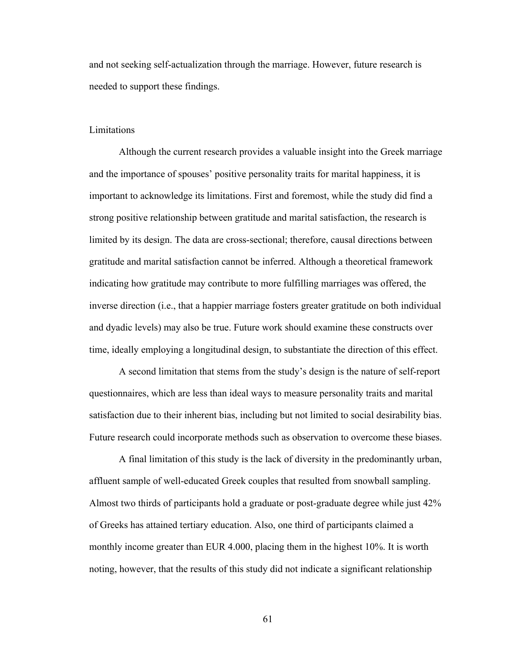and not seeking self-actualization through the marriage. However, future research is needed to support these findings.

### Limitations

Although the current research provides a valuable insight into the Greek marriage and the importance of spouses' positive personality traits for marital happiness, it is important to acknowledge its limitations. First and foremost, while the study did find a strong positive relationship between gratitude and marital satisfaction, the research is limited by its design. The data are cross-sectional; therefore, causal directions between gratitude and marital satisfaction cannot be inferred. Although a theoretical framework indicating how gratitude may contribute to more fulfilling marriages was offered, the inverse direction (i.e., that a happier marriage fosters greater gratitude on both individual and dyadic levels) may also be true. Future work should examine these constructs over time, ideally employing a longitudinal design, to substantiate the direction of this effect.

A second limitation that stems from the study's design is the nature of self-report questionnaires, which are less than ideal ways to measure personality traits and marital satisfaction due to their inherent bias, including but not limited to social desirability bias. Future research could incorporate methods such as observation to overcome these biases.

A final limitation of this study is the lack of diversity in the predominantly urban, affluent sample of well-educated Greek couples that resulted from snowball sampling. Almost two thirds of participants hold a graduate or post-graduate degree while just 42% of Greeks has attained tertiary education. Also, one third of participants claimed a monthly income greater than EUR 4.000, placing them in the highest 10%. It is worth noting, however, that the results of this study did not indicate a significant relationship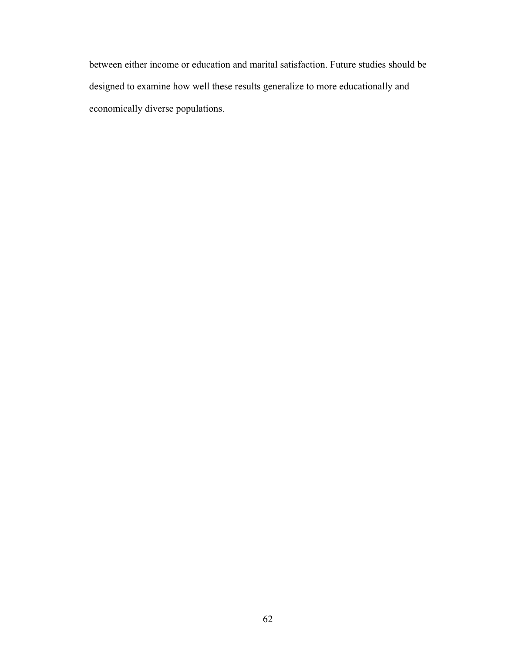between either income or education and marital satisfaction. Future studies should be designed to examine how well these results generalize to more educationally and economically diverse populations.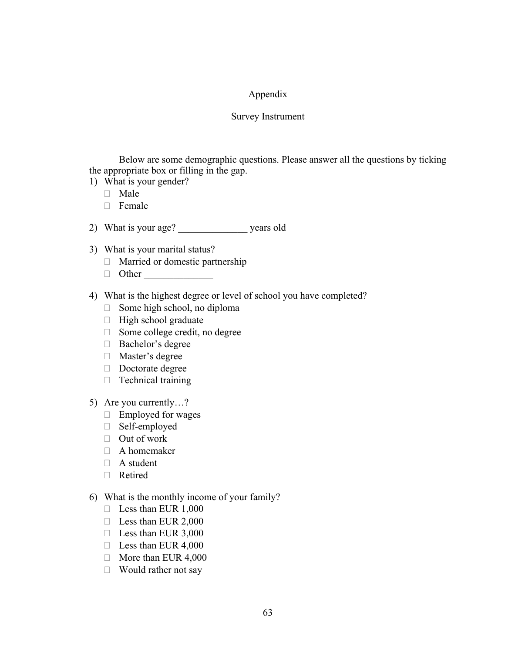# Appendix

# Survey Instrument

Below are some demographic questions. Please answer all the questions by ticking the appropriate box or filling in the gap.

- 1) What is your gender?
	- Male
	- $\Box$  Female

2) What is your age? years old

- 3) What is your marital status?
	- Married or domestic partnership
	- $\Box$  Other
- 4) What is the highest degree or level of school you have completed?
	- $\Box$  Some high school, no diploma
	- $\Box$  High school graduate
	- $\Box$  Some college credit, no degree
	- □ Bachelor's degree
	- Master's degree
	- Doctorate degree
	- $\Box$  Technical training
- 5) Are you currently…?
	- $\Box$  Employed for wages
	- Self-employed
	- $\Box$  Out of work
	- A homemaker
	- □ A student
	- Retired
- 6) What is the monthly income of your family?
	- $\Box$  Less than EUR 1,000
	- $\Box$  Less than EUR 2,000
	- $\Box$  Less than EUR 3,000
	- $\Box$  Less than EUR 4,000
	- $\Box$  More than EUR 4,000
	- $\Box$  Would rather not say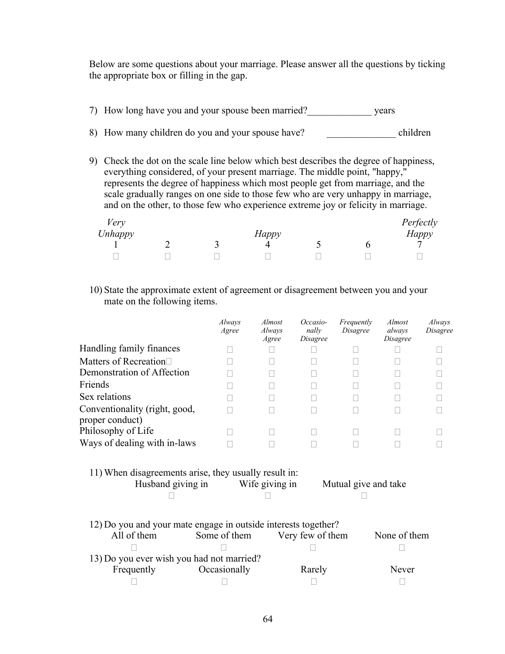Below are some questions about your marriage. Please answer all the questions by ticking the appropriate box or filling in the gap.

- 7) How long have you and your spouse been married?\_\_\_\_\_\_\_\_\_\_\_\_\_ years 8) How many children do you and your spouse have? children
- 9) Check the dot on the scale line below which best describes the degree of happiness, everything considered, of your present marriage. The middle point, "happy," represents the degree of happiness which most people get from marriage, and the scale gradually ranges on one side to those few who are very unhappy in marriage, and on the other, to those few who experience extreme joy or felicity in marriage.

| Very    |  |              |  | Perfectly    |
|---------|--|--------------|--|--------------|
| Unhappy |  | <b>Happy</b> |  | <b>Happy</b> |
|         |  |              |  |              |
|         |  |              |  |              |

10) State the approximate extent of agreement or disagreement between you and your mate on the following items.

|                                                                                                                      | Always<br>Agree | <i>Almost</i><br>Always<br>Agree | Occasio-<br>nally<br><i>Disagree</i> | Frequently<br><i>Disagree</i> | <i>Almost</i><br>always<br><i>Disagree</i> | Always<br><i>Disagree</i> |  |  |  |
|----------------------------------------------------------------------------------------------------------------------|-----------------|----------------------------------|--------------------------------------|-------------------------------|--------------------------------------------|---------------------------|--|--|--|
| Handling family finances                                                                                             |                 |                                  |                                      |                               |                                            |                           |  |  |  |
| Matters of Recreation                                                                                                |                 |                                  |                                      |                               |                                            |                           |  |  |  |
| Demonstration of Affection                                                                                           |                 |                                  |                                      |                               |                                            |                           |  |  |  |
| Friends                                                                                                              |                 |                                  |                                      |                               |                                            |                           |  |  |  |
| Sex relations                                                                                                        |                 |                                  |                                      |                               |                                            |                           |  |  |  |
| Conventionality (right, good,<br>proper conduct)                                                                     |                 |                                  |                                      |                               |                                            |                           |  |  |  |
| Philosophy of Life                                                                                                   |                 |                                  |                                      |                               |                                            |                           |  |  |  |
| Ways of dealing with in-laws                                                                                         |                 |                                  |                                      |                               |                                            |                           |  |  |  |
| 11) When disagreements arise, they usually result in:<br>Husband giving in<br>Wife giving in<br>Mutual give and take |                 |                                  |                                      |                               |                                            |                           |  |  |  |
| 12) Do you and your mate engage in outside interests together?<br>All of them                                        | Some of them    |                                  | Very few of them                     |                               | None of them                               |                           |  |  |  |
|                                                                                                                      |                 |                                  |                                      |                               |                                            |                           |  |  |  |
| 13) Do you ever wish you had not married?                                                                            |                 |                                  |                                      |                               |                                            |                           |  |  |  |
| Frequently                                                                                                           | Occasionally    |                                  | Rarely                               |                               | Never                                      |                           |  |  |  |
|                                                                                                                      |                 |                                  |                                      |                               |                                            |                           |  |  |  |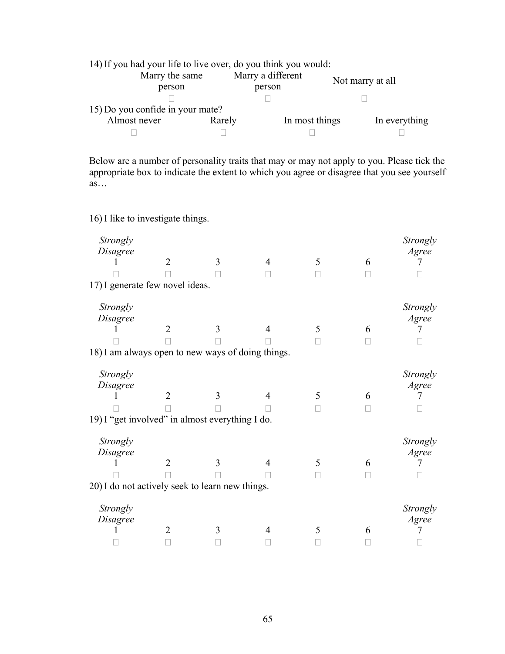| 14) If you had your life to live over, do you think you would: |        |                             |                  |               |
|----------------------------------------------------------------|--------|-----------------------------|------------------|---------------|
| Marry the same<br>person                                       |        | Marry a different<br>person | Not marry at all |               |
|                                                                |        |                             |                  |               |
| 15) Do you confide in your mate?                               |        |                             |                  |               |
| Almost never                                                   | Rarely | In most things              |                  | In everything |
|                                                                |        |                             |                  |               |

Below are a number of personality traits that may or may not apply to you. Please tick the appropriate box to indicate the extent to which you agree or disagree that you see yourself  $\overline{as}$ ...

16) I like to investigate things.

| Strongly<br>Disagree                              | $\overline{2}$ | 3 | 4 | 5 | 6 | Strongly<br>Agree |
|---------------------------------------------------|----------------|---|---|---|---|-------------------|
|                                                   |                |   |   |   |   |                   |
|                                                   |                |   |   |   |   |                   |
| 17) I generate few novel ideas.                   |                |   |   |   |   |                   |
| Strongly                                          |                |   |   |   |   | Strongly          |
| Disagree                                          |                |   |   |   |   | Agree             |
|                                                   | $\overline{2}$ | 3 |   | 5 | 6 |                   |
|                                                   |                |   |   |   |   |                   |
| 18) I am always open to new ways of doing things. |                |   |   |   |   |                   |
|                                                   |                |   |   |   |   |                   |
| Strongly                                          |                |   |   |   |   | Strongly          |
| Disagree                                          |                |   |   |   |   | Agree             |
|                                                   | $\overline{2}$ | 3 |   | 5 | 6 |                   |
|                                                   |                |   |   |   |   |                   |
| 19) I "get involved" in almost everything I do.   |                |   |   |   |   |                   |
|                                                   |                |   |   |   |   |                   |
| Strongly                                          |                |   |   |   |   | Strongly          |
| Disagree                                          |                |   |   |   |   | Agree             |
|                                                   | 2              | 3 |   | 5 | 6 |                   |
|                                                   |                |   |   |   |   |                   |
| 20) I do not actively seek to learn new things.   |                |   |   |   |   |                   |
|                                                   |                |   |   |   |   |                   |
| Strongly                                          |                |   |   |   |   | Strongly          |
| Disagree                                          |                |   |   |   |   | Agree             |
|                                                   | 2              | 3 |   | 5 | 6 |                   |
|                                                   |                |   |   |   |   |                   |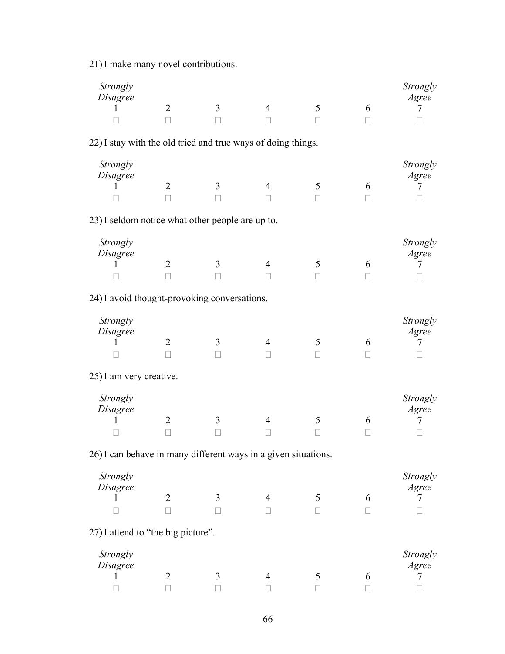21) I make many novel contributions.

| Strongly<br>Disagree                                           |                   |                   |                |              |              | Strongly<br>Agree |
|----------------------------------------------------------------|-------------------|-------------------|----------------|--------------|--------------|-------------------|
| 1                                                              | $\overline{2}$    | 3                 | $\overline{4}$ | 5            | 6            | 7                 |
|                                                                | $\Box$            | $\Box$            |                | $\Box$       | $\Box$       | П                 |
| 22) I stay with the old tried and true ways of doing things.   |                   |                   |                |              |              |                   |
| Strongly                                                       |                   |                   |                |              |              | Strongly          |
| Disagree                                                       |                   |                   |                |              |              | Agree             |
| 1                                                              | $\overline{2}$    | 3                 | 4              | 5            | 6            | 7                 |
|                                                                | П                 | Ш                 |                | $\mathbf{L}$ | Ш            |                   |
| 23) I seldom notice what other people are up to.               |                   |                   |                |              |              |                   |
| Strongly                                                       |                   |                   |                |              |              | Strongly          |
| Disagree                                                       |                   |                   |                |              |              | Agree             |
| 1                                                              | $\overline{2}$    | 3                 | 4              | 5            | 6            | 7                 |
|                                                                | $\Box$            | $\Box$            |                | П            | П            |                   |
| 24) I avoid thought-provoking conversations.                   |                   |                   |                |              |              |                   |
| Strongly                                                       |                   |                   |                |              |              | Strongly          |
| Disagree                                                       |                   |                   |                |              |              | Agree             |
| L                                                              | $\overline{2}$    | 3                 | 4              | 5            | 6            | 7                 |
|                                                                | П                 | П                 | $\Box$         | $\mathbf{L}$ | $\mathbf{L}$ |                   |
| 25) I am very creative.                                        |                   |                   |                |              |              |                   |
| Strongly                                                       |                   |                   |                |              |              | Strongly          |
| Disagree                                                       |                   |                   |                |              |              | Agree             |
|                                                                | $\overline{2}$    | 3                 | 4              | 5            | 6            | 7                 |
|                                                                | $\Box$            | $\Box$            |                | □            | □            | П                 |
| 26) I can behave in many different ways in a given situations. |                   |                   |                |              |              |                   |
| Strongly                                                       |                   |                   |                |              |              | Strongly          |
| Disagree                                                       |                   |                   |                |              |              | Agree             |
| 1                                                              | $\overline{2}$    | 3                 | 4              | 5            | 6            | $\mathcal{I}$     |
|                                                                | $\vert \ \ \vert$ | $\vert \ \ \vert$ |                | $\mathbf{L}$ | Ш            |                   |
| 27) I attend to "the big picture".                             |                   |                   |                |              |              |                   |
| Strongly                                                       |                   |                   |                |              |              | Strongly          |
| Disagree                                                       |                   |                   |                |              |              | Agree             |
|                                                                | $\overline{2}$    | 3                 | 4              | 5            | 6            | 7                 |
|                                                                |                   | П                 |                |              |              |                   |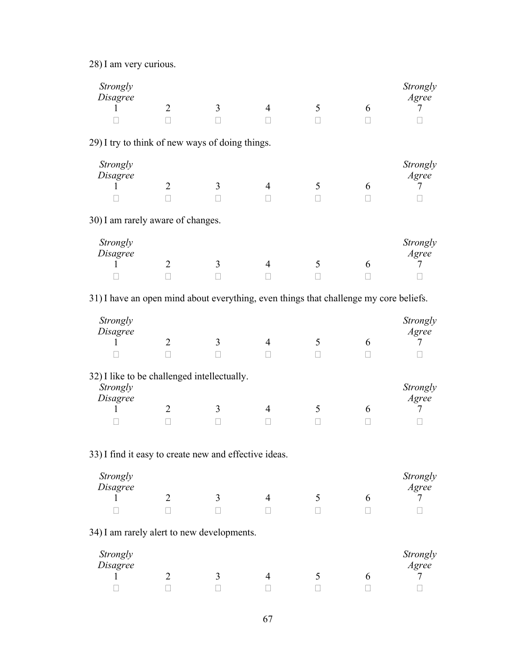28) I am very curious.

| Strongly<br>Disagree                                                                  |                     |              |                          |              |                   | Strongly<br>Agree |
|---------------------------------------------------------------------------------------|---------------------|--------------|--------------------------|--------------|-------------------|-------------------|
|                                                                                       | $\overline{2}$<br>П | 3            | 4                        | 5<br>$\Box$  | 6<br>$\mathbf{L}$ | 7                 |
| 29) I try to think of new ways of doing things.                                       |                     |              |                          |              |                   |                   |
| Strongly                                                                              |                     |              |                          |              |                   | Strongly          |
| Disagree                                                                              |                     |              |                          |              |                   | Agree             |
| L                                                                                     | $\overline{2}$      | 3            | $\overline{4}$           | 5            | 6                 | 7                 |
|                                                                                       | $\mathbf{L}$        |              |                          |              |                   |                   |
| 30) I am rarely aware of changes.                                                     |                     |              |                          |              |                   |                   |
| Strongly<br>Disagree                                                                  |                     |              |                          |              |                   | Strongly<br>Agree |
|                                                                                       | $\overline{2}$      | 3            | $\overline{4}$           | 5            | 6                 | 7                 |
|                                                                                       | $\mathbf{L}$        |              |                          |              |                   |                   |
| 31) I have an open mind about everything, even things that challenge my core beliefs. |                     |              |                          |              |                   |                   |
| Strongly                                                                              |                     |              |                          |              |                   | Strongly          |
| Disagree                                                                              |                     |              |                          |              |                   | Agree             |
| L                                                                                     | $\overline{2}$      | 3            | 4                        | 5            | 6                 | 7                 |
|                                                                                       | П                   |              | $\vert \ \ \vert$        | Ш            | Ш                 |                   |
| 32) I like to be challenged intellectually.<br>Strongly                               |                     |              |                          |              |                   | Strongly          |
| Disagree                                                                              |                     |              |                          |              |                   | Agree             |
|                                                                                       | $\overline{2}$      | 3            | 4                        | 5            | 6                 | 7                 |
|                                                                                       | Ш                   | $\mathbf{L}$ |                          | $\mathbf{L}$ | Ш                 |                   |
| 33) I find it easy to create new and effective ideas.                                 |                     |              |                          |              |                   |                   |
| Strongly                                                                              |                     |              |                          |              |                   | Strongly          |
| Disagree                                                                              |                     |              |                          |              |                   | Agree             |
| 1                                                                                     | $\overline{2}$      | 3            | $\overline{\mathcal{A}}$ | 5            | 6                 | 7                 |
|                                                                                       | $\mathbf{I}$        |              |                          |              |                   |                   |
| 34) I am rarely alert to new developments.                                            |                     |              |                          |              |                   |                   |
| Strongly                                                                              |                     |              |                          |              |                   | Strongly          |
| Disagree                                                                              |                     |              |                          |              |                   | Agree             |
| 1                                                                                     | $\overline{2}$      | 3            | $\overline{4}$           | 5            | 6                 | 7                 |
|                                                                                       | П                   |              | П                        |              |                   |                   |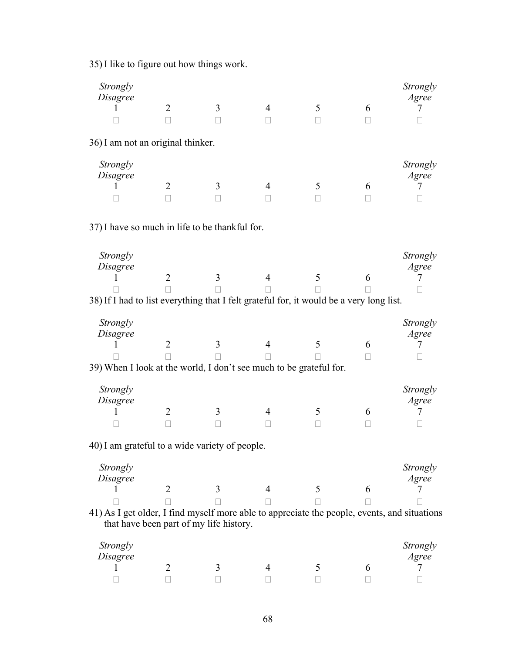35) I like to figure out how things work.

| Strongly<br><i>Disagree</i>       |                |   |  |   | Strongly<br>Agree |
|-----------------------------------|----------------|---|--|---|-------------------|
|                                   | $\mathfrak{D}$ |   |  | 6 |                   |
|                                   |                |   |  |   |                   |
| 36) I am not an original thinker. |                |   |  |   |                   |
| Strongly                          |                |   |  |   | Strongly<br>Agree |
| <i>Disagree</i>                   |                |   |  |   |                   |
|                                   | າ              | 3 |  | 6 |                   |
|                                   |                |   |  |   |                   |
|                                   |                |   |  |   |                   |

37) I have so much in life to be thankful for.

| Strongly<br>Disagree                                |                                                                             |                                    |                      |                |     | Strongly<br>Agree |
|-----------------------------------------------------|-----------------------------------------------------------------------------|------------------------------------|----------------------|----------------|-----|-------------------|
|                                                     |                                                                             |                                    |                      |                |     |                   |
|                                                     |                                                                             |                                    |                      |                |     |                   |
| $\sim$ $\sim$ $\sim$ $\sim$ $\sim$<br>$\sim$ $\sim$ | $\overline{\phantom{a}}$<br>the contract of the contract of the contract of | $\sim$ $\sim$ $\sim$ $\sim$ $\sim$ | $\sim$ $\sim$ $\sim$ | .<br>$\bullet$ | . . | $\sim$ $\sim$     |

38) If I had to list everything that I felt grateful for, it would be a very long list.

| Strongly<br>Disagree                                               |  |  | Strongly<br>Agree |
|--------------------------------------------------------------------|--|--|-------------------|
|                                                                    |  |  |                   |
|                                                                    |  |  |                   |
| 39) When I look at the world, I don't see much to be grateful for. |  |  |                   |

| Strongly<br>Disagree |  |  | Strongly<br>Agree |
|----------------------|--|--|-------------------|
|                      |  |  |                   |
|                      |  |  |                   |

40) I am grateful to a wide variety of people.

| Strongly<br>Disagree |     |  | Strongly<br>Agree |
|----------------------|-----|--|-------------------|
|                      | ینه |  |                   |
|                      |     |  |                   |

41) As I get older, I find myself more able to appreciate the people, events, and situations that have been part of my life history.

| Strongly<br>Disagree |  |  | Strongly<br>Agree |
|----------------------|--|--|-------------------|
|                      |  |  |                   |
|                      |  |  |                   |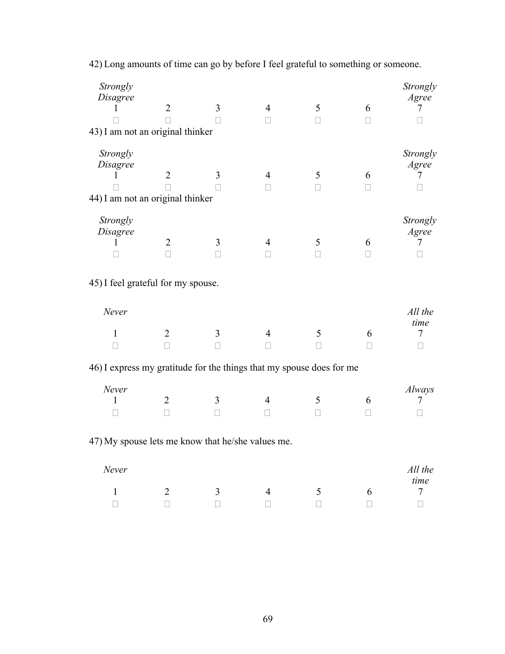| Strongly<br>Disagree<br>T<br>43) I am not an original thinker        | $\overline{2}$                 | $\overline{3}$ | $\overline{4}$<br>П            | 5<br>$\Box$ | 6<br>$\Box$ | Strongly<br>Agree<br>7                |
|----------------------------------------------------------------------|--------------------------------|----------------|--------------------------------|-------------|-------------|---------------------------------------|
| Strongly<br>Disagree<br>1<br>44) I am not an original thinker        | $\overline{2}$                 | 3              | $\overline{4}$<br>$\mathbf{I}$ | 5<br>Н      | 6<br>П      | Strongly<br>Agree<br>7                |
| Strongly<br>Disagree<br>L                                            | $\overline{2}$<br>П            | 3<br>$\Box$    | 4<br>$\mathbf{L}$              | 5<br>П      | 6<br>П      | Strongly<br>Agree<br>7                |
| 45) I feel grateful for my spouse.                                   |                                |                |                                |             |             |                                       |
| Never                                                                |                                |                |                                |             |             | All the                               |
| 1                                                                    | $\overline{2}$<br>$\mathbf{L}$ | 3              | 4                              | 5           | 6<br>П      | time<br>7<br>$\overline{\phantom{a}}$ |
| 46) I express my gratitude for the things that my spouse does for me |                                |                |                                |             |             |                                       |
| Never<br>1                                                           | $\overline{2}$<br>П            | 3<br>П         | 4                              | 5<br>П      | 6           | Always<br>7                           |
| 47) My spouse lets me know that he/she values me.                    |                                |                |                                |             |             |                                       |
| Never                                                                |                                |                |                                |             |             | All the                               |
| $\mathbf{1}$                                                         | $\overline{2}$                 | 3              | $\overline{4}$                 | 5           | 6           | time<br>$\tau$                        |
| $\Box$                                                               | $\mathbf{L}$                   | $\Box$         | $\vert \ \ \vert$              | П           | $\Box$      | $\Box$                                |

42) Long amounts of time can go by before I feel grateful to something or someone.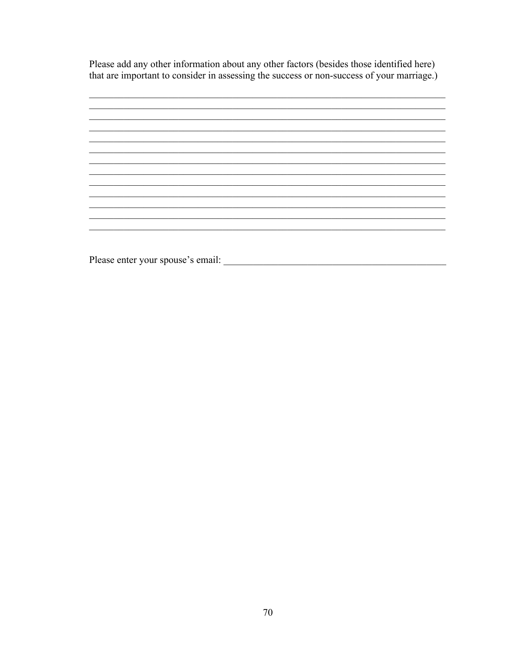Please add any other information about any other factors (besides those identified here) that are important to consider in assessing the success or non-success of your marriage.)



Please enter your spouse's email: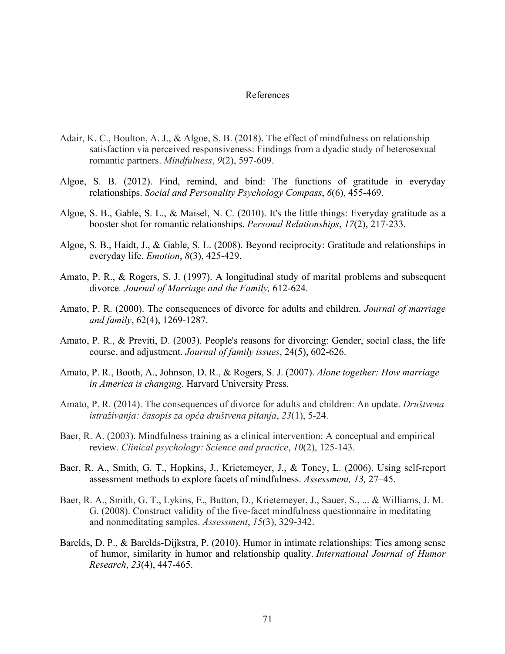## References

- Adair, K. C., Boulton, A. J., & Algoe, S. B. (2018). The effect of mindfulness on relationship satisfaction via perceived responsiveness: Findings from a dyadic study of heterosexual romantic partners. *Mindfulness*, *9*(2), 597-609.
- Algoe, S. B. (2012). Find, remind, and bind: The functions of gratitude in everyday relationships. *Social and Personality Psychology Compass*, *6*(6), 455-469.
- Algoe, S. B., Gable, S. L., & Maisel, N. C. (2010). It's the little things: Everyday gratitude as a booster shot for romantic relationships. *Personal Relationships*, *17*(2), 217-233.
- Algoe, S. B., Haidt, J., & Gable, S. L. (2008). Beyond reciprocity: Gratitude and relationships in everyday life. *Emotion*, *8*(3), 425-429.
- Amato, P. R., & Rogers, S. J. (1997). A longitudinal study of marital problems and subsequent divorce*. Journal of Marriage and the Family,* 612-624.
- Amato, P. R. (2000). The consequences of divorce for adults and children. *Journal of marriage and family*, 62(4), 1269-1287.
- Amato, P. R., & Previti, D. (2003). People's reasons for divorcing: Gender, social class, the life course, and adjustment. *Journal of family issues*, 24(5), 602-626.
- Amato, P. R., Booth, A., Johnson, D. R., & Rogers, S. J. (2007). *Alone together: How marriage in America is changing*. Harvard University Press.
- Amato, P. R. (2014). The consequences of divorce for adults and children: An update. *Društvena istraživanja: časopis za opća društvena pitanja*, *23*(1), 5-24.
- Baer, R. A. (2003). Mindfulness training as a clinical intervention: A conceptual and empirical review. *Clinical psychology: Science and practice*, *10*(2), 125-143.
- Baer, R. A., Smith, G. T., Hopkins, J., Krietemeyer, J., & Toney, L. (2006). Using self-report assessment methods to explore facets of mindfulness. *Assessment, 13,* 27–45.
- Baer, R. A., Smith, G. T., Lykins, E., Button, D., Krietemeyer, J., Sauer, S., ... & Williams, J. M. G. (2008). Construct validity of the five-facet mindfulness questionnaire in meditating and nonmeditating samples. *Assessment*, *15*(3), 329-342.
- Barelds, D. P., & Barelds-Dijkstra, P. (2010). Humor in intimate relationships: Ties among sense of humor, similarity in humor and relationship quality. *International Journal of Humor Research*, *23*(4), 447-465.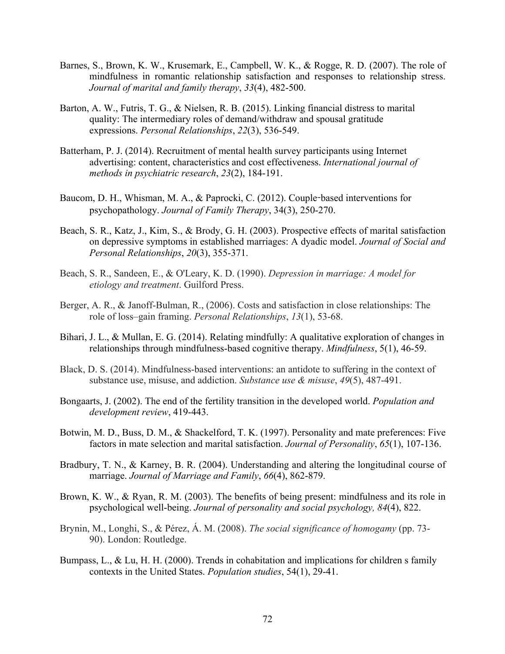- Barnes, S., Brown, K. W., Krusemark, E., Campbell, W. K., & Rogge, R. D. (2007). The role of mindfulness in romantic relationship satisfaction and responses to relationship stress. *Journal of marital and family therapy*, *33*(4), 482-500.
- Barton, A. W., Futris, T. G., & Nielsen, R. B. (2015). Linking financial distress to marital quality: The intermediary roles of demand/withdraw and spousal gratitude expressions. *Personal Relationships*, *22*(3), 536-549.
- Batterham, P. J. (2014). Recruitment of mental health survey participants using Internet advertising: content, characteristics and cost effectiveness. *International journal of methods in psychiatric research*, *23*(2), 184-191.
- Baucom, D. H., Whisman, M. A., & Paprocki, C. (2012). Couple-based interventions for psychopathology. *Journal of Family Therapy*, 34(3), 250-270.
- Beach, S. R., Katz, J., Kim, S., & Brody, G. H. (2003). Prospective effects of marital satisfaction on depressive symptoms in established marriages: A dyadic model. *Journal of Social and Personal Relationships*, *20*(3), 355-371.
- Beach, S. R., Sandeen, E., & O'Leary, K. D. (1990). *Depression in marriage: A model for etiology and treatment*. Guilford Press.
- Berger, A. R., & Janoff-Bulman, R., (2006). Costs and satisfaction in close relationships: The role of loss–gain framing. *Personal Relationships*, *13*(1), 53-68.
- Bihari, J. L., & Mullan, E. G. (2014). Relating mindfully: A qualitative exploration of changes in relationships through mindfulness-based cognitive therapy. *Mindfulness*, 5(1), 46-59.
- Black, D. S. (2014). Mindfulness-based interventions: an antidote to suffering in the context of substance use, misuse, and addiction. *Substance use & misuse*, *49*(5), 487-491.
- Bongaarts, J. (2002). The end of the fertility transition in the developed world. *Population and development review*, 419-443.
- Botwin, M. D., Buss, D. M., & Shackelford, T. K. (1997). Personality and mate preferences: Five factors in mate selection and marital satisfaction. *Journal of Personality*, *65*(1), 107-136.
- Bradbury, T. N., & Karney, B. R. (2004). Understanding and altering the longitudinal course of marriage. *Journal of Marriage and Family*, *66*(4), 862-879.
- Brown, K. W., & Ryan, R. M. (2003). The benefits of being present: mindfulness and its role in psychological well-being. *Journal of personality and social psychology, 84*(4), 822.
- Brynin, M., Longhi, S., & Pérez, Á. M. (2008). *The social significance of homogamy* (pp. 73- 90). London: Routledge.
- Bumpass, L., & Lu, H. H. (2000). Trends in cohabitation and implications for children s family contexts in the United States. *Population studies*, 54(1), 29-41.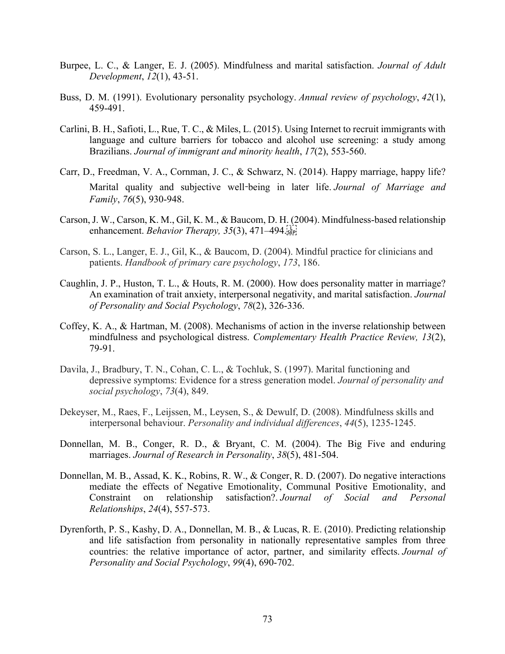- Burpee, L. C., & Langer, E. J. (2005). Mindfulness and marital satisfaction. *Journal of Adult Development*, *12*(1), 43-51.
- Buss, D. M. (1991). Evolutionary personality psychology. *Annual review of psychology*, *42*(1), 459-491.
- Carlini, B. H., Safioti, L., Rue, T. C., & Miles, L. (2015). Using Internet to recruit immigrants with language and culture barriers for tobacco and alcohol use screening: a study among Brazilians. *Journal of immigrant and minority health*, *17*(2), 553-560.
- Carr, D., Freedman, V. A., Cornman, J. C., & Schwarz, N. (2014). Happy marriage, happy life? Marital quality and subjective well-being in later life. *Journal of Marriage and Family*, *76*(5), 930-948.
- Carson, J. W., Carson, K. M., Gil, K. M., & Baucom, D. H. (2004). Mindfulness-based relationship enhancement. *Behavior Therapy, 35*(3), 471–494.
- Carson, S. L., Langer, E. J., Gil, K., & Baucom, D. (2004). Mindful practice for clinicians and patients. *Handbook of primary care psychology*, *173*, 186.
- Caughlin, J. P., Huston, T. L., & Houts, R. M. (2000). How does personality matter in marriage? An examination of trait anxiety, interpersonal negativity, and marital satisfaction. *Journal of Personality and Social Psychology*, *78*(2), 326-336.
- Coffey, K. A., & Hartman, M. (2008). Mechanisms of action in the inverse relationship between mindfulness and psychological distress. *Complementary Health Practice Review, 13*(2), 79-91.
- Davila, J., Bradbury, T. N., Cohan, C. L., & Tochluk, S. (1997). Marital functioning and depressive symptoms: Evidence for a stress generation model. *Journal of personality and social psychology*, *73*(4), 849.
- Dekeyser, M., Raes, F., Leijssen, M., Leysen, S., & Dewulf, D. (2008). Mindfulness skills and interpersonal behaviour. *Personality and individual differences*, *44*(5), 1235-1245.
- Donnellan, M. B., Conger, R. D., & Bryant, C. M. (2004). The Big Five and enduring marriages. *Journal of Research in Personality*, *38*(5), 481-504.
- Donnellan, M. B., Assad, K. K., Robins, R. W., & Conger, R. D. (2007). Do negative interactions mediate the effects of Negative Emotionality, Communal Positive Emotionality, and Constraint on relationship satisfaction?. *Journal of Social and Personal Relationships*, *24*(4), 557-573.
- Dyrenforth, P. S., Kashy, D. A., Donnellan, M. B., & Lucas, R. E. (2010). Predicting relationship and life satisfaction from personality in nationally representative samples from three countries: the relative importance of actor, partner, and similarity effects. *Journal of Personality and Social Psychology*, *99*(4), 690-702.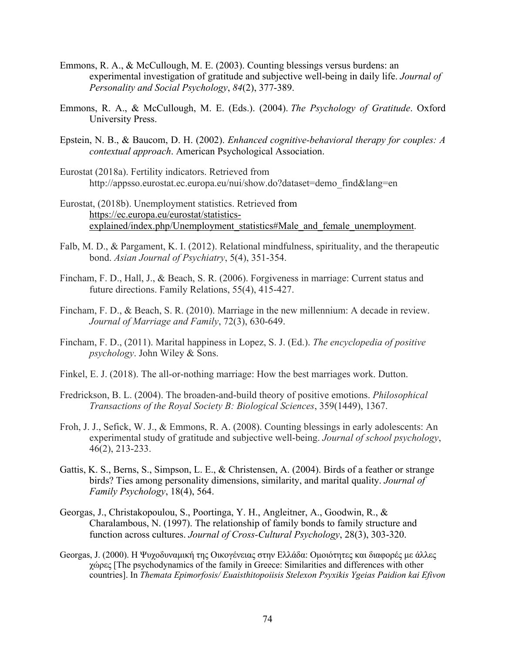- Emmons, R. A., & McCullough, M. E. (2003). Counting blessings versus burdens: an experimental investigation of gratitude and subjective well-being in daily life. *Journal of Personality and Social Psychology*, *84*(2), 377-389.
- Emmons, R. A., & McCullough, M. E. (Eds.). (2004). *The Psychology of Gratitude*. Oxford University Press.
- Epstein, N. B., & Baucom, D. H. (2002). *Enhanced cognitive-behavioral therapy for couples: A contextual approach*. American Psychological Association.
- Eurostat (2018a). Fertility indicators. Retrieved from http://appsso.eurostat.ec.europa.eu/nui/show.do?dataset=demo\_find&lang=en
- Eurostat, (2018b). Unemployment statistics. Retrieved from https://ec.europa.eu/eurostat/statisticsexplained/index.php/Unemployment statistics#Male and female unemployment.
- Falb, M. D., & Pargament, K. I. (2012). Relational mindfulness, spirituality, and the therapeutic bond. *Asian Journal of Psychiatry*, 5(4), 351-354.
- Fincham, F. D., Hall, J., & Beach, S. R. (2006). Forgiveness in marriage: Current status and future directions. Family Relations, 55(4), 415-427.
- Fincham, F. D., & Beach, S. R. (2010). Marriage in the new millennium: A decade in review. *Journal of Marriage and Family*, 72(3), 630-649.
- Fincham, F. D., (2011). Marital happiness in Lopez, S. J. (Ed.). *The encyclopedia of positive psychology*. John Wiley & Sons.
- Finkel, E. J. (2018). The all-or-nothing marriage: How the best marriages work. Dutton.
- Fredrickson, B. L. (2004). The broaden-and-build theory of positive emotions. *Philosophical Transactions of the Royal Society B: Biological Sciences*, 359(1449), 1367.
- Froh, J. J., Sefick, W. J., & Emmons, R. A. (2008). Counting blessings in early adolescents: An experimental study of gratitude and subjective well-being. *Journal of school psychology*, 46(2), 213-233.
- Gattis, K. S., Berns, S., Simpson, L. E., & Christensen, A. (2004). Birds of a feather or strange birds? Ties among personality dimensions, similarity, and marital quality. *Journal of Family Psychology*, 18(4), 564.
- Georgas, J., Christakopoulou, S., Poortinga, Y. H., Angleitner, A., Goodwin, R., & Charalambous, N. (1997). The relationship of family bonds to family structure and function across cultures. *Journal of Cross-Cultural Psychology*, 28(3), 303-320.
- Georgas, J. (2000). Η Ψυχοδυναμική της Οικογένειας στην Ελλάδα: Ομοιότητες και διαφορές με άλλες χώρες [The psychodynamics of the family in Greece: Similarities and differences with other countries]. In *Themata Epimorfosis/ Euaisthitopoiisis Stelexon Psyxikis Ygeias Paidion kai Efivon*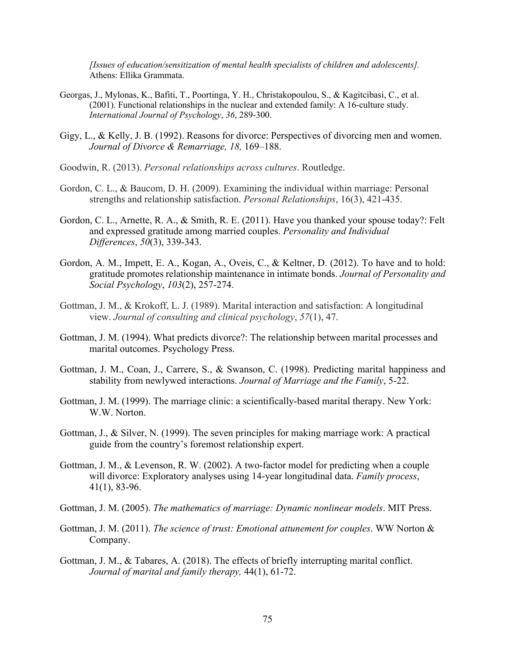*[Issues of education/sensitization of mental health specialists of children and adolescents].* Athens: Ellika Grammata.

- Georgas, J., Mylonas, K., Bafiti, T., Poortinga, Y. H., Christakopoulou, S., & Kagitcibasi, C., et al. (2001). Functional relationships in the nuclear and extended family: A 16-culture study. *International Journal of Psychology*, *36*, 289-300.
- Gigy, L., & Kelly, J. B. (1992). Reasons for divorce: Perspectives of divorcing men and women. *Journal of Divorce & Remarriage, 18,* 169–188.
- Goodwin, R. (2013). *Personal relationships across cultures*. Routledge.
- Gordon, C. L., & Baucom, D. H. (2009). Examining the individual within marriage: Personal strengths and relationship satisfaction. *Personal Relationships*, 16(3), 421-435.
- Gordon, C. L., Arnette, R. A., & Smith, R. E. (2011). Have you thanked your spouse today?: Felt and expressed gratitude among married couples. *Personality and Individual Differences*, *50*(3), 339-343.
- Gordon, A. M., Impett, E. A., Kogan, A., Oveis, C., & Keltner, D. (2012). To have and to hold: gratitude promotes relationship maintenance in intimate bonds. *Journal of Personality and Social Psychology*, *103*(2), 257-274.
- Gottman, J. M., & Krokoff, L. J. (1989). Marital interaction and satisfaction: A longitudinal view. *Journal of consulting and clinical psychology*, *57*(1), 47.
- Gottman, J. M. (1994). What predicts divorce?: The relationship between marital processes and marital outcomes. Psychology Press.
- Gottman, J. M., Coan, J., Carrere, S., & Swanson, C. (1998). Predicting marital happiness and stability from newlywed interactions. *Journal of Marriage and the Family*, 5-22.
- Gottman, J. M. (1999). The marriage clinic: a scientifically-based marital therapy. New York: W.W. Norton.
- Gottman, J., & Silver, N. (1999). The seven principles for making marriage work: A practical guide from the country's foremost relationship expert.
- Gottman, J. M., & Levenson, R. W. (2002). A two-factor model for predicting when a couple will divorce: Exploratory analyses using 14‐year longitudinal data. *Family process*, 41(1), 83-96.
- Gottman, J. M. (2005). *The mathematics of marriage: Dynamic nonlinear models*. MIT Press.
- Gottman, J. M. (2011). *The science of trust: Emotional attunement for couples*. WW Norton & Company.
- Gottman, J. M., & Tabares, A. (2018). The effects of briefly interrupting marital conflict. *Journal of marital and family therapy,* 44(1), 61-72.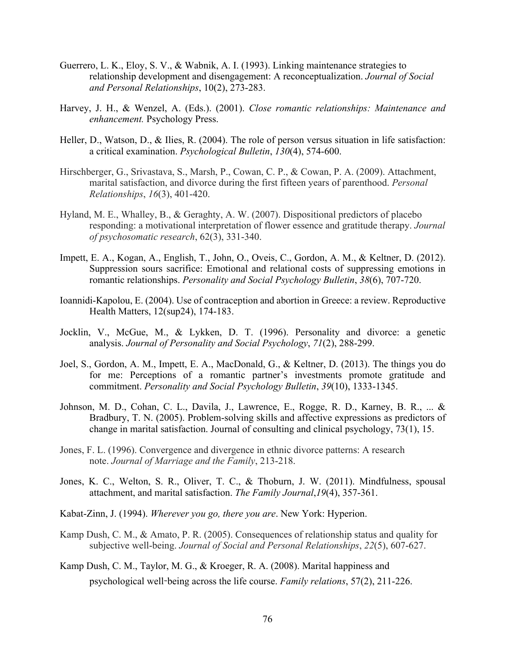- Guerrero, L. K., Eloy, S. V., & Wabnik, A. I. (1993). Linking maintenance strategies to relationship development and disengagement: A reconceptualization. *Journal of Social and Personal Relationships*, 10(2), 273-283.
- Harvey, J. H., & Wenzel, A. (Eds.). (2001). *Close romantic relationships: Maintenance and enhancement.* Psychology Press.
- Heller, D., Watson, D., & Ilies, R. (2004). The role of person versus situation in life satisfaction: a critical examination. *Psychological Bulletin*, *130*(4), 574-600.
- Hirschberger, G., Srivastava, S., Marsh, P., Cowan, C. P., & Cowan, P. A. (2009). Attachment, marital satisfaction, and divorce during the first fifteen years of parenthood. *Personal Relationships*, *16*(3), 401-420.
- Hyland, M. E., Whalley, B., & Geraghty, A. W. (2007). Dispositional predictors of placebo responding: a motivational interpretation of flower essence and gratitude therapy. *Journal of psychosomatic research*, 62(3), 331-340.
- Impett, E. A., Kogan, A., English, T., John, O., Oveis, C., Gordon, A. M., & Keltner, D. (2012). Suppression sours sacrifice: Emotional and relational costs of suppressing emotions in romantic relationships. *Personality and Social Psychology Bulletin*, *38*(6), 707-720.
- Ioannidi-Kapolou, E. (2004). Use of contraception and abortion in Greece: a review. Reproductive Health Matters, 12(sup24), 174-183.
- Jocklin, V., McGue, M., & Lykken, D. T. (1996). Personality and divorce: a genetic analysis. *Journal of Personality and Social Psychology*, *71*(2), 288-299.
- Joel, S., Gordon, A. M., Impett, E. A., MacDonald, G., & Keltner, D. (2013). The things you do for me: Perceptions of a romantic partner's investments promote gratitude and commitment. *Personality and Social Psychology Bulletin*, *39*(10), 1333-1345.
- Johnson, M. D., Cohan, C. L., Davila, J., Lawrence, E., Rogge, R. D., Karney, B. R., ... & Bradbury, T. N. (2005). Problem-solving skills and affective expressions as predictors of change in marital satisfaction. Journal of consulting and clinical psychology, 73(1), 15.
- Jones, F. L. (1996). Convergence and divergence in ethnic divorce patterns: A research note. *Journal of Marriage and the Family*, 213-218.
- Jones, K. C., Welton, S. R., Oliver, T. C., & Thoburn, J. W. (2011). Mindfulness, spousal attachment, and marital satisfaction. *The Family Journal*,*19*(4), 357-361.
- Kabat-Zinn, J. (1994). *Wherever you go, there you are*. New York: Hyperion.
- Kamp Dush, C. M., & Amato, P. R. (2005). Consequences of relationship status and quality for subjective well-being. *Journal of Social and Personal Relationships*, *22*(5), 607-627.
- Kamp Dush, C. M., Taylor, M. G., & Kroeger, R. A. (2008). Marital happiness and psychological well-being across the life course. *Family relations*, 57(2), 211-226.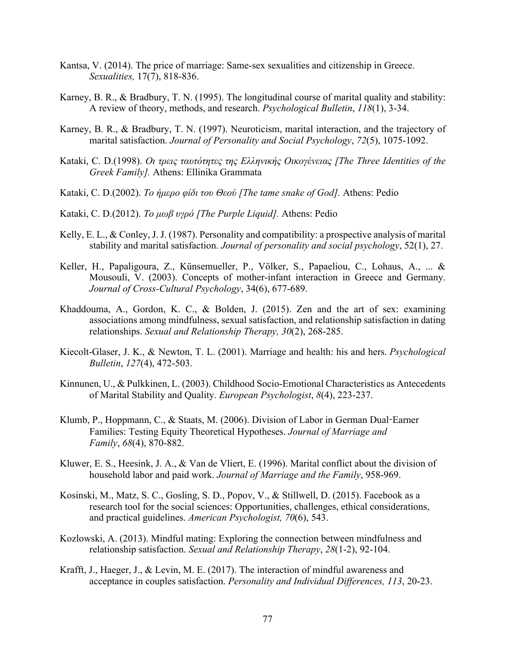- Kantsa, V. (2014). The price of marriage: Same-sex sexualities and citizenship in Greece. *Sexualities,* 17(7), 818-836.
- Karney, B. R., & Bradbury, T. N. (1995). The longitudinal course of marital quality and stability: A review of theory, methods, and research. *Psychological Bulletin*, *118*(1), 3-34.
- Karney, B. R., & Bradbury, T. N. (1997). Neuroticism, marital interaction, and the trajectory of marital satisfaction. *Journal of Personality and Social Psychology*, *72*(5), 1075-1092.
- Kataki, C. D.(1998). *Οι τρεις ταυτότητες της Ελληνικής Οικογένειας [The Three Identities of the Greek Family].* Athens: Ellinika Grammata
- Kataki, C. D.(2002). *To ήμερο φίδι του Θεού [The tame snake of God].* Athens: Pedio
- Kataki, C. D.(2012). *Το μωβ υγρό [The Purple Liquid].* Athens: Pedio
- Kelly, E. L., & Conley, J. J. (1987). Personality and compatibility: a prospective analysis of marital stability and marital satisfaction. *Journal of personality and social psychology*, 52(1), 27.
- Keller, H., Papaligoura, Z., Künsemueller, P., Völker, S., Papaeliou, C., Lohaus, A., ... & Mousouli, V. (2003). Concepts of mother-infant interaction in Greece and Germany. *Journal of Cross-Cultural Psychology*, 34(6), 677-689.
- Khaddouma, A., Gordon, K. C., & Bolden, J. (2015). Zen and the art of sex: examining associations among mindfulness, sexual satisfaction, and relationship satisfaction in dating relationships. *Sexual and Relationship Therapy, 30*(2), 268-285.
- Kiecolt-Glaser, J. K., & Newton, T. L. (2001). Marriage and health: his and hers. *Psychological Bulletin*, *127*(4), 472-503.
- Kinnunen, U., & Pulkkinen, L. (2003). Childhood Socio-Emotional Characteristics as Antecedents of Marital Stability and Quality. *European Psychologist*, *8*(4), 223-237.
- Klumb, P., Hoppmann, C., & Staats, M. (2006). Division of Labor in German Dual-Earner Families: Testing Equity Theoretical Hypotheses. *Journal of Marriage and Family*, *68*(4), 870-882.
- Kluwer, E. S., Heesink, J. A., & Van de Vliert, E. (1996). Marital conflict about the division of household labor and paid work. *Journal of Marriage and the Family*, 958-969.
- Kosinski, M., Matz, S. C., Gosling, S. D., Popov, V., & Stillwell, D. (2015). Facebook as a research tool for the social sciences: Opportunities, challenges, ethical considerations, and practical guidelines. *American Psychologist, 70*(6), 543.
- Kozlowski, A. (2013). Mindful mating: Exploring the connection between mindfulness and relationship satisfaction. *Sexual and Relationship Therapy*, *28*(1-2), 92-104.
- Krafft, J., Haeger, J., & Levin, M. E. (2017). The interaction of mindful awareness and acceptance in couples satisfaction. *Personality and Individual Differences, 113*, 20-23.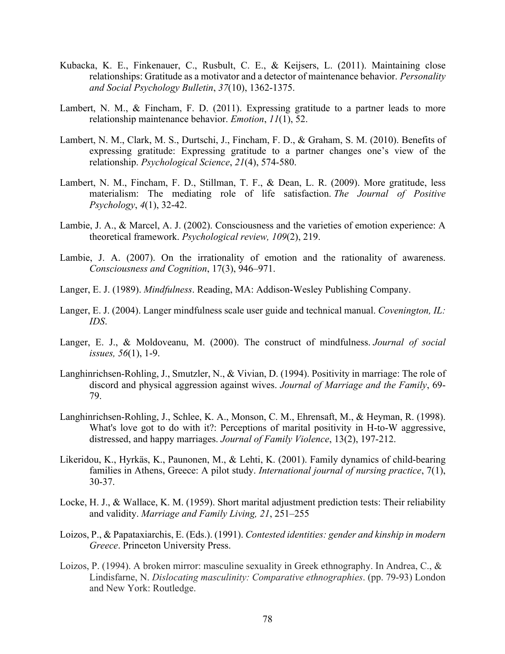- Kubacka, K. E., Finkenauer, C., Rusbult, C. E., & Keijsers, L. (2011). Maintaining close relationships: Gratitude as a motivator and a detector of maintenance behavior. *Personality and Social Psychology Bulletin*, *37*(10), 1362-1375.
- Lambert, N. M., & Fincham, F. D. (2011). Expressing gratitude to a partner leads to more relationship maintenance behavior. *Emotion*, *11*(1), 52.
- Lambert, N. M., Clark, M. S., Durtschi, J., Fincham, F. D., & Graham, S. M. (2010). Benefits of expressing gratitude: Expressing gratitude to a partner changes one's view of the relationship. *Psychological Science*, *21*(4), 574-580.
- Lambert, N. M., Fincham, F. D., Stillman, T. F., & Dean, L. R. (2009). More gratitude, less materialism: The mediating role of life satisfaction. *The Journal of Positive Psychology*, *4*(1), 32-42.
- Lambie, J. A., & Marcel, A. J. (2002). Consciousness and the varieties of emotion experience: A theoretical framework. *Psychological review, 109*(2), 219.
- Lambie, J. A. (2007). On the irrationality of emotion and the rationality of awareness. *Consciousness and Cognition*, 17(3), 946–971.
- Langer, E. J. (1989). *Mindfulness*. Reading, MA: Addison-Wesley Publishing Company.
- Langer, E. J. (2004). Langer mindfulness scale user guide and technical manual. *Covenington, IL: IDS*.
- Langer, E. J., & Moldoveanu, M. (2000). The construct of mindfulness. *Journal of social issues, 56*(1), 1-9.
- Langhinrichsen-Rohling, J., Smutzler, N., & Vivian, D. (1994). Positivity in marriage: The role of discord and physical aggression against wives. *Journal of Marriage and the Family*, 69- 79.
- Langhinrichsen-Rohling, J., Schlee, K. A., Monson, C. M., Ehrensaft, M., & Heyman, R. (1998). What's love got to do with it?: Perceptions of marital positivity in H-to-W aggressive, distressed, and happy marriages. *Journal of Family Violence*, 13(2), 197-212.
- Likeridou, K., Hyrkäs, K., Paunonen, M., & Lehti, K. (2001). Family dynamics of child-bearing families in Athens, Greece: A pilot study. *International journal of nursing practice*, 7(1), 30-37.
- Locke, H. J., & Wallace, K. M. (1959). Short marital adjustment prediction tests: Their reliability and validity. *Marriage and Family Living, 21*, 251–255
- Loizos, P., & Papataxiarchis, E. (Eds.). (1991). *Contested identities: gender and kinship in modern Greece*. Princeton University Press.
- Loizos, P. (1994). A broken mirror: masculine sexuality in Greek ethnography. In Andrea, C., & Lindisfarne, N. *Dislocating masculinity: Comparative ethnographies*. (pp. 79-93) London and New York: Routledge.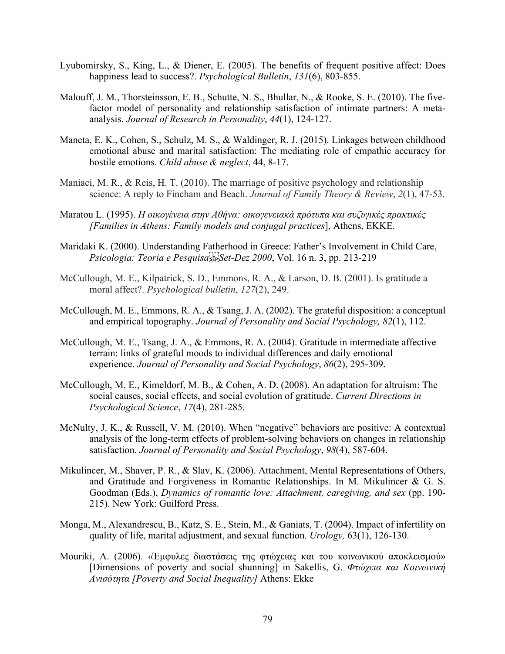- Lyubomirsky, S., King, L., & Diener, E. (2005). The benefits of frequent positive affect: Does happiness lead to success?. *Psychological Bulletin*, *131*(6), 803-855.
- Malouff, J. M., Thorsteinsson, E. B., Schutte, N. S., Bhullar, N., & Rooke, S. E. (2010). The fivefactor model of personality and relationship satisfaction of intimate partners: A metaanalysis. *Journal of Research in Personality*, *44*(1), 124-127.
- Maneta, E. K., Cohen, S., Schulz, M. S., & Waldinger, R. J. (2015). Linkages between childhood emotional abuse and marital satisfaction: The mediating role of empathic accuracy for hostile emotions. *Child abuse & neglect*, 44, 8-17.
- Maniaci, M. R., & Reis, H. T. (2010). The marriage of positive psychology and relationship science: A reply to Fincham and Beach. *Journal of Family Theory & Review*, *2*(1), 47-53.
- Maratou L. (1995). *H οικογένεια στην Αθήνα: οικογενειακά πρότυπα και συζυγικές πρακτικές [Families in Athens: Family models and conjugal practices*], Athens, ΕΚΚΕ.
- Maridaki K. (2000). Understanding Fatherhood in Greece: Father's Involvement in Child Care, *Psicologia: Teoria e Pesquisa
Set-Dez 2000*, Vol. 16 n. 3, pp. 213-219
- McCullough, M. E., Kilpatrick, S. D., Emmons, R. A., & Larson, D. B. (2001). Is gratitude a moral affect?. *Psychological bulletin*, *127*(2), 249.
- McCullough, M. E., Emmons, R. A., & Tsang, J. A. (2002). The grateful disposition: a conceptual and empirical topography. *Journal of Personality and Social Psychology, 82*(1), 112.
- McCullough, M. E., Tsang, J. A., & Emmons, R. A. (2004). Gratitude in intermediate affective terrain: links of grateful moods to individual differences and daily emotional experience. *Journal of Personality and Social Psychology*, *86*(2), 295-309.
- McCullough, M. E., Kimeldorf, M. B., & Cohen, A. D. (2008). An adaptation for altruism: The social causes, social effects, and social evolution of gratitude. *Current Directions in Psychological Science*, *17*(4), 281-285.
- McNulty, J. K., & Russell, V. M. (2010). When "negative" behaviors are positive: A contextual analysis of the long-term effects of problem-solving behaviors on changes in relationship satisfaction. *Journal of Personality and Social Psychology*, *98*(4), 587-604.
- Mikulincer, M., Shaver, P. R., & Slav, K. (2006). Attachment, Mental Representations of Others, and Gratitude and Forgiveness in Romantic Relationships. In M. Mikulincer & G. S. Goodman (Eds.), *Dynamics of romantic love: Attachment, caregiving, and sex* (pp. 190- 215). New York: Guilford Press.
- Monga, M., Alexandrescu, B., Katz, S. E., Stein, M., & Ganiats, T. (2004). Impact of infertility on quality of life, marital adjustment, and sexual function*. Urology,* 63(1), 126-130.
- Mouriki, A. (2006). «Έμφυλες διαστάσεις της φτώχειας και του κοινωνικού αποκλεισμού» [Dimensions of poverty and social shunning] in Sakellis, G. *Φτώχεια και Κοινωνική Ανισότητα [Poverty and Social Inequality]* Athens: Ekke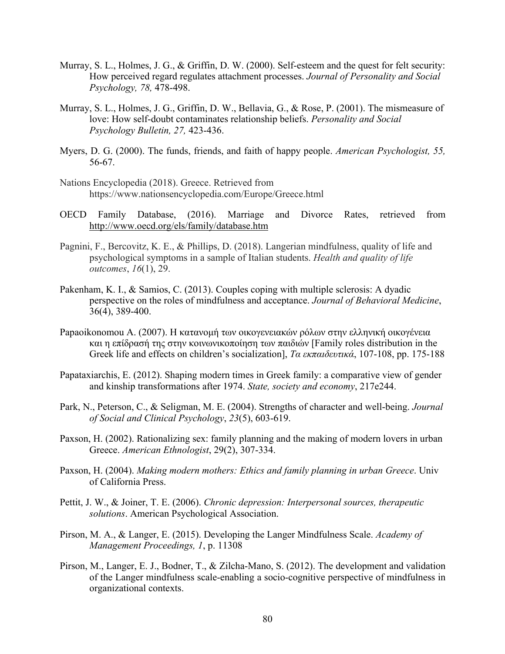- Murray, S. L., Holmes, J. G., & Griffin, D. W. (2000). Self-esteem and the quest for felt security: How perceived regard regulates attachment processes. *Journal of Personality and Social Psychology, 78,* 478-498.
- Murray, S. L., Holmes, J. G., Griffin, D. W., Bellavia, G., & Rose, P. (2001). The mismeasure of love: How self-doubt contaminates relationship beliefs. *Personality and Social Psychology Bulletin, 27,* 423-436.
- Myers, D. G. (2000). The funds, friends, and faith of happy people. *American Psychologist, 55,*  56-67.
- Nations Encyclopedia (2018). Greece. Retrieved from https://www.nationsencyclopedia.com/Europe/Greece.html
- OECD Family Database, (2016). Marriage and Divorce Rates, retrieved from http://www.oecd.org/els/family/database.htm
- Pagnini, F., Bercovitz, K. E., & Phillips, D. (2018). Langerian mindfulness, quality of life and psychological symptoms in a sample of Italian students. *Health and quality of life outcomes*, *16*(1), 29.
- Pakenham, K. I., & Samios, C. (2013). Couples coping with multiple sclerosis: A dyadic perspective on the roles of mindfulness and acceptance. *Journal of Behavioral Medicine*, 36(4), 389-400.
- Papaoikonomou A. (2007). Η κατανομή των οικογενειακών ρόλων στην ελληνική οικογένεια και η επίδρασή της στην κοινωνικοποίηση των παιδιών [Family roles distribution in the Greek life and effects on children's socialization], *Τα εκπαιδευτικά*, 107-108, pp. 175-188
- Papataxiarchis, E. (2012). Shaping modern times in Greek family: a comparative view of gender and kinship transformations after 1974. *State, society and economy*, 217e244.
- Park, N., Peterson, C., & Seligman, M. E. (2004). Strengths of character and well-being. *Journal of Social and Clinical Psychology*, *23*(5), 603-619.
- Paxson, H. (2002). Rationalizing sex: family planning and the making of modern lovers in urban Greece. *American Ethnologist*, 29(2), 307-334.
- Paxson, H. (2004). *Making modern mothers: Ethics and family planning in urban Greece*. Univ of California Press.
- Pettit, J. W., & Joiner, T. E. (2006). *Chronic depression: Interpersonal sources, therapeutic solutions*. American Psychological Association.
- Pirson, M. A., & Langer, E. (2015). Developing the Langer Mindfulness Scale. *Academy of Management Proceedings, 1*, p. 11308
- Pirson, M., Langer, E. J., Bodner, T., & Zilcha-Mano, S. (2012). The development and validation of the Langer mindfulness scale-enabling a socio-cognitive perspective of mindfulness in organizational contexts.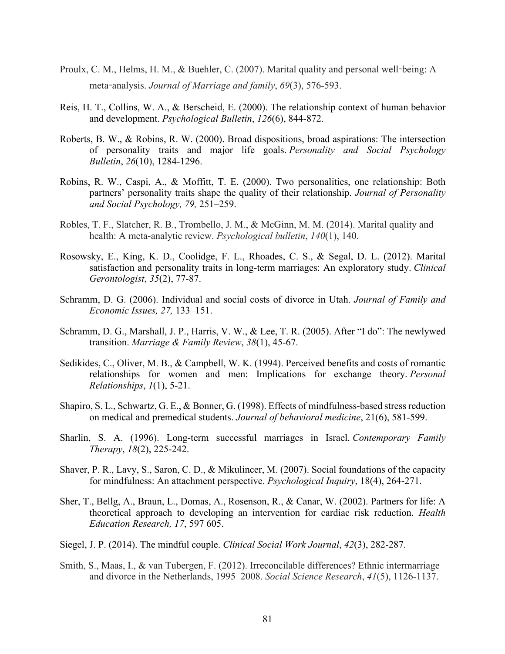- Proulx, C. M., Helms, H. M., & Buehler, C. (2007). Marital quality and personal well-being: A meta-analysis. *Journal of Marriage and family*, *69*(3), 576-593.
- Reis, H. T., Collins, W. A., & Berscheid, E. (2000). The relationship context of human behavior and development. *Psychological Bulletin*, *126*(6), 844-872.
- Roberts, B. W., & Robins, R. W. (2000). Broad dispositions, broad aspirations: The intersection of personality traits and major life goals. *Personality and Social Psychology Bulletin*, *26*(10), 1284-1296.
- Robins, R. W., Caspi, A., & Moffitt, T. E. (2000). Two personalities, one relationship: Both partners' personality traits shape the quality of their relationship. *Journal of Personality and Social Psychology, 79,* 251–259.
- Robles, T. F., Slatcher, R. B., Trombello, J. M., & McGinn, M. M. (2014). Marital quality and health: A meta-analytic review. *Psychological bulletin*, *140*(1), 140.
- Rosowsky, E., King, K. D., Coolidge, F. L., Rhoades, C. S., & Segal, D. L. (2012). Marital satisfaction and personality traits in long-term marriages: An exploratory study. *Clinical Gerontologist*, *35*(2), 77-87.
- Schramm, D. G. (2006). Individual and social costs of divorce in Utah. *Journal of Family and Economic Issues, 27,* 133–151.
- Schramm, D. G., Marshall, J. P., Harris, V. W., & Lee, T. R. (2005). After "I do": The newlywed transition. *Marriage & Family Review*, *38*(1), 45-67.
- Sedikides, C., Oliver, M. B., & Campbell, W. K. (1994). Perceived benefits and costs of romantic relationships for women and men: Implications for exchange theory. *Personal Relationships*, *1*(1), 5-21.
- Shapiro, S. L., Schwartz, G. E., & Bonner, G. (1998). Effects of mindfulness-based stress reduction on medical and premedical students. *Journal of behavioral medicine*, 21(6), 581-599.
- Sharlin, S. A. (1996). Long-term successful marriages in Israel. *Contemporary Family Therapy*, *18*(2), 225-242.
- Shaver, P. R., Lavy, S., Saron, C. D., & Mikulincer, M. (2007). Social foundations of the capacity for mindfulness: An attachment perspective. *Psychological Inquiry*, 18(4), 264-271.
- Sher, T., Bellg, A., Braun, L., Domas, A., Rosenson, R., & Canar, W. (2002). Partners for life: A theoretical approach to developing an intervention for cardiac risk reduction. *Health Education Research, 17*, 597 605.
- Siegel, J. P. (2014). The mindful couple. *Clinical Social Work Journal*, *42*(3), 282-287.
- Smith, S., Maas, I., & van Tubergen, F. (2012). Irreconcilable differences? Ethnic intermarriage and divorce in the Netherlands, 1995–2008. *Social Science Research*, *41*(5), 1126-1137.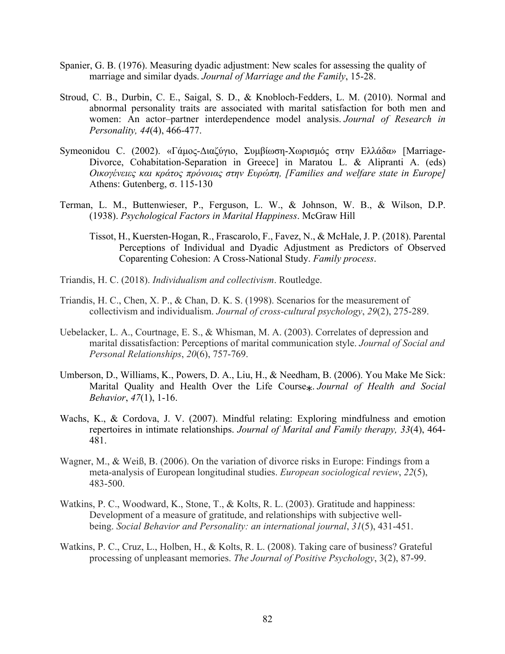- Spanier, G. B. (1976). Measuring dyadic adjustment: New scales for assessing the quality of marriage and similar dyads. *Journal of Marriage and the Family*, 15-28.
- Stroud, C. B., Durbin, C. E., Saigal, S. D., & Knobloch-Fedders, L. M. (2010). Normal and abnormal personality traits are associated with marital satisfaction for both men and women: An actor–partner interdependence model analysis. *Journal of Research in Personality, 44*(4), 466-477.
- Symeonidou C. (2002). «Γάμος-Διαζύγιο, Συμβίωση-Χωρισμός στην Ελλάδα» [Marriage-Divorce, Cohabitation-Separation in Greece] in Maratou L. & Alipranti A. (eds) *Οικογένειες και κράτος πρόνοιας στην Ευρώπη, [Families and welfare state in Europe]* Athens: Gutenberg, σ. 115-130
- Terman, L. M., Buttenwieser, P., Ferguson, L. W., & Johnson, W. B., & Wilson, D.P. (1938). *Psychological Factors in Marital Happiness*. McGraw Hill
	- Tissot, H., Kuersten‐Hogan, R., Frascarolo, F., Favez, N., & McHale, J. P. (2018). Parental Perceptions of Individual and Dyadic Adjustment as Predictors of Observed Coparenting Cohesion: A Cross‐National Study. *Family process*.
- Triandis, H. C. (2018). *Individualism and collectivism*. Routledge.
- Triandis, H. C., Chen, X. P., & Chan, D. K. S. (1998). Scenarios for the measurement of collectivism and individualism. *Journal of cross-cultural psychology*, *29*(2), 275-289.
- Uebelacker, L. A., Courtnage, E. S., & Whisman, M. A. (2003). Correlates of depression and marital dissatisfaction: Perceptions of marital communication style. *Journal of Social and Personal Relationships*, *20*(6), 757-769.
- Umberson, D., Williams, K., Powers, D. A., Liu, H., & Needham, B. (2006). You Make Me Sick: Marital Quality and Health Over the Life Course∗. *Journal of Health and Social Behavior*, *47*(1), 1-16.
- Wachs, K., & Cordova, J. V. (2007). Mindful relating: Exploring mindfulness and emotion repertoires in intimate relationships. *Journal of Marital and Family therapy, 33*(4), 464- 481.
- Wagner, M., & Weiß, B. (2006). On the variation of divorce risks in Europe: Findings from a meta-analysis of European longitudinal studies. *European sociological review*, *22*(5), 483-500.
- Watkins, P. C., Woodward, K., Stone, T., & Kolts, R. L. (2003). Gratitude and happiness: Development of a measure of gratitude, and relationships with subjective wellbeing. *Social Behavior and Personality: an international journal*, *31*(5), 431-451.
- Watkins, P. C., Cruz, L., Holben, H., & Kolts, R. L. (2008). Taking care of business? Grateful processing of unpleasant memories. *The Journal of Positive Psychology*, 3(2), 87-99.